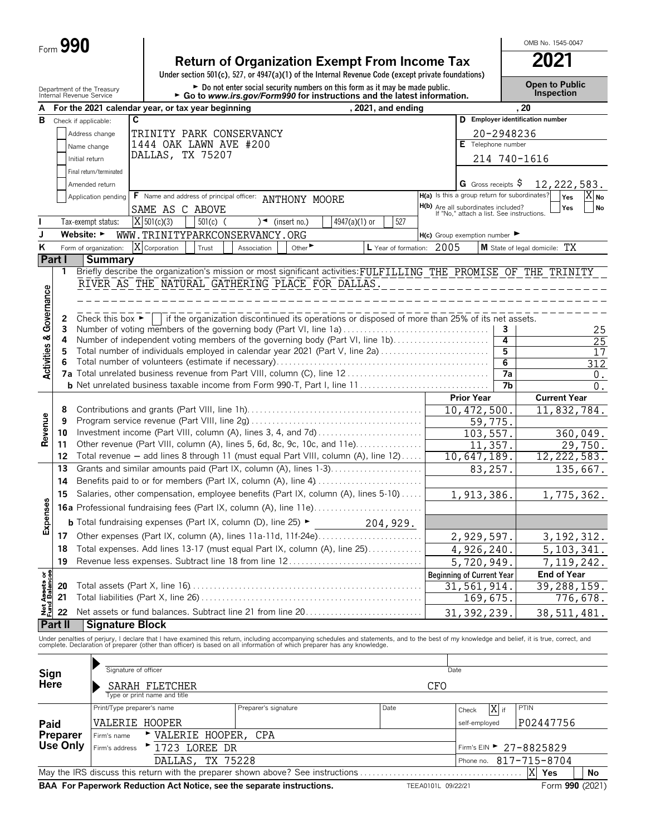| Form $\bm{\omega}$ | <b>90</b><br>n |
|--------------------|----------------|
|--------------------|----------------|

## **Return of Organization Exempt From Income Tax 2021**

**Under section 501(c), 527, or 4947(a)(1) of the Internal Revenue Code (except private foundations)**

Department of the Treasury **and Connect of the Treasury** Depart of Public **Depart of the Treasury Connect of the Treasury Depart of Connect Public Depart of the Internal Revenue Service <b>Connection F** Go to www.irs.gov/

OMB No. 1545-0047

| A                                      |          |                                      | For the 2021 calendar year, or tax year beginning                                                                                                                                             |            |                      |                            |                                                                                                 | , 2021, and ending        |     |                                                                                  |              | , 20                             |                 |
|----------------------------------------|----------|--------------------------------------|-----------------------------------------------------------------------------------------------------------------------------------------------------------------------------------------------|------------|----------------------|----------------------------|-------------------------------------------------------------------------------------------------|---------------------------|-----|----------------------------------------------------------------------------------|--------------|----------------------------------|-----------------|
| В                                      |          | Check if applicable:                 | C                                                                                                                                                                                             |            |                      |                            |                                                                                                 |                           |     |                                                                                  |              | D Employer identification number |                 |
|                                        |          | Address change                       | TRINITY PARK CONSERVANCY                                                                                                                                                                      |            |                      |                            |                                                                                                 |                           |     |                                                                                  | 20-2948236   |                                  |                 |
|                                        |          | Name change                          | 1444 OAK LAWN AVE #200                                                                                                                                                                        |            |                      |                            |                                                                                                 |                           |     | E Telephone number                                                               |              |                                  |                 |
|                                        |          | Initial return                       | DALLAS, TX 75207                                                                                                                                                                              |            |                      |                            |                                                                                                 |                           |     |                                                                                  | 214 740-1616 |                                  |                 |
|                                        |          |                                      |                                                                                                                                                                                               |            |                      |                            |                                                                                                 |                           |     |                                                                                  |              |                                  |                 |
|                                        |          | Final return/terminated              |                                                                                                                                                                                               |            |                      |                            |                                                                                                 |                           |     |                                                                                  |              |                                  |                 |
|                                        |          | Amended return                       |                                                                                                                                                                                               |            |                      |                            |                                                                                                 |                           |     | G Gross receipts $\$$<br>H(a) Is this a group return for subordinates?           |              | 12, 222, 583.                    |                 |
|                                        |          | Application pending                  | F Name and address of principal officer: ANTHONY MOORE                                                                                                                                        |            |                      |                            |                                                                                                 |                           |     |                                                                                  |              | Yes                              | $X_{\text{No}}$ |
|                                        |          |                                      | SAME AS C ABOVE                                                                                                                                                                               |            |                      |                            |                                                                                                 |                           |     | H(b) Are all subordinates included?<br>If "No," attach a list. See instructions. |              | Yes                              | No              |
| ı                                      |          | Tax-exempt status:                   | $X$ 501(c)(3)                                                                                                                                                                                 | $501(c)$ ( |                      | $\rightarrow$ (insert no.) | $4947(a)(1)$ or                                                                                 | 527                       |     |                                                                                  |              |                                  |                 |
| J                                      |          | Website: $\blacktriangleright$       | WWW.TRINITYPARKCONSERVANCY.ORG                                                                                                                                                                |            |                      |                            |                                                                                                 |                           |     | $H(c)$ Group exemption number $\blacktriangleright$                              |              |                                  |                 |
| K                                      |          | Form of organization:                | X Corporation                                                                                                                                                                                 | Trust      | Association          | Other <sup>&gt;</sup>      |                                                                                                 | L Year of formation: 2005 |     |                                                                                  |              | M State of legal domicile: TX    |                 |
|                                        | Part I   | <b>Summary</b>                       |                                                                                                                                                                                               |            |                      |                            |                                                                                                 |                           |     |                                                                                  |              |                                  |                 |
|                                        | 1        |                                      | Briefly describe the organization's mission or most significant activities: FULFILLING THE PROMISE OF THE TRINITY                                                                             |            |                      |                            |                                                                                                 |                           |     |                                                                                  |              |                                  |                 |
|                                        |          |                                      | RIVER AS THE NATURAL GATHERING PLACE FOR DALLAS.                                                                                                                                              |            |                      |                            |                                                                                                 |                           |     |                                                                                  |              |                                  |                 |
| Governance                             |          |                                      |                                                                                                                                                                                               |            |                      |                            |                                                                                                 |                           |     |                                                                                  |              |                                  |                 |
|                                        |          |                                      |                                                                                                                                                                                               |            |                      |                            |                                                                                                 |                           |     |                                                                                  |              |                                  |                 |
|                                        | 2<br>3   | Check this box $\blacktriangleright$ | Number of voting members of the governing body (Part VI, line 1a)                                                                                                                             |            |                      |                            | if the organization discontinued its operations or disposed of more than 25% of its net assets. |                           |     |                                                                                  | 3            |                                  | 25              |
|                                        | 4        |                                      | Number of independent voting members of the governing body (Part VI, line 1b)                                                                                                                 |            |                      |                            |                                                                                                 |                           |     |                                                                                  | 4            |                                  | $\overline{25}$ |
|                                        | 5        |                                      | Total number of individuals employed in calendar year 2021 (Part V, line 2a)                                                                                                                  |            |                      |                            |                                                                                                 |                           |     |                                                                                  | 5            |                                  | 17              |
| <b>Activities &amp;</b>                | 6        |                                      |                                                                                                                                                                                               |            |                      |                            |                                                                                                 |                           |     |                                                                                  | 6            |                                  | 312             |
|                                        |          |                                      |                                                                                                                                                                                               |            |                      |                            |                                                                                                 |                           |     |                                                                                  | 7a           |                                  | 0.              |
|                                        |          |                                      | <b>b</b> Net unrelated business taxable income from Form 990-T, Part I, line 11                                                                                                               |            |                      |                            |                                                                                                 |                           |     |                                                                                  | 7b           |                                  | 0.              |
|                                        |          |                                      |                                                                                                                                                                                               |            |                      |                            |                                                                                                 |                           |     | <b>Prior Year</b>                                                                |              | <b>Current Year</b>              |                 |
|                                        | 8        |                                      |                                                                                                                                                                                               |            |                      |                            |                                                                                                 |                           |     | 10, 472, 500                                                                     |              | 11,832,784.                      |                 |
| Revenue                                | 9        |                                      |                                                                                                                                                                                               |            |                      |                            |                                                                                                 |                           |     | 59,775                                                                           |              |                                  |                 |
|                                        | 10       |                                      |                                                                                                                                                                                               |            |                      |                            |                                                                                                 |                           |     | 103, 557.                                                                        |              |                                  | 360,049.        |
|                                        | 11       |                                      | Other revenue (Part VIII, column (A), lines 5, 6d, 8c, 9c, 10c, and 11e)                                                                                                                      |            |                      |                            |                                                                                                 |                           |     | 11,357.                                                                          |              |                                  | 29,750.         |
|                                        | 12       |                                      | Total revenue - add lines 8 through 11 (must equal Part VIII, column (A), line 12)                                                                                                            |            |                      |                            |                                                                                                 |                           |     | 10,647,189.                                                                      |              | 12, 222, 583.                    |                 |
|                                        | 13       |                                      | Grants and similar amounts paid (Part IX, column (A), lines 1-3)                                                                                                                              |            |                      |                            |                                                                                                 |                           |     | 83,257.                                                                          |              |                                  | 135,667.        |
|                                        | 14       |                                      | Benefits paid to or for members (Part IX, column (A), line 4)                                                                                                                                 |            |                      |                            |                                                                                                 |                           |     |                                                                                  |              |                                  |                 |
|                                        | 15       |                                      | Salaries, other compensation, employee benefits (Part IX, column (A), lines 5-10)                                                                                                             |            |                      |                            |                                                                                                 |                           |     | 1,913,386.                                                                       |              | 1,775,362.                       |                 |
| Expenses                               |          |                                      | <b>16a</b> Professional fundraising fees (Part IX, column (A), line 11e)                                                                                                                      |            |                      |                            |                                                                                                 |                           |     |                                                                                  |              |                                  |                 |
|                                        |          |                                      | <b>b</b> Total fundraising expenses (Part IX, column (D), line 25) $\blacktriangleright$                                                                                                      |            |                      |                            |                                                                                                 | 204,929.                  |     |                                                                                  |              |                                  |                 |
|                                        | 17       |                                      | Other expenses (Part IX, column (A), lines 11a-11d, 11f-24e)                                                                                                                                  |            |                      |                            |                                                                                                 |                           |     | 2,929,597.                                                                       |              | 3, 192, 312.                     |                 |
|                                        | 18       |                                      | Total expenses. Add lines 13-17 (must equal Part IX, column (A), line 25)                                                                                                                     |            |                      |                            |                                                                                                 |                           |     | 4,926,240.                                                                       |              | 5, 103, 341.                     |                 |
|                                        | 19       |                                      | Revenue less expenses. Subtract line 18 from line 12                                                                                                                                          |            |                      |                            |                                                                                                 |                           |     | 5,720,949.                                                                       |              | 7, 119, 242.                     |                 |
|                                        |          |                                      |                                                                                                                                                                                               |            |                      |                            |                                                                                                 |                           |     | <b>Beginning of Current Year</b>                                                 |              | <b>End of Year</b>               |                 |
|                                        | 20       |                                      |                                                                                                                                                                                               |            |                      |                            |                                                                                                 |                           |     | 31,561,914.                                                                      |              | $\overline{39}$ , 288, 159.      |                 |
|                                        | 21       |                                      |                                                                                                                                                                                               |            |                      |                            |                                                                                                 |                           |     | 169,675.                                                                         |              |                                  | 776,678.        |
| <b>Net Assets or<br/>Fund Balances</b> | 22       |                                      | Net assets or fund balances. Subtract line 21 from line 20                                                                                                                                    |            |                      |                            |                                                                                                 |                           |     | 31, 392, 239.                                                                    |              | 38,511,481.                      |                 |
|                                        | Part II  | <b>Signature Block</b>               |                                                                                                                                                                                               |            |                      |                            |                                                                                                 |                           |     |                                                                                  |              |                                  |                 |
|                                        |          |                                      | Under penalties of perjury, I declare that I have examined this return, including accompanying schedules and statements, and to the best of my knowledge and belief, it is true, correct, and |            |                      |                            |                                                                                                 |                           |     |                                                                                  |              |                                  |                 |
|                                        |          |                                      | complete. Declaration of preparer (other than officer) is based on all information of which preparer has any knowledge.                                                                       |            |                      |                            |                                                                                                 |                           |     |                                                                                  |              |                                  |                 |
|                                        |          |                                      |                                                                                                                                                                                               |            |                      |                            |                                                                                                 |                           |     |                                                                                  |              |                                  |                 |
|                                        |          |                                      | Signature of officer                                                                                                                                                                          |            |                      |                            |                                                                                                 |                           |     | Date                                                                             |              |                                  |                 |
| Sign<br>Here                           |          |                                      | SARAH FLETCHER                                                                                                                                                                                |            |                      |                            |                                                                                                 |                           | CFO |                                                                                  |              |                                  |                 |
|                                        |          |                                      | Type or print name and title                                                                                                                                                                  |            |                      |                            |                                                                                                 |                           |     |                                                                                  |              |                                  |                 |
|                                        |          |                                      | Print/Type preparer's name                                                                                                                                                                    |            | Preparer's signature |                            |                                                                                                 | Date                      |     | Check                                                                            | X if         | PTIN                             |                 |
| Paid                                   |          |                                      | VALERIE HOOPER                                                                                                                                                                                |            |                      |                            |                                                                                                 |                           |     | self-employed                                                                    |              | P02447756                        |                 |
|                                        | Preparer | Firm's name                          | VALERIE HOOPER,                                                                                                                                                                               |            | <b>CPA</b>           |                            |                                                                                                 |                           |     |                                                                                  |              |                                  |                 |
|                                        | Use Only | Firm's address                       | ▶ 1723 LOREE DR                                                                                                                                                                               |            |                      |                            |                                                                                                 |                           |     |                                                                                  |              | Firm's EIN > 27-8825829          |                 |
|                                        |          |                                      | DALLAS,                                                                                                                                                                                       | TX 75228   |                      |                            |                                                                                                 |                           |     | Phone no.                                                                        |              | 817-715-8704                     |                 |
|                                        |          |                                      | May the IRS discuss this return with the preparer shown above? See instructions                                                                                                               |            |                      |                            |                                                                                                 |                           |     |                                                                                  |              | X<br>Yes                         | No              |
|                                        |          |                                      |                                                                                                                                                                                               |            |                      |                            |                                                                                                 |                           |     |                                                                                  |              |                                  |                 |

**BAA For Paperwork Reduction Act Notice, see the separate instructions.** TEEA0101L 09/22/21 Form 990 (2021)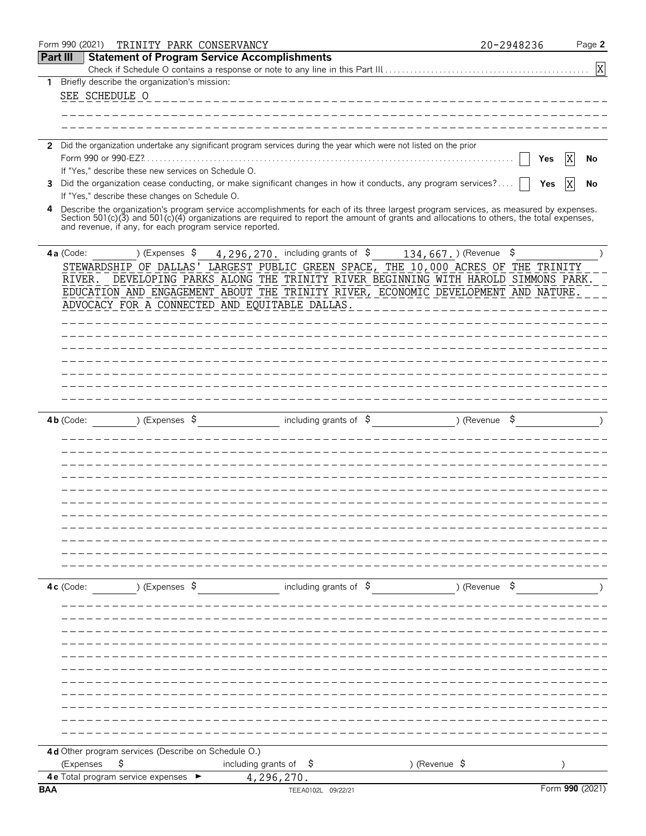|            | Form 990 (2021) |           |                                                 |                           | TRINITY PARK CONSERVANCY                                |                                   |                                                                                                                      |                                                                                                                                                                                                                                                                                  | 20-2948236 |                 | Page 2 |
|------------|-----------------|-----------|-------------------------------------------------|---------------------------|---------------------------------------------------------|-----------------------------------|----------------------------------------------------------------------------------------------------------------------|----------------------------------------------------------------------------------------------------------------------------------------------------------------------------------------------------------------------------------------------------------------------------------|------------|-----------------|--------|
| Part III   |                 |           |                                                 |                           | <b>Statement of Program Service Accomplishments</b>     |                                   |                                                                                                                      |                                                                                                                                                                                                                                                                                  |            |                 |        |
|            |                 |           |                                                 |                           |                                                         |                                   |                                                                                                                      |                                                                                                                                                                                                                                                                                  |            |                 | X      |
| 1          |                 |           | Briefly describe the organization's mission:    |                           |                                                         |                                   |                                                                                                                      |                                                                                                                                                                                                                                                                                  |            |                 |        |
|            |                 |           | SEE SCHEDULE O                                  |                           |                                                         |                                   |                                                                                                                      |                                                                                                                                                                                                                                                                                  |            |                 |        |
|            |                 |           |                                                 |                           |                                                         |                                   |                                                                                                                      |                                                                                                                                                                                                                                                                                  |            |                 |        |
|            |                 |           |                                                 |                           |                                                         |                                   |                                                                                                                      |                                                                                                                                                                                                                                                                                  |            |                 |        |
|            |                 |           |                                                 |                           |                                                         |                                   | 2 Did the organization undertake any significant program services during the year which were not listed on the prior |                                                                                                                                                                                                                                                                                  |            |                 |        |
|            |                 |           | Form 990 or 990-EZ?                             |                           |                                                         |                                   |                                                                                                                      |                                                                                                                                                                                                                                                                                  |            | Yes             | No     |
|            |                 |           |                                                 |                           | If "Yes," describe these new services on Schedule O.    |                                   |                                                                                                                      |                                                                                                                                                                                                                                                                                  |            |                 |        |
| 3          |                 |           |                                                 |                           |                                                         |                                   |                                                                                                                      | Did the organization cease conducting, or make significant changes in how it conducts, any program services?                                                                                                                                                                     |            | X<br>Yes        | No     |
|            |                 |           | If "Yes," describe these changes on Schedule O. |                           |                                                         |                                   |                                                                                                                      |                                                                                                                                                                                                                                                                                  |            |                 |        |
| 4          |                 |           |                                                 |                           | and revenue, if any, for each program service reported. |                                   |                                                                                                                      | Describe the organization's program service accomplishments for each of its three largest program services, as measured by expenses.<br>Section 501(c)(3) and 501(c)(4) organizations are required to report the amount of grants and allocations to others, the total expenses, |            |                 |        |
|            | 4a (Code:       |           |                                                 | ) (Expenses $\frac{1}{2}$ |                                                         |                                   | $4, 296, 270$ . including grants of $\$$                                                                             | $134,667.$ ) (Revenue \$                                                                                                                                                                                                                                                         |            |                 |        |
|            |                 |           |                                                 |                           |                                                         |                                   |                                                                                                                      | STEWARDSHIP OF DALLAS' LARGEST PUBLIC GREEN SPACE, THE 10,000 ACRES OF THE TRINITY                                                                                                                                                                                               |            |                 |        |
|            | RIVER.          |           |                                                 |                           |                                                         |                                   |                                                                                                                      | DEVELOPING PARKS ALONG THE TRINITY RIVER BEGINNING WITH HAROLD SIMMONS PARK.                                                                                                                                                                                                     |            |                 |        |
|            |                 |           |                                                 |                           | ADVOCACY FOR A CONNECTED AND EQUITABLE DALLAS.          |                                   |                                                                                                                      | EDUCATION AND ENGAGEMENT ABOUT THE TRINITY RIVER, ECONOMIC DEVELOPMENT AND NATURE.                                                                                                                                                                                               |            |                 |        |
|            |                 |           |                                                 |                           |                                                         |                                   |                                                                                                                      |                                                                                                                                                                                                                                                                                  |            |                 |        |
|            |                 |           |                                                 |                           |                                                         |                                   |                                                                                                                      |                                                                                                                                                                                                                                                                                  |            |                 |        |
|            |                 |           |                                                 |                           |                                                         |                                   |                                                                                                                      |                                                                                                                                                                                                                                                                                  |            |                 |        |
|            |                 |           |                                                 |                           |                                                         |                                   |                                                                                                                      |                                                                                                                                                                                                                                                                                  |            |                 |        |
|            |                 |           |                                                 |                           |                                                         |                                   |                                                                                                                      |                                                                                                                                                                                                                                                                                  |            |                 |        |
|            |                 |           |                                                 |                           |                                                         |                                   |                                                                                                                      |                                                                                                                                                                                                                                                                                  |            |                 |        |
|            |                 |           |                                                 |                           |                                                         |                                   |                                                                                                                      |                                                                                                                                                                                                                                                                                  |            |                 |        |
|            | $4b$ (Code:     |           |                                                 | ) (Expenses $\frac{1}{2}$ |                                                         |                                   | including grants of $\frac{6}{7}$                                                                                    | ) (Revenue \$                                                                                                                                                                                                                                                                    |            |                 |        |
|            |                 |           |                                                 |                           |                                                         |                                   |                                                                                                                      |                                                                                                                                                                                                                                                                                  |            |                 |        |
|            |                 |           |                                                 |                           |                                                         |                                   |                                                                                                                      |                                                                                                                                                                                                                                                                                  |            |                 |        |
|            |                 |           |                                                 |                           |                                                         |                                   |                                                                                                                      |                                                                                                                                                                                                                                                                                  |            |                 |        |
|            |                 |           |                                                 |                           |                                                         |                                   |                                                                                                                      |                                                                                                                                                                                                                                                                                  |            |                 |        |
|            |                 |           |                                                 |                           |                                                         |                                   |                                                                                                                      |                                                                                                                                                                                                                                                                                  |            |                 |        |
|            |                 |           |                                                 |                           |                                                         |                                   |                                                                                                                      |                                                                                                                                                                                                                                                                                  |            |                 |        |
|            |                 |           |                                                 |                           |                                                         |                                   |                                                                                                                      |                                                                                                                                                                                                                                                                                  |            |                 |        |
|            |                 |           |                                                 |                           |                                                         |                                   |                                                                                                                      |                                                                                                                                                                                                                                                                                  |            |                 |        |
|            |                 |           |                                                 |                           |                                                         |                                   |                                                                                                                      |                                                                                                                                                                                                                                                                                  |            |                 |        |
|            |                 |           |                                                 |                           |                                                         |                                   |                                                                                                                      |                                                                                                                                                                                                                                                                                  |            |                 |        |
|            |                 |           |                                                 |                           |                                                         |                                   |                                                                                                                      |                                                                                                                                                                                                                                                                                  |            |                 |        |
|            | 4c (Code:       |           |                                                 | ) (Expenses \$            |                                                         |                                   |                                                                                                                      | including grants of $\beta$ (Revenue $\beta$                                                                                                                                                                                                                                     |            |                 |        |
|            |                 |           |                                                 |                           |                                                         |                                   |                                                                                                                      |                                                                                                                                                                                                                                                                                  |            |                 |        |
|            |                 |           |                                                 |                           |                                                         |                                   |                                                                                                                      |                                                                                                                                                                                                                                                                                  |            |                 |        |
|            |                 |           |                                                 |                           |                                                         |                                   |                                                                                                                      |                                                                                                                                                                                                                                                                                  |            |                 |        |
|            |                 |           |                                                 |                           |                                                         |                                   |                                                                                                                      |                                                                                                                                                                                                                                                                                  |            |                 |        |
|            |                 |           |                                                 |                           |                                                         |                                   |                                                                                                                      |                                                                                                                                                                                                                                                                                  |            |                 |        |
|            |                 |           |                                                 |                           |                                                         |                                   |                                                                                                                      |                                                                                                                                                                                                                                                                                  |            |                 |        |
|            |                 |           |                                                 |                           |                                                         |                                   |                                                                                                                      |                                                                                                                                                                                                                                                                                  |            |                 |        |
|            |                 |           |                                                 |                           |                                                         |                                   |                                                                                                                      |                                                                                                                                                                                                                                                                                  |            |                 |        |
|            |                 |           |                                                 |                           |                                                         |                                   |                                                                                                                      |                                                                                                                                                                                                                                                                                  |            |                 |        |
|            |                 |           |                                                 |                           |                                                         |                                   |                                                                                                                      |                                                                                                                                                                                                                                                                                  |            |                 |        |
|            |                 |           |                                                 |                           |                                                         |                                   |                                                                                                                      |                                                                                                                                                                                                                                                                                  |            |                 |        |
|            |                 |           |                                                 |                           | 4d Other program services (Describe on Schedule O.)     |                                   |                                                                                                                      |                                                                                                                                                                                                                                                                                  |            |                 |        |
|            |                 | (Expenses | \$                                              |                           |                                                         | including grants of $\frac{1}{2}$ |                                                                                                                      | ) (Revenue \$                                                                                                                                                                                                                                                                    |            |                 |        |
|            |                 |           | 4 e Total program service expenses ►            |                           |                                                         | 4,296,270.                        |                                                                                                                      |                                                                                                                                                                                                                                                                                  |            |                 |        |
| <b>BAA</b> |                 |           |                                                 |                           |                                                         |                                   | TEEA0102L 09/22/21                                                                                                   |                                                                                                                                                                                                                                                                                  |            | Form 990 (2021) |        |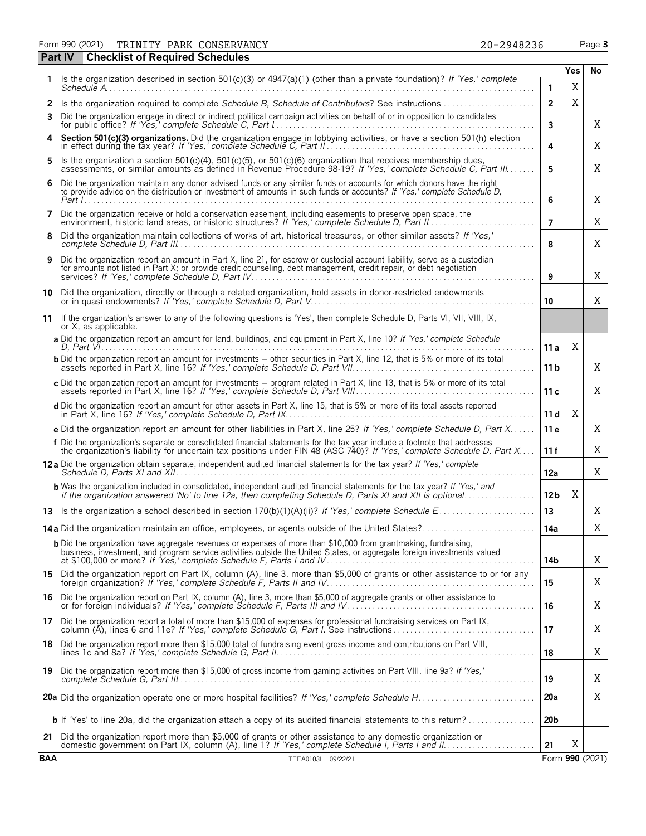Form 990 (2021) Page **3 Part IV Checklist of Required Schedules** TRINITY PARK CONSERVANCY 20-2948236

|     |                                                                                                                                                                                                                                                     |                 | Yes | No              |
|-----|-----------------------------------------------------------------------------------------------------------------------------------------------------------------------------------------------------------------------------------------------------|-----------------|-----|-----------------|
|     | 1 Is the organization described in section 501(c)(3) or $4947(a)(1)$ (other than a private foundation)? If 'Yes,' complete                                                                                                                          | 1               | Χ   |                 |
|     | 2 Is the organization required to complete Schedule B, Schedule of Contributors? See instructions                                                                                                                                                   | $\overline{2}$  | X   |                 |
| 3   | Did the organization engage in direct or indirect political campaign activities on behalf of or in opposition to candidates<br>for public office? If 'Yes,' complete Schedule C, Part I                                                             | 3               |     | Χ               |
|     | 4 Section 501(c)(3) organizations. Did the organization engage in lobbying activities, or have a section 501(h) election                                                                                                                            | 4               |     | Χ               |
|     | 5 Is the organization a section 501(c)(4), 501(c)(5), or 501(c)(6) organization that receives membership dues,<br>assessments, or similar amounts as defined in Revenue Procedure 98-19? If 'Yes,' complete Schedule C, Part III                    | 5               |     | Χ               |
| 6   | Did the organization maintain any donor advised funds or any similar funds or accounts for which donors have the right<br>to provide advice on the distribution or investment of amounts in such funds or accounts? If 'Yes,' complete Schedule D,  | 6               |     | X               |
| 7   | Did the organization receive or hold a conservation easement, including easements to preserve open space, the<br>environment, historic land areas, or historic structures? If 'Yes,' complete Schedule D, Part II.                                  | $\overline{7}$  |     | Χ               |
| 8   | Did the organization maintain collections of works of art, historical treasures, or other similar assets? If 'Yes,'                                                                                                                                 | 8               |     | Χ               |
|     | Did the organization report an amount in Part X, line 21, for escrow or custodial account liability, serve as a custodian<br>for amounts not listed in Part X; or provide credit counseling, debt management, credit repair, or debt negotiation    | 9               |     | Χ               |
|     | 10 Did the organization, directly or through a related organization, hold assets in donor-restricted endowments                                                                                                                                     | 10              |     | X               |
|     | 11 If the organization's answer to any of the following questions is 'Yes', then complete Schedule D, Parts VI, VII, VIII, IX,<br>or X, as applicable.                                                                                              |                 |     |                 |
|     | a Did the organization report an amount for land, buildings, and equipment in Part X, line 10? If 'Yes,' complete Schedule                                                                                                                          | 11 a            | Χ   |                 |
|     | <b>b</b> Did the organization report an amount for investments – other securities in Part X, line 12, that is 5% or more of its total                                                                                                               | 11 b            |     | Χ               |
|     | c Did the organization report an amount for investments - program related in Part X, line 13, that is 5% or more of its total                                                                                                                       | 11c             |     | X               |
|     | d Did the organization report an amount for other assets in Part X, line 15, that is 5% or more of its total assets reported                                                                                                                        | 11d             | Χ   |                 |
|     | e Did the organization report an amount for other liabilities in Part X, line 25? If 'Yes,' complete Schedule D, Part X                                                                                                                             | 11 e            |     | X               |
|     | f Did the organization's separate or consolidated financial statements for the tax year include a footnote that addresses<br>the organization's liability for uncertain tax positions under FIN 48 (ASC 740)? If 'Yes,' complete Schedule D, Part X | 11 f            |     | Χ               |
|     | 12a Did the organization obtain separate, independent audited financial statements for the tax year? If 'Yes,' complete                                                                                                                             | 12a             |     | Χ               |
|     | <b>b</b> Was the organization included in consolidated, independent audited financial statements for the tax year? If 'Yes,' and if the organization answered 'No' to line 12a, then completing Schedule D, Parts XI and XII is opt                 | 12 <sub>b</sub> | Χ   |                 |
|     |                                                                                                                                                                                                                                                     | 13              |     | Χ               |
|     |                                                                                                                                                                                                                                                     | 14a             |     | Χ               |
|     | <b>b</b> Did the organization have aggregate revenues or expenses of more than \$10,000 from grantmaking, fundraising,<br>business, investment, and program service activities outside the United States, or aggregate foreign investments valued   | 14b             |     | X               |
|     | 15 Did the organization report on Part IX, column (A), line 3, more than \$5,000 of grants or other assistance to or for any                                                                                                                        | 15              |     | Χ               |
|     | 16 Did the organization report on Part IX, column (A), line 3, more than \$5,000 of aggregate grants or other assistance to                                                                                                                         | 16              |     | X               |
|     | 17 Did the organization report a total of more than \$15,000 of expenses for professional fundraising services on Part IX,<br>column (A), lines 6 and 11e? If 'Yes,' complete Schedule G, Part I. See instructions                                  | 17              |     | X               |
| 18  | Did the organization report more than \$15,000 total of fundraising event gross income and contributions on Part VIII,                                                                                                                              | 18              |     | Χ               |
|     | 19 Did the organization report more than \$15,000 of gross income from gaming activities on Part VIII, line 9a? If 'Yes,'                                                                                                                           | 19              |     | Χ               |
|     |                                                                                                                                                                                                                                                     | 20a             |     | Χ               |
|     |                                                                                                                                                                                                                                                     | 20 <sub>b</sub> |     |                 |
|     | 21 Did the organization report more than \$5,000 of grants or other assistance to any domestic organization or                                                                                                                                      | 21              | Χ   |                 |
| BAA | TEEA0103L 09/22/21                                                                                                                                                                                                                                  |                 |     | Form 990 (2021) |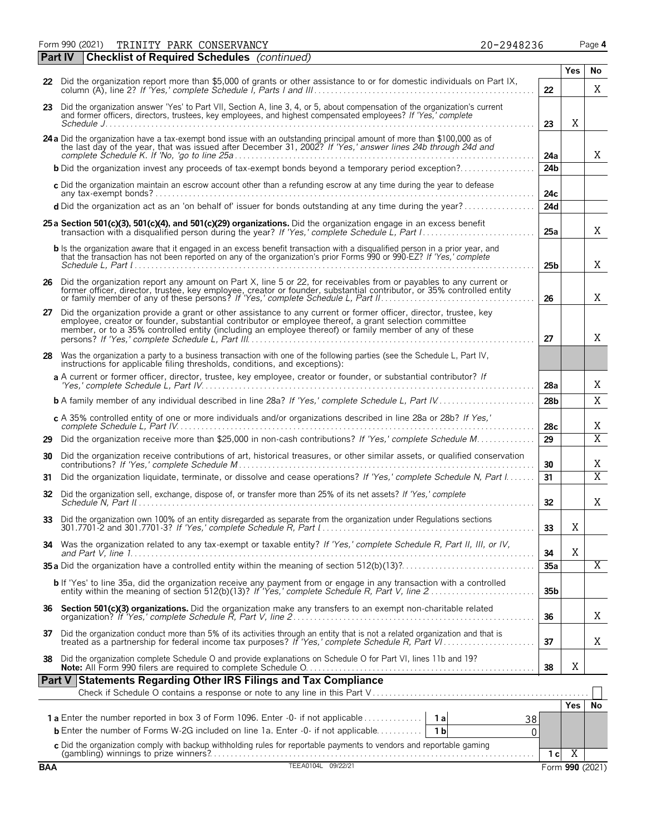Form 990 (2021) Page **4** TRINITY PARK CONSERVANCY 20-2948236

|            | <b>Checklist of Required Schedules</b> (continued)<br>  Part IV                                                                                                                                                                                                                                                                       |                 |                 |                |
|------------|---------------------------------------------------------------------------------------------------------------------------------------------------------------------------------------------------------------------------------------------------------------------------------------------------------------------------------------|-----------------|-----------------|----------------|
|            |                                                                                                                                                                                                                                                                                                                                       |                 | <b>Yes</b>      | No             |
|            | 22 Did the organization report more than \$5,000 of grants or other assistance to or for domestic individuals on Part IX,                                                                                                                                                                                                             | 22              |                 | X              |
|            | 23 Did the organization answer 'Yes' to Part VII, Section A, line 3, 4, or 5, about compensation of the organization's current<br>and former officers, directors, trustees, key employees, and highest compensated employees? If 'Yes,' complete                                                                                      | 23              | X               |                |
|            | 24 a Did the organization have a tax-exempt bond issue with an outstanding principal amount of more than \$100,000 as of the last day of the year, that was issued after December 31, 2002? If 'Yes,' answer lines 24b through                                                                                                        | 24a             |                 | X              |
|            |                                                                                                                                                                                                                                                                                                                                       | 24 <sub>b</sub> |                 |                |
|            | c Did the organization maintain an escrow account other than a refunding escrow at any time during the year to defease                                                                                                                                                                                                                | 24c             |                 |                |
|            | d Did the organization act as an 'on behalf of' issuer for bonds outstanding at any time during the year?                                                                                                                                                                                                                             | 24d             |                 |                |
|            | 25 a Section 501(c)(3), 501(c)(4), and 501(c)(29) organizations. Did the organization engage in an excess benefit                                                                                                                                                                                                                     | 25a             |                 | X              |
|            | <b>b</b> Is the organization aware that it engaged in an excess benefit transaction with a disqualified person in a prior year, and<br>that the transaction has not been reported on any of the organization's prior Forms 990 or 990-EZ? If 'Yes,' complete                                                                          | 25 <sub>b</sub> |                 | X              |
|            | 26 Did the organization report any amount on Part X, line 5 or 22, for receivables from or payables to any current or<br>former officer, director, trustee, key employee, creator or founder, substantial contributor, or 35% controlled entity                                                                                       | 26              |                 | Χ              |
| 27         | Did the organization provide a grant or other assistance to any current or former officer, director, trustee, key<br>employee, creator or founder, substantial contributor or employee thereof, a grant selection committee<br>member, or to a 35% controlled entity (including an employee thereof) or family member of any of these | 27              |                 | X              |
| 28         | Was the organization a party to a business transaction with one of the following parties (see the Schedule L, Part IV,<br>instructions for applicable filing thresholds, conditions, and exceptions):                                                                                                                                 |                 |                 |                |
|            | a A current or former officer, director, trustee, key employee, creator or founder, or substantial contributor? If                                                                                                                                                                                                                    | 28a             |                 | Χ              |
|            | <b>b</b> A family member of any individual described in line 28a? If 'Yes,' complete Schedule L, Part IV                                                                                                                                                                                                                              | 28 <sub>b</sub> |                 | X              |
|            | c A 35% controlled entity of one or more individuals and/or organizations described in line 28a or 28b? If Yes,'                                                                                                                                                                                                                      | 28c             |                 | Χ              |
|            | 29 Did the organization receive more than \$25,000 in non-cash contributions? If 'Yes,' complete Schedule M                                                                                                                                                                                                                           | 29              |                 | $\overline{X}$ |
| 30         | Did the organization receive contributions of art, historical treasures, or other similar assets, or qualified conservation                                                                                                                                                                                                           | 30              |                 | Χ              |
| 31         | Did the organization liquidate, terminate, or dissolve and cease operations? If 'Yes,' complete Schedule N, Part I                                                                                                                                                                                                                    | 31              |                 | $\overline{X}$ |
| 32         | Did the organization sell, exchange, dispose of, or transfer more than 25% of its net assets? If 'Yes,' complete                                                                                                                                                                                                                      | 32              |                 | Χ              |
| 33         | Did the organization own 100% of an entity disregarded as separate from the organization under Regulations sections                                                                                                                                                                                                                   | 33              | Χ               |                |
|            | 34 Was the organization related to any tax-exempt or taxable entity? If 'Yes,' complete Schedule R, Part II, III, or IV,                                                                                                                                                                                                              | 34              | X               |                |
|            |                                                                                                                                                                                                                                                                                                                                       | 35a             |                 | Χ              |
|            | b If 'Yes' to line 35a, did the organization receive any payment from or engage in any transaction with a controlled<br>entity within the meaning of section 512(b)(13)? If 'Yes,' complete Schedule R, Part V, line 2                                                                                                                | 35 <sub>b</sub> |                 |                |
|            |                                                                                                                                                                                                                                                                                                                                       | 36              |                 | X              |
|            | 37 Did the organization conduct more than 5% of its activities through an entity that is not a related organization and that is treated as a partnership for federal income tax purposes? If 'Yes,' complete Schedule R, Part                                                                                                         | 37              |                 | X              |
| 38         | Did the organization complete Schedule O and provide explanations on Schedule O for Part VI, lines 11b and 19?                                                                                                                                                                                                                        | 38              | Χ               |                |
|            | Part V Statements Regarding Other IRS Filings and Tax Compliance                                                                                                                                                                                                                                                                      |                 |                 |                |
|            |                                                                                                                                                                                                                                                                                                                                       |                 | Yes             | No             |
|            | 38                                                                                                                                                                                                                                                                                                                                    |                 |                 |                |
|            | <b>b</b> Enter the number of Forms W-2G included on line 1a. Enter -0- if not applicable<br>1 <sub>b</sub>                                                                                                                                                                                                                            | 0               |                 |                |
|            |                                                                                                                                                                                                                                                                                                                                       | 1 <sub>c</sub>  | $\overline{X}$  |                |
| <b>BAA</b> | C Did the organization comply with backup withholding rules for reportable payments to vendors and reportable gaming<br>(gambling) winnings to prize winners?<br>TEEA0104L 09/22/21                                                                                                                                                   |                 | Form 990 (2021) |                |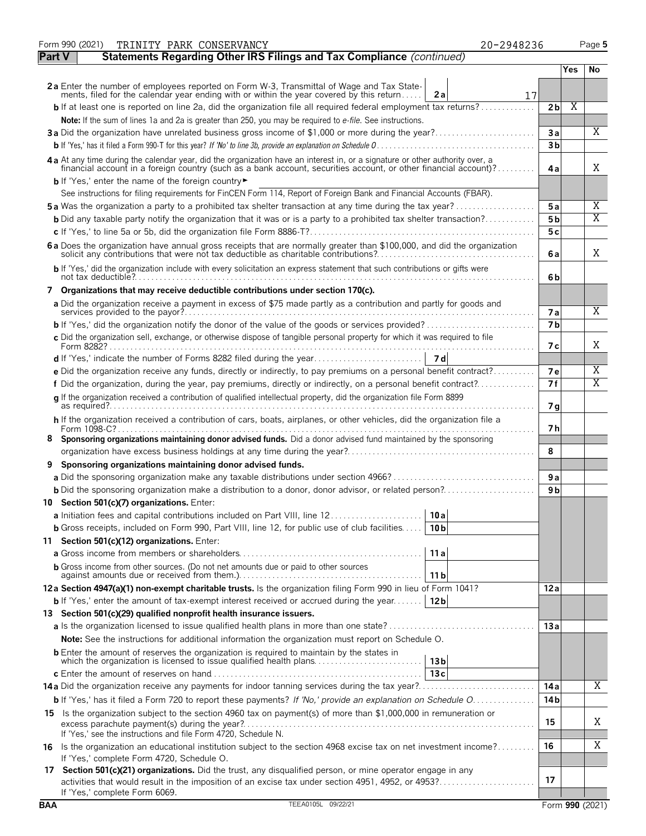|               | Form 990 (2021)<br>TRINITY PARK CONSERVANCY<br>20-2948236                                                                                                                                                                                          |                |      | Page 5 |
|---------------|----------------------------------------------------------------------------------------------------------------------------------------------------------------------------------------------------------------------------------------------------|----------------|------|--------|
| <b>Part V</b> | Statements Regarding Other IRS Filings and Tax Compliance (continued)                                                                                                                                                                              |                |      |        |
|               |                                                                                                                                                                                                                                                    |                | Yes. | No     |
|               | 2a Enter the number of employees reported on Form W-3, Transmittal of Wage and Tax Statements, filed for the calendar year ending with or within the year covered by this return<br>2a                                                             |                |      |        |
|               | 17<br><b>b</b> If at least one is reported on line 2a, did the organization file all required federal employment tax returns?                                                                                                                      | 2 <sub>b</sub> | Χ    |        |
|               | Note: If the sum of lines 1a and 2a is greater than 250, you may be required to e-file. See instructions.                                                                                                                                          |                |      |        |
|               | 3a Did the organization have unrelated business gross income of \$1,000 or more during the year?                                                                                                                                                   | Зa             |      | Χ      |
|               |                                                                                                                                                                                                                                                    | 3 <sub>b</sub> |      |        |
|               |                                                                                                                                                                                                                                                    |                |      |        |
|               | 4 a At any time during the calendar year, did the organization have an interest in, or a signature or other authority over, a financial account in a foreign country (such as a bank account, securities account, or other fin                     | 4a             |      | X      |
|               | b If 'Yes,' enter the name of the foreign country                                                                                                                                                                                                  |                |      |        |
|               | See instructions for filing requirements for FinCEN Form 114, Report of Foreign Bank and Financial Accounts (FBAR).                                                                                                                                |                |      |        |
|               | <b>5a</b> Was the organization a party to a prohibited tax shelter transaction at any time during the tax year?                                                                                                                                    | 5a             |      | Χ      |
|               | <b>b</b> Did any taxable party notify the organization that it was or is a party to a prohibited tax shelter transaction?                                                                                                                          | 5 <sub>b</sub> |      | Χ      |
|               |                                                                                                                                                                                                                                                    | 5с             |      |        |
|               | 6 a Does the organization have annual gross receipts that are normally greater than \$100,000, and did the organization solicit any contributions that were not tax deductible as charitable contributions?                                        | 6 a            |      | Χ      |
|               | b If 'Yes,' did the organization include with every solicitation an express statement that such contributions or gifts were                                                                                                                        | 6b             |      |        |
|               | 7 Organizations that may receive deductible contributions under section 170(c).                                                                                                                                                                    |                |      |        |
|               | a Did the organization receive a payment in excess of \$75 made partly as a contribution and partly for goods and                                                                                                                                  | 7a             |      | Χ      |
|               |                                                                                                                                                                                                                                                    | 7 <sub>b</sub> |      |        |
|               | c Did the organization sell, exchange, or otherwise dispose of tangible personal property for which it was required to file                                                                                                                        |                |      |        |
|               |                                                                                                                                                                                                                                                    | 7 с            |      | Χ      |
|               |                                                                                                                                                                                                                                                    |                |      |        |
|               | e Did the organization receive any funds, directly or indirectly, to pay premiums on a personal benefit contract?                                                                                                                                  | 7e             |      | Χ      |
|               | f Did the organization, during the year, pay premiums, directly or indirectly, on a personal benefit contract?                                                                                                                                     | 7f             |      | Χ      |
|               | q If the organization received a contribution of qualified intellectual property, did the organization file Form 8899                                                                                                                              | 7q             |      |        |
|               | h If the organization received a contribution of cars, boats, airplanes, or other vehicles, did the organization file a                                                                                                                            | 7 h            |      |        |
|               | 8 Sponsoring organizations maintaining donor advised funds. Did a donor advised fund maintained by the sponsoring                                                                                                                                  |                |      |        |
|               |                                                                                                                                                                                                                                                    | 8              |      |        |
|               | Sponsoring organizations maintaining donor advised funds.                                                                                                                                                                                          |                |      |        |
|               |                                                                                                                                                                                                                                                    | 9 a            |      |        |
|               |                                                                                                                                                                                                                                                    | 9 b            |      |        |
|               | 10 Section 501(c)(7) organizations. Enter:                                                                                                                                                                                                         |                |      |        |
|               | 10a <br>a Initiation fees and capital contributions included on Part VIII, line 12                                                                                                                                                                 |                |      |        |
|               | <b>b</b> Gross receipts, included on Form 990, Part VIII, line 12, for public use of club facilities<br>10 <sub>b</sub>                                                                                                                            |                |      |        |
|               | 11 Section 501(c)(12) organizations. Enter:                                                                                                                                                                                                        |                |      |        |
|               | 11a                                                                                                                                                                                                                                                |                |      |        |
|               | <b>b</b> Gross income from other sources. (Do not net amounts due or paid to other sources<br>11 <sub>b</sub>                                                                                                                                      |                |      |        |
|               | 12a Section 4947(a)(1) non-exempt charitable trusts. Is the organization filing Form 990 in lieu of Form 1041?                                                                                                                                     | 12 a           |      |        |
|               | <b>b</b> If 'Yes,' enter the amount of tax-exempt interest received or accrued during the year<br>12 <sub>b</sub>                                                                                                                                  |                |      |        |
|               | 13 Section 501(c)(29) qualified nonprofit health insurance issuers.                                                                                                                                                                                |                |      |        |
|               |                                                                                                                                                                                                                                                    | 13a            |      |        |
|               | <b>Note:</b> See the instructions for additional information the organization must report on Schedule O.                                                                                                                                           |                |      |        |
|               | <b>b</b> Enter the amount of reserves the organization is required to maintain by the states in<br>which the organization is licensed to issue qualified health plans<br>13 <sub>b</sub>                                                           |                |      |        |
|               | 13c                                                                                                                                                                                                                                                |                |      |        |
|               | 14a Did the organization receive any payments for indoor tanning services during the tax year?                                                                                                                                                     | 14 a           |      | X      |
|               | <b>b</b> If 'Yes,' has it filed a Form 720 to report these payments? If 'No,' provide an explanation on Schedule O                                                                                                                                 | 14 b           |      |        |
|               | 15 Is the organization subject to the section 4960 tax on payment(s) of more than \$1,000,000 in remuneration or                                                                                                                                   | 15             |      | Χ      |
|               | If 'Yes,' see the instructions and file Form 4720, Schedule N.<br>16 Is the organization an educational institution subject to the section 4968 excise tax on net investment income?                                                               | 16             |      | Χ      |
|               | If 'Yes,' complete Form 4720, Schedule O.                                                                                                                                                                                                          |                |      |        |
|               | 17 Section 501(c)(21) organizations. Did the trust, any disqualified person, or mine operator engage in any<br>activities that would result in the imposition of an excise tax under section 4951, 4952, or 4953?<br>If 'Yes,' complete Form 6069. | 17             |      |        |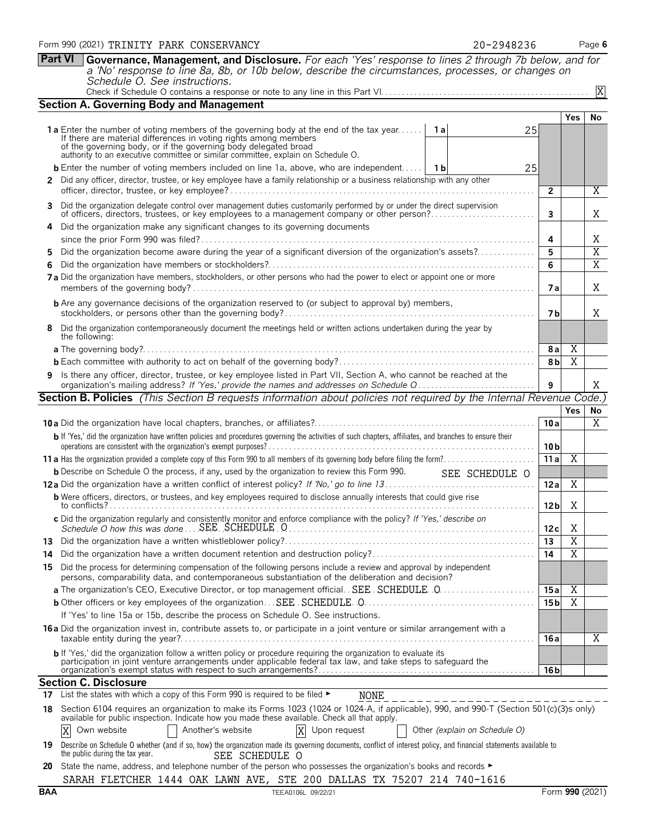|     |                                                                                                                                                                                                                                         | $\mathbf{2}$    |                       | Χ              |
|-----|-----------------------------------------------------------------------------------------------------------------------------------------------------------------------------------------------------------------------------------------|-----------------|-----------------------|----------------|
| 3   | Did the organization delegate control over management duties customarily performed by or under the direct supervision<br>of officers, directors, trustees, or key employees to a management company or other person?                    | 3               |                       | Χ              |
| 4   | Did the organization make any significant changes to its governing documents                                                                                                                                                            |                 |                       |                |
|     |                                                                                                                                                                                                                                         | 4               |                       | Χ              |
| 5   | Did the organization become aware during the year of a significant diversion of the organization's assets?                                                                                                                              | 5               |                       | $\overline{X}$ |
| 6   |                                                                                                                                                                                                                                         | 6               |                       | X              |
|     | 7 a Did the organization have members, stockholders, or other persons who had the power to elect or appoint one or more                                                                                                                 | 7а              |                       | Χ              |
|     | <b>b</b> Are any governance decisions of the organization reserved to (or subject to approval by) members,                                                                                                                              | 7 b             |                       | Χ              |
|     | Did the organization contemporaneously document the meetings held or written actions undertaken during the year by<br>the following:                                                                                                    |                 |                       |                |
|     |                                                                                                                                                                                                                                         | <b>8a</b>       | X                     |                |
|     |                                                                                                                                                                                                                                         | 8 <sub>b</sub>  | $\overline{\text{X}}$ |                |
|     | 9 Is there any officer, director, trustee, or key employee listed in Part VII, Section A, who cannot be reached at the<br>organization's mailing address? If 'Yes,' provide the names and addresses on Schedule Q                       | 9               |                       | X              |
|     | Section B. Policies (This Section B requests information about policies not required by the Internal Revenue Code.)                                                                                                                     |                 |                       |                |
|     |                                                                                                                                                                                                                                         |                 | <b>Yes</b>            | <b>No</b>      |
|     |                                                                                                                                                                                                                                         | 10a             |                       | X              |
|     | b If 'Yes,' did the organization have written policies and procedures governing the activities of such chapters, affiliates, and branches to ensure their                                                                               | 10 b            |                       |                |
|     |                                                                                                                                                                                                                                         | 11a             | Χ                     |                |
|     | <b>b</b> Describe on Schedule O the process, if any, used by the organization to review this Form 990. SEE SCHEDULE O                                                                                                                   |                 |                       |                |
|     |                                                                                                                                                                                                                                         | 12a             | Χ                     |                |
|     | <b>b</b> Were officers, directors, or trustees, and key employees required to disclose annually interests that could give rise                                                                                                          | 12 <sub>b</sub> | Χ                     |                |
|     | c Did the organization regularly and consistently monitor and enforce compliance with the policy? If 'Yes,' describe on                                                                                                                 | 12c             | Χ                     |                |
| 13. |                                                                                                                                                                                                                                         | 13              | $\overline{\text{X}}$ |                |
| 14  | Did the organization have a written document retention and destruction policy?                                                                                                                                                          | 14              | $\overline{\text{X}}$ |                |
| 15  | Did the process for determining compensation of the following persons include a review and approval by independent<br>persons, comparability data, and contemporaneous substantiation of the deliberation and decision?                 |                 |                       |                |
|     |                                                                                                                                                                                                                                         | 15a             | $\overline{X}$        |                |
|     |                                                                                                                                                                                                                                         | 15 <sub>b</sub> | $\overline{X}$        |                |
|     | If 'Yes' to line 15a or 15b, describe the process on Schedule O. See instructions.                                                                                                                                                      |                 |                       |                |
|     | 16a Did the organization invest in, contribute assets to, or participate in a joint venture or similar arrangement with a                                                                                                               | 16 a            |                       | Χ              |
|     | b If 'Yes,' did the organization follow a written policy or procedure requiring the organization to evaluate its<br>participation in joint venture arrangements under applicable federal tax law, and take steps to safeguard the       | 16 b            |                       |                |
|     | <b>Section C. Disclosure</b>                                                                                                                                                                                                            |                 |                       |                |
| 17. | List the states with which a copy of this Form 990 is required to be filed ►<br>NONE                                                                                                                                                    |                 |                       |                |
| 18  | Section 6104 requires an organization to make its Forms 1023 (1024 or 1024-A, if applicable), 990, and 990-T (Section 501(c)(3)s only)<br>available for public inspection. Indicate how you made these available. Check all that apply. |                 |                       |                |
|     | Own website<br>Another's website<br>Upon request<br>Χ<br>X<br>Other (explain on Schedule O)                                                                                                                                             |                 |                       |                |
| 19  | Describe on Schedule O whether (and if so, how) the organization made its governing documents, conflict of interest policy, and financial statements available to<br>the public during the tax year.<br>SEE SCHEDULE O                  |                 |                       |                |
| 20  | State the name, address, and telephone number of the person who possesses the organization's books and records ►                                                                                                                        |                 |                       |                |
|     | SARAH FLETCHER 1444 OAK LAWN AVE, STE 200 DALLAS TX 75207 214 740-1616                                                                                                                                                                  |                 |                       |                |
| BAA | TEEA0106L 09/22/21                                                                                                                                                                                                                      |                 | Form 990 (2021)       |                |

| Form 990 (2021) TRINITY PARK CONSERVANCY | 20-2948236 | Page 6 |
|------------------------------------------|------------|--------|
|------------------------------------------|------------|--------|

**Section A. Governing Body and Management**

**Part VI Governance, Management, and Disclosure.** *For each 'Yes' response to lines 2 through 7b below, and for a 'No' response to line 8a, 8b, or 10b below, describe the circumstances, processes, or changes on Schedule O. See instructions.*

| Check if Schedule O contains a response or note to any line in this Part VI |  |  |  |  |  |  |
|-----------------------------------------------------------------------------|--|--|--|--|--|--|
|                                                                             |  |  |  |  |  |  |

authority to an executive committee or similar committee, explain on Schedule O.

1 **a** Enter the number of voting members of the governing body at the end of the tax year...... 1 **a**<br>If there are material differences in voting rights among members<br>of the governing body, or if the governing body delegat

**b** Enter the number of voting members included on line 1a, above, who are independent..... 1 **1b** 

**2** Did any officer, director, trustee, or key employee have a family relationship or a business relationship with any other

25

25

Check if Schedule O contains a response or note to any line in this Part VI. . . . . . . . . . . . . . . . . . . . . . . . . . . . . . . . . . . . . . . . . . . . . . . . . .

X

**Yes No**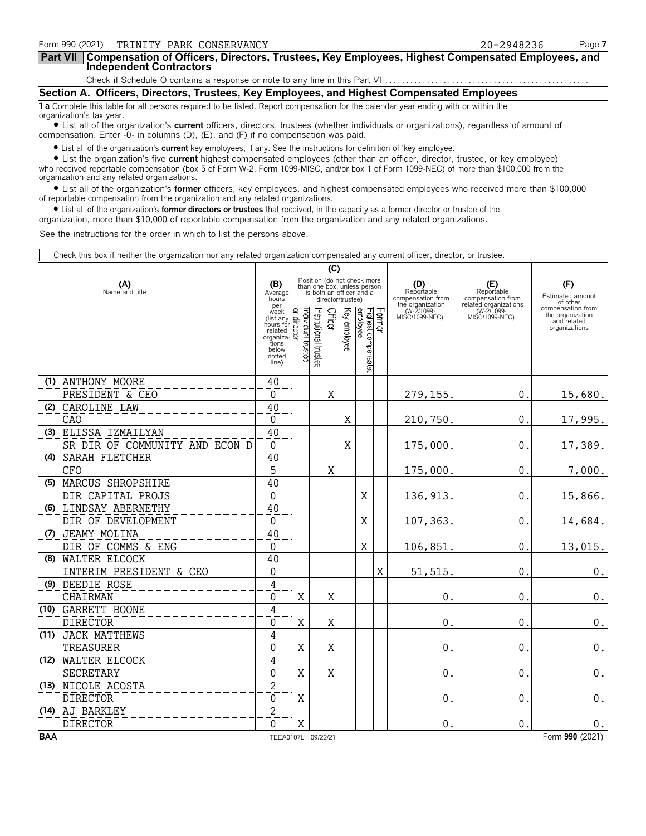| Form 990 (2021) TRINITY PARK CONSERVANCY                                                                                                                              | 20-2948236 | Page 7 |
|-----------------------------------------------------------------------------------------------------------------------------------------------------------------------|------------|--------|
| Part VII   Compensation of Officers, Directors, Trustees, Key Employees, Highest Compensated Employees, and<br>Independent Contractors                                |            |        |
|                                                                                                                                                                       |            |        |
| Section A. Officers, Directors, Trustees, Key Employees, and Highest Compensated Employees                                                                            |            |        |
| <b>1 a</b> Complete this table for all persons required to be listed. Report compensation for the calendar year ending with or within the<br>organization's tax year. |            |        |

? List all of the organization's **current** officers, directors, trustees (whether individuals or organizations), regardless of amount of compensation. Enter -0- in columns (D), (E), and (F) if no compensation was paid.

? List all of the organization's **current** key employees, if any. See the instructions for definition of 'key employee.'

? List the organization's five **current** highest compensated employees (other than an officer, director, trustee, or key employee) who received reportable compensation (box 5 of Form W-2, Form 1099-MISC, and/or box 1 of Form 1099-NEC) of more than \$100,000 from the organization and any related organizations.

? List all of the organization's **former** officers, key employees, and highest compensated employees who received more than \$100,000 of reportable compensation from the organization and any related organizations.

? List all of the organization's **former directors or trustees** that received, in the capacity as a former director or trustee of the

organization, more than \$10,000 of reportable compensation from the organization and any related organizations.

See the instructions for the order in which to list the persons above.

Check this box if neither the organization nor any related organization compensated any current officer, director, or trustee.

|            |                                                        |                                                                                             |                              |                      | (C)         |                   |                                                                                        |   |                                                            |                                                                 |                                                                       |
|------------|--------------------------------------------------------|---------------------------------------------------------------------------------------------|------------------------------|----------------------|-------------|-------------------|----------------------------------------------------------------------------------------|---|------------------------------------------------------------|-----------------------------------------------------------------|-----------------------------------------------------------------------|
|            | (A)<br>Name and title                                  | (B)<br>Average<br>hours<br>per                                                              |                              |                      |             | director/trustee) | Position (do not check more<br>than one box, unless person<br>is both an officer and a |   | (D)<br>Reportable<br>compensation from<br>the organization | (E)<br>Reportable<br>compensation from<br>related organizations | (F)<br>Estimated amount<br>of other                                   |
|            |                                                        | week<br>(list any<br>hours for<br>related<br>organiza-<br>tions<br>below<br>dotted<br>line) | ndividual<br>direct<br>mstee | nstitutional trustee | Officer     | Key employee      | Former<br>Highest compensated<br>employee                                              |   | (W-2/1099-<br>MISC/1099-NEC)                               | (W-2/1099-<br>MISC/1099-NEC)                                    | compensation from<br>the organization<br>and related<br>organizations |
|            | (1) ANTHONY MOORE                                      | 40                                                                                          |                              |                      |             |                   |                                                                                        |   |                                                            |                                                                 |                                                                       |
|            | PRESIDENT & CEO                                        | $\Omega$                                                                                    |                              |                      | $\mathbf X$ |                   |                                                                                        |   | 279,155                                                    | $\mathbf{0}$ .                                                  | 15,680.                                                               |
|            | (2) CAROLINE LAW                                       | 40                                                                                          |                              |                      |             |                   |                                                                                        |   |                                                            |                                                                 |                                                                       |
|            | <b>CAO</b>                                             | $\theta$                                                                                    |                              |                      |             | X                 |                                                                                        |   | 210,750                                                    | 0.                                                              | 17,995.                                                               |
|            | (3) ELISSA IZMAILYAN<br>SR DIR OF COMMUNITY AND ECON D | 40<br>0                                                                                     |                              |                      |             | X                 |                                                                                        |   | 175,000                                                    | $\theta$ .                                                      | 17,389.                                                               |
|            | (4) SARAH FLETCHER                                     | 40                                                                                          |                              |                      |             |                   |                                                                                        |   |                                                            |                                                                 |                                                                       |
|            | <b>CFO</b>                                             | 5                                                                                           |                              |                      | X           |                   |                                                                                        |   | 175,000                                                    | $\mathbf{0}$ .                                                  | 7,000.                                                                |
|            | (5) MARCUS SHROPSHIRE                                  | 40                                                                                          |                              |                      |             |                   |                                                                                        |   |                                                            |                                                                 |                                                                       |
|            | DIR CAPITAL PROJS                                      | 0                                                                                           |                              |                      |             |                   | Χ                                                                                      |   | 136,913                                                    | $\mathbf 0$ .                                                   | 15,866.                                                               |
|            | (6) LINDSAY ABERNETHY                                  | 40                                                                                          |                              |                      |             |                   |                                                                                        |   |                                                            |                                                                 |                                                                       |
|            | DIR OF DEVELOPMENT                                     | $\mathbf{0}$                                                                                |                              |                      |             |                   | X                                                                                      |   | 107,363                                                    | $\mathbf 0$ .                                                   | 14,684.                                                               |
|            | (7) JEAMY MOLINA                                       | 40                                                                                          |                              |                      |             |                   |                                                                                        |   |                                                            |                                                                 |                                                                       |
|            | DIR OF COMMS & ENG                                     | 0                                                                                           |                              |                      |             |                   | Χ                                                                                      |   | 106,851                                                    | $\mathbf 0$ .                                                   | 13,015.                                                               |
|            | (8) WALTER ELCOCK                                      | 40                                                                                          |                              |                      |             |                   |                                                                                        |   |                                                            |                                                                 |                                                                       |
|            | INTERIM PRESIDENT & CEO                                | 0                                                                                           |                              |                      |             |                   |                                                                                        | X | 51,515                                                     | 0                                                               | 0.                                                                    |
|            | (9) DEEDIE ROSE                                        | $\sqrt{4}$                                                                                  |                              |                      |             |                   |                                                                                        |   |                                                            |                                                                 |                                                                       |
|            | CHAIRMAN                                               | 0                                                                                           | Χ                            |                      | X           |                   |                                                                                        |   | 0                                                          | $\mathbf 0$                                                     | $\boldsymbol{0}$ .                                                    |
|            | (10) GARRETT BOONE                                     | 4                                                                                           |                              |                      |             |                   |                                                                                        |   |                                                            |                                                                 |                                                                       |
|            | <b>DIRECTOR</b>                                        | 0                                                                                           | Χ                            |                      | X           |                   |                                                                                        |   | 0                                                          | 0                                                               | $\boldsymbol{0}$ .                                                    |
|            | (11) JACK MATTHEWS                                     | 4                                                                                           |                              |                      |             |                   |                                                                                        |   |                                                            |                                                                 |                                                                       |
|            | TREASURER                                              | $\mathbf{0}$                                                                                | X                            |                      | X           |                   |                                                                                        |   | $\mathbf 0$                                                | $\mathbf{0}$ .                                                  | $\boldsymbol{0}$ .                                                    |
|            | (12) WALTER ELCOCK                                     | $\overline{4}$                                                                              |                              |                      |             |                   |                                                                                        |   |                                                            |                                                                 |                                                                       |
|            | <b>SECRETARY</b>                                       | 0                                                                                           | Χ                            |                      | $\rm X$     |                   |                                                                                        |   | $\mathbf 0$                                                | $\mathbf{0}$ .                                                  | $\boldsymbol{0}$ .                                                    |
|            | (13) NICOLE ACOSTA                                     | $\overline{c}$                                                                              |                              |                      |             |                   |                                                                                        |   |                                                            |                                                                 |                                                                       |
|            | <b>DIRECTOR</b>                                        | $\mathbf 0$                                                                                 | Χ                            |                      |             |                   |                                                                                        |   | $\Omega$                                                   | $\mathbf 0$ .                                                   | 0.                                                                    |
|            | (14) AJ BARKLEY                                        | $\overline{c}$                                                                              |                              |                      |             |                   |                                                                                        |   |                                                            |                                                                 |                                                                       |
|            | <b>DIRECTOR</b>                                        | $\Omega$                                                                                    | X                            |                      |             |                   |                                                                                        |   | $\mathbf 0$                                                | $\mathbf 0$ .                                                   | 0.                                                                    |
| <b>BAA</b> |                                                        | TEEA0107L 09/22/21                                                                          |                              |                      |             |                   |                                                                                        |   |                                                            |                                                                 | Form 990 (2021)                                                       |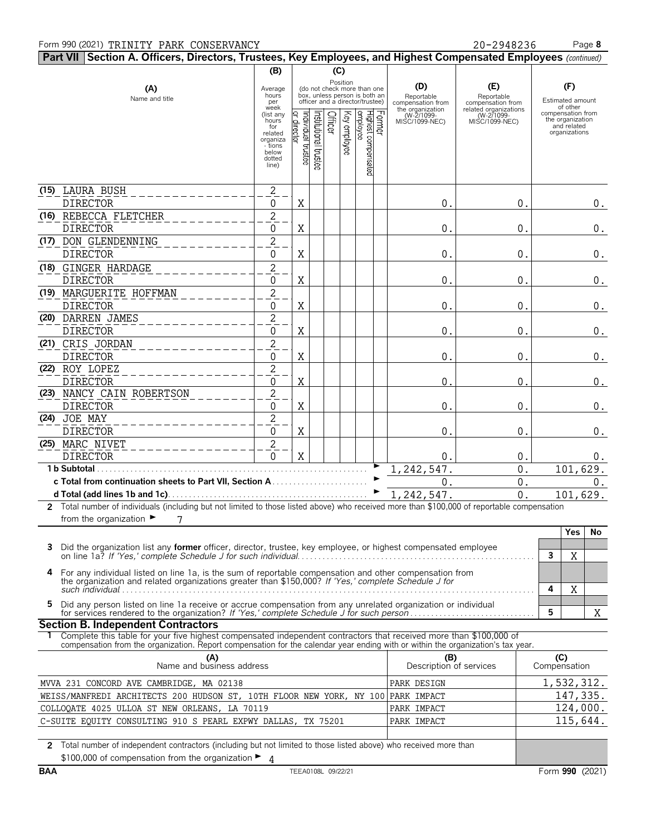#### Form 990 (2021) TRINITY PARK CONSERVANCY **20-2948236** Page 8

**Part VII Section A. Officers, Directors, Trustees, Key Employees, and Highest Compensated Employees** *(continued)* **(B) (C)** (A) **Average Conduct Position (B) (D) (E) (F) (F)** hours MISC/1099-NEC) MISC/1099-NEC) the organization Name and title<br>
Name and title<br>
Name and title<br>  $\frac{\text{top}}{\text{error of the original variable}}$ <br>  $\frac{\text{top}}{\text{error of the original variable}}$ <br>  $\frac{\text{top}}{\text{error of the original variable}}$ <br>  $\frac{\text{top}}{\text{error of the original variable}}$ <br>  $\frac{\text{top}}{\text{error of the original variable}}$ <br>  $\frac{\text{top}}{\text{error of the original variable}}$ <br>  $\frac{\text{top}}{\text{error of the original variable}}$ <br>  $\frac{\text{top}}{\text{error of the original variable}}$ <br>  $\frac{\text{top}}{\text{error of$ for  $\bar{\mathbb{R}}$   $\leq$   $\leq$   $\bar{\mathbb{R}}$   $\leq$   $\frac{1}{2}$   $\frac{1}{2}$  and  $\frac{1}{2}$  and  $\frac{1}{2}$  and  $\frac{1}{2}$  and  $\frac{1}{2}$ related 월占등|꼭 글 동원옥 \_ \_ \_ \_ \_ \_ \_ \_ \_ \_ \_ \_ \_ \_ \_ \_ \_ organizations organiza - tions Il trustee below dotted line) **(15)** LAURA BUSH 2 DIRECTOR 0 X 0. 0. 0. **(16)** REBECCA FLETCHER 2 DIRECTOR 0 X 0. 0. 0. DON GLENDENNING 2 **(17)** DIRECTOR 0 X 0. 0. 0. **(18)** GINGER HARDAGE 2 DIRECTOR 0 X 0. 0. 0. **(19)** MARGUERITE HOFFMAN 2 DIRECTOR 0 X 0. 0. 0. <u>(20) DARREN JAMES \_ \_ \_ \_ \_ \_ \_ \_ \_ \_ \_ \_ \_ \_ \_ \_ \_ 2</u> DIRECTOR 0 X 0. 0. 0. **(21)** CRIS JORDAN 2 DIRECTOR 0 X 0. 0. 0. **(22)** ROY LOPEZ 2 DIRECTOR 0 X 0. 0. 0. **(23)** NANCY CAIN ROBERTSON 2 DIRECTOR 0 X 0. 0. 0. **(24)** JOE MAY 2 DIRECTOR 0 X 0. 0. 0. **(25)** MARC NIVET 2 DIRECTOR 0 X 0. 0. 0. 1,242,547. 0. 101,629. **1 b Subtotal**. . . . . . . . . . . . . . . . . . . . . . . . . . . . . . . . . . . . . . . . . . . . . . . . . . . . . . . . . . . . . . . . . . G **c Total from continuation sheets to Part VII, Section A** . . . . . . . . . . . . . . . . . . . . . . . G 0. 0. 0. **d Total (add lines 1b and 1c)**. . . . . . . . . . . . . . . . . . . . . . . . . . . . . . . . . . . . . . . . . . . . . . . . G 1,242,547. 0. 101,629. **2** Total number of individuals (including but not limited to those listed above) who received more than \$100,000 of reportable compensation from the organization  $\blacktriangleright$ 7 **Yes No 3** Did the organization list any **former** officer, director, trustee, key employee, or highest compensated employee on line 1a? *If 'Yes,' complete Schedule J for such individual*. . . . . . . . . . . . . . . . . . . . . . . . . . . . . . . . . . . . . . . . . . . . . . . . . . . . . . . . . **3** X **4** For any individual listed on line 1a, is the sum of reportable compensation and other compensation from the organization and related organizations greater than \$150,000? *If 'Yes,' complete Schedule J for*  $\left| \frac{1}{2} \right|$ X 5 Did any person listed on line 1a receive or accrue compensation from any unrelated organization or individual<br>for services rendered to the organization? If 'Yes,' complete Schedule J for such person...................... X **Section B. Independent Contractors 1** Complete this table for your five highest compensated independent contractors that received more than \$100,000 of compensation from the organization. Report compensation for the calendar year ending with or within the organization's tax year. **(A) (B) (C)** Name and business address Description of services Compensation MVVA 231 CONCORD AVE CAMBRIDGE, MA 02138 PARK DESIGN 1,532,312. WEISS/MANFREDI ARCHITECTS 200 HUDSON ST, 10TH FLOOR NEW YORK, NY 100 PARK IMPACT 147,335. COLLOQATE 4025 ULLOA ST NEW ORLEANS, LA 70119 PARK PARK IMPACT 124,000. 115,644. C-SUITE EQUITY CONSULTING 910 S PEARL EXPWY DALLAS, TX 75201 PARK IMPACT **2** Total number of independent contractors (including but not limited to those listed above) who received more than

\$100,000 of compensation from the organization ►  $\Lambda$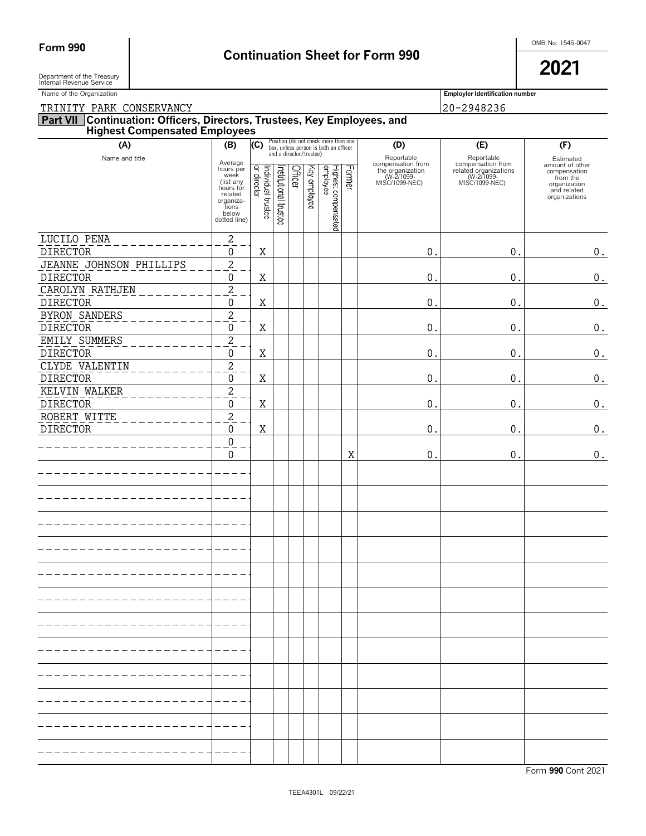# Form 990 **Continuation Sheet for Form 990 Continuation Sheet for Form 990**

Department of the Treasury  $\overline{\phantom{a}}$ Department of the Treasury<br>Internal Revenue Service

Name of the Organization **Employler Identification number Employler Identification number** 

TRINITY PARK CONSERVANCY 20-2948236

| (A)                                | (B)                                                                                                              | (C)                                |                       |                                    |              | Position (do not check more than one<br>box, unless person is both an officer |               | (D)                                                                                     | (E)                                                                                      | (F)                                                                                                      |
|------------------------------------|------------------------------------------------------------------------------------------------------------------|------------------------------------|-----------------------|------------------------------------|--------------|-------------------------------------------------------------------------------|---------------|-----------------------------------------------------------------------------------------|------------------------------------------------------------------------------------------|----------------------------------------------------------------------------------------------------------|
| Name and title                     | Average<br>hours per<br>week<br>(list any<br>hours for<br>related<br>organiza-<br>tions<br>below<br>dotted line) | Individual trustee<br> or director | Institutional trustee | and a director/trustee)<br>Officer | Key employee | Highest compensated<br>employee                                               | <b>Former</b> | Reportable<br>compensation from<br>the organization<br>(W-2/1099-NEC)<br>MISC/1099-NEC) | Reportable<br>compensation from<br>related organizations<br>(W-2/1099-<br>MISC/1099-NEC) | Estimated<br>amount of other<br>compensation<br>from the<br>organization<br>and related<br>organizations |
|                                    |                                                                                                                  |                                    |                       |                                    |              |                                                                               |               |                                                                                         |                                                                                          |                                                                                                          |
| LUCILO PENA<br><b>DIRECTOR</b>     | $\mathbf{2}$<br>$\mathbf 0$                                                                                      | Χ                                  |                       |                                    |              |                                                                               |               | 0.                                                                                      | $0$ .                                                                                    | $\boldsymbol{0}$ .                                                                                       |
| JEANNE JOHNSON PHILLIPS            | $\overline{2}$                                                                                                   |                                    |                       |                                    |              |                                                                               |               |                                                                                         |                                                                                          |                                                                                                          |
| <b>DIRECTOR</b>                    | 0                                                                                                                | Χ                                  |                       |                                    |              |                                                                               |               | 0.                                                                                      | 0.                                                                                       | 0.                                                                                                       |
| CAROLYN RATHJEN<br><b>DIRECTOR</b> | $\sqrt{2}$<br>0                                                                                                  | Χ                                  |                       |                                    |              |                                                                               |               | 0.                                                                                      | 0.                                                                                       | 0.                                                                                                       |
| <b>BYRON SANDERS</b>               | $\overline{\mathbf{c}}$                                                                                          |                                    |                       |                                    |              |                                                                               |               |                                                                                         |                                                                                          |                                                                                                          |
| <b>DIRECTOR</b>                    | 0                                                                                                                | Χ                                  |                       |                                    |              |                                                                               |               | $0$ .                                                                                   | 0.                                                                                       | 0.                                                                                                       |
| EMILY SUMMERS<br><b>DIRECTOR</b>   | $\overline{2}$<br>0                                                                                              | Χ                                  |                       |                                    |              |                                                                               |               | $0$ .                                                                                   | 0.                                                                                       | 0.                                                                                                       |
| CLYDE VALENTIN                     | $\overline{2}$                                                                                                   |                                    |                       |                                    |              |                                                                               |               |                                                                                         |                                                                                          |                                                                                                          |
| <b>DIRECTOR</b>                    | 0                                                                                                                | Χ                                  |                       |                                    |              |                                                                               |               | 0.                                                                                      | 0.                                                                                       | 0.                                                                                                       |
| KELVIN WALKER<br><b>DIRECTOR</b>   | $\overline{2}$<br>0                                                                                              | Χ                                  |                       |                                    |              |                                                                               |               | 0.                                                                                      | 0.                                                                                       | 0.                                                                                                       |
| ROBERT WITTE                       | $\overline{c}$                                                                                                   |                                    |                       |                                    |              |                                                                               |               |                                                                                         |                                                                                          |                                                                                                          |
| <b>DIRECTOR</b>                    | 0                                                                                                                | Χ                                  |                       |                                    |              |                                                                               |               | 0.                                                                                      | 0.                                                                                       | 0.                                                                                                       |
|                                    | $\pmb{0}$<br>$\mathbf{0}$                                                                                        |                                    |                       |                                    |              |                                                                               | Χ             | 0.                                                                                      | 0.                                                                                       | 0.                                                                                                       |
|                                    |                                                                                                                  |                                    |                       |                                    |              |                                                                               |               |                                                                                         |                                                                                          |                                                                                                          |
|                                    |                                                                                                                  |                                    |                       |                                    |              |                                                                               |               |                                                                                         |                                                                                          |                                                                                                          |
|                                    |                                                                                                                  |                                    |                       |                                    |              |                                                                               |               |                                                                                         |                                                                                          |                                                                                                          |
|                                    |                                                                                                                  |                                    |                       |                                    |              |                                                                               |               |                                                                                         |                                                                                          |                                                                                                          |
|                                    |                                                                                                                  |                                    |                       |                                    |              |                                                                               |               |                                                                                         |                                                                                          |                                                                                                          |
|                                    |                                                                                                                  |                                    |                       |                                    |              |                                                                               |               |                                                                                         |                                                                                          |                                                                                                          |
|                                    |                                                                                                                  |                                    |                       |                                    |              |                                                                               |               |                                                                                         |                                                                                          |                                                                                                          |
|                                    |                                                                                                                  |                                    |                       |                                    |              |                                                                               |               |                                                                                         |                                                                                          |                                                                                                          |
|                                    |                                                                                                                  |                                    |                       |                                    |              |                                                                               |               |                                                                                         |                                                                                          |                                                                                                          |
|                                    |                                                                                                                  |                                    |                       |                                    |              |                                                                               |               |                                                                                         |                                                                                          |                                                                                                          |
|                                    |                                                                                                                  |                                    |                       |                                    |              |                                                                               |               |                                                                                         |                                                                                          |                                                                                                          |
|                                    |                                                                                                                  |                                    |                       |                                    |              |                                                                               |               |                                                                                         |                                                                                          |                                                                                                          |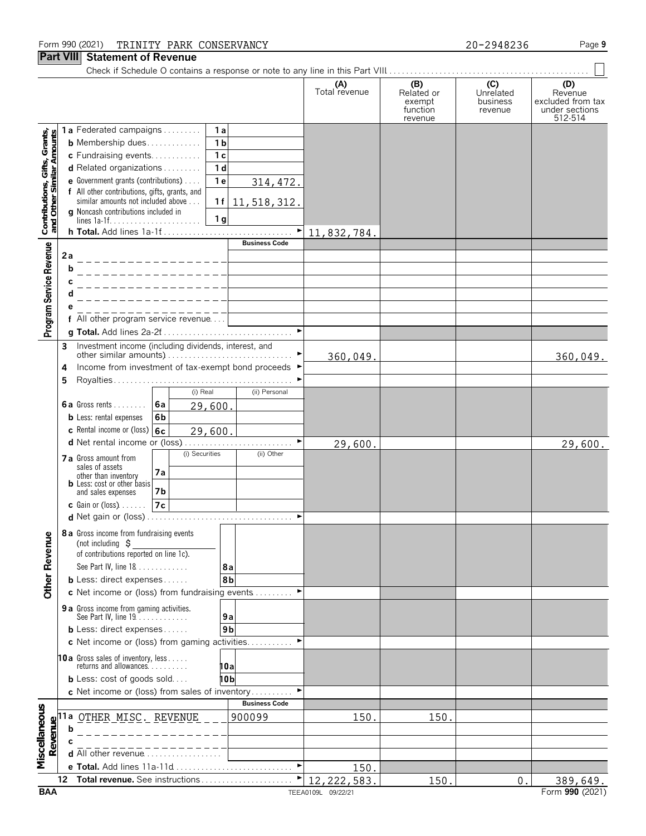#### Form 990 (2021) Page **9** TRINITY PARK CONSERVANCY 20-2948236

#### **Part VIII Statement of Revenue**

|                                                            |    |                                                                                      |                |                      | (A)<br>Total revenue               | (B)<br>Related or<br>exempt<br>function<br>revenue | (C)<br>Unrelated<br>business<br>revenue | (D)<br>Revenue<br>excluded from tax<br>under sections<br>512-514 |
|------------------------------------------------------------|----|--------------------------------------------------------------------------------------|----------------|----------------------|------------------------------------|----------------------------------------------------|-----------------------------------------|------------------------------------------------------------------|
|                                                            |    | 1a Federated campaigns                                                               | 1a             |                      |                                    |                                                    |                                         |                                                                  |
| Contributions, Gifts, Grants,<br>and Other Similar Amounts |    | <b>b</b> Membership dues                                                             | 1 <sub>b</sub> |                      |                                    |                                                    |                                         |                                                                  |
|                                                            |    | c Fundraising events                                                                 | 1 <sub>c</sub> |                      |                                    |                                                    |                                         |                                                                  |
|                                                            |    | <b>d</b> Related organizations $\ldots$                                              | 1 <sub>d</sub> |                      |                                    |                                                    |                                         |                                                                  |
|                                                            |    | e Government grants (contributions)<br>f All other contributions, gifts, grants, and | 1 <sub>e</sub> | 314, 472.            |                                    |                                                    |                                         |                                                                  |
|                                                            |    | similar amounts not included above                                                   | 1f             | 11, 518, 312.        |                                    |                                                    |                                         |                                                                  |
|                                                            |    | g Noncash contributions included in                                                  | 1 <sub>g</sub> |                      |                                    |                                                    |                                         |                                                                  |
|                                                            |    |                                                                                      |                | ۲                    | 11,832,784                         |                                                    |                                         |                                                                  |
|                                                            |    |                                                                                      |                | <b>Business Code</b> |                                    |                                                    |                                         |                                                                  |
| Program Service Revenue                                    | 2a |                                                                                      |                |                      |                                    |                                                    |                                         |                                                                  |
|                                                            |    | b                                                                                    |                |                      |                                    |                                                    |                                         |                                                                  |
|                                                            |    |                                                                                      |                |                      |                                    |                                                    |                                         |                                                                  |
|                                                            |    |                                                                                      |                |                      |                                    |                                                    |                                         |                                                                  |
|                                                            |    |                                                                                      |                |                      |                                    |                                                    |                                         |                                                                  |
|                                                            |    | All other program service revenue                                                    |                |                      |                                    |                                                    |                                         |                                                                  |
|                                                            |    |                                                                                      |                |                      |                                    |                                                    |                                         |                                                                  |
|                                                            | 3  | Investment income (including dividends, interest, and                                |                |                      | 360,049.                           |                                                    |                                         | 360,049.                                                         |
|                                                            | 4  | Income from investment of tax-exempt bond proceeds ▶                                 |                |                      |                                    |                                                    |                                         |                                                                  |
|                                                            | 5  |                                                                                      |                |                      |                                    |                                                    |                                         |                                                                  |
|                                                            |    | (i) Real                                                                             |                | (ii) Personal        |                                    |                                                    |                                         |                                                                  |
|                                                            |    | 6a<br>6a Gross rents                                                                 | 29,600.        |                      |                                    |                                                    |                                         |                                                                  |
|                                                            |    | <b>b</b> Less: rental expenses<br>6b                                                 |                |                      |                                    |                                                    |                                         |                                                                  |
|                                                            |    | c Rental income or (loss) 6c                                                         | 29,600.        |                      |                                    |                                                    |                                         |                                                                  |
|                                                            |    | (i) Securities                                                                       |                | (ii) Other           | 29,600.                            |                                                    |                                         | 29,600.                                                          |
|                                                            |    | 7 a Gross amount from<br>sales of assets                                             |                |                      |                                    |                                                    |                                         |                                                                  |
|                                                            |    | 7a<br>other than inventory<br><b>b</b> Less: cost or other basis                     |                |                      |                                    |                                                    |                                         |                                                                  |
|                                                            |    | and sales expenses<br>7b                                                             |                |                      |                                    |                                                    |                                         |                                                                  |
|                                                            |    | 7c<br><b>c</b> Gain or (loss) $\ldots$ .                                             |                |                      |                                    |                                                    |                                         |                                                                  |
|                                                            |    | <b>d</b> Net gain or (loss)                                                          |                |                      |                                    |                                                    |                                         |                                                                  |
|                                                            |    | <b>8 a</b> Gross income from fundraising events                                      |                |                      |                                    |                                                    |                                         |                                                                  |
|                                                            |    | (not including $\sharp$<br>of contributions reported on line 1c).                    |                |                      |                                    |                                                    |                                         |                                                                  |
|                                                            |    | See Part IV, line 18                                                                 | 8a             |                      |                                    |                                                    |                                         |                                                                  |
| <b>Other Revenue</b>                                       |    | <b>b</b> Less: direct expenses $\ldots$ .                                            | 8b             |                      |                                    |                                                    |                                         |                                                                  |
|                                                            |    | c Net income or (loss) from fundraising events                                       |                |                      |                                    |                                                    |                                         |                                                                  |
|                                                            |    | <b>9 a</b> Gross income from gaming activities.                                      |                |                      |                                    |                                                    |                                         |                                                                  |
|                                                            |    | See Part IV, line 19.                                                                | 9a             |                      |                                    |                                                    |                                         |                                                                  |
|                                                            |    | <b>b</b> Less: direct expenses                                                       | 9 <sub>b</sub> |                      |                                    |                                                    |                                         |                                                                  |
|                                                            |    | c Net income or (loss) from gaming activities                                        |                |                      |                                    |                                                    |                                         |                                                                  |
|                                                            |    | <b>10a</b> Gross sales of inventory, less<br>returns and allowances                  | 10a            |                      |                                    |                                                    |                                         |                                                                  |
|                                                            |    | <b>b</b> Less: cost of goods sold                                                    | 10b            |                      |                                    |                                                    |                                         |                                                                  |
|                                                            |    | c Net income or (loss) from sales of inventory                                       |                |                      |                                    |                                                    |                                         |                                                                  |
|                                                            |    |                                                                                      |                | <b>Business Code</b> |                                    |                                                    |                                         |                                                                  |
| Miscellaneous                                              |    | 11a <u>OTHER MISC. REVENUE</u>                                                       |                | 900099               | 150                                | 150                                                |                                         |                                                                  |
|                                                            |    | b                                                                                    |                |                      |                                    |                                                    |                                         |                                                                  |
| Revenue                                                    |    |                                                                                      |                |                      |                                    |                                                    |                                         |                                                                  |
|                                                            |    | d All other revenue                                                                  |                |                      |                                    |                                                    |                                         |                                                                  |
|                                                            | 12 | e Total. Add lines 11a-11d<br>Total revenue. See instructions                        |                |                      | 150                                |                                                    |                                         |                                                                  |
| <b>BAA</b>                                                 |    |                                                                                      |                |                      | 12, 222, 583<br>TEEA0109L 09/22/21 | 150                                                | 0.                                      | 389,649.<br>Form 990 (2021)                                      |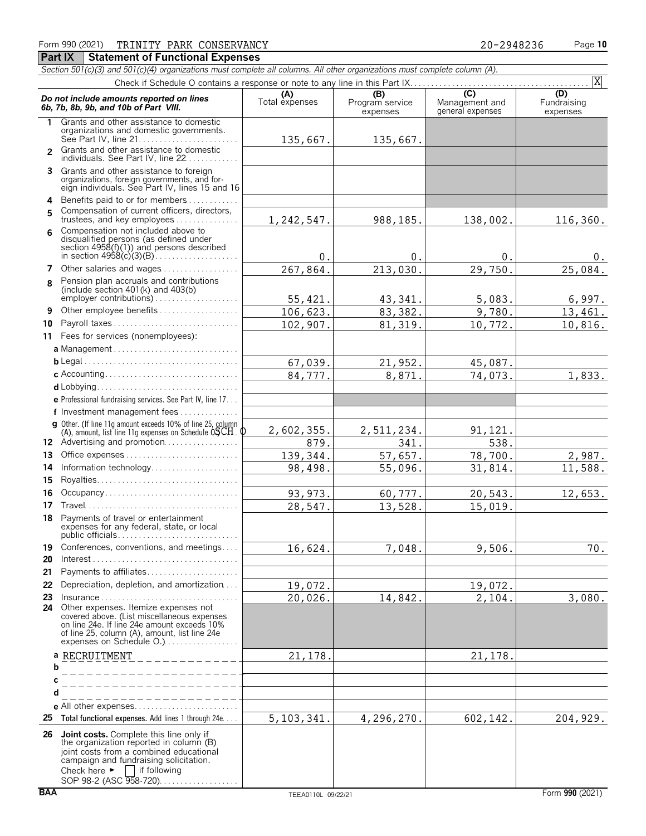*Section 501(c)(3) and 501(c)(4) organizations must complete all columns. All other organizations must complete column (A).* Check if Schedule O contains a response or note to any line in this Part IX.

|               |                                                                                                                                                                                                                                                                                               |                       |                                    |                                                                 | X                              |
|---------------|-----------------------------------------------------------------------------------------------------------------------------------------------------------------------------------------------------------------------------------------------------------------------------------------------|-----------------------|------------------------------------|-----------------------------------------------------------------|--------------------------------|
|               | Do not include amounts reported on lines<br>6b, 7b, 8b, 9b, and 10b of Part VIII.                                                                                                                                                                                                             | (A)<br>Total expenses | (B)<br>Program service<br>expenses | $\overline{(\mathsf{C})}$<br>Management and<br>general expenses | (D)<br>Fundraising<br>expenses |
| 1.            | Grants and other assistance to domestic<br>organizations and domestic governments.<br>See Part IV, line 21                                                                                                                                                                                    | 135,667.              | 135,667.                           |                                                                 |                                |
| $\mathcal{P}$ | Grants and other assistance to domestic<br>individuals. See Part IV, line 22                                                                                                                                                                                                                  |                       |                                    |                                                                 |                                |
|               | 3 Grants and other assistance to foreign<br>organizations, foreign governments, and foreign individuals. See Part IV, lines 15 and 16                                                                                                                                                         |                       |                                    |                                                                 |                                |
| 4<br>5        | Benefits paid to or for members<br>Compensation of current officers, directors,<br>trustees, and key employees                                                                                                                                                                                | 1,242,547.            | 988,185.                           | 138,002.                                                        | 116,360.                       |
| 6             | Compensation not included above to<br>disqualified persons (as defined under<br>section $4958(f)(1)$ and persons described                                                                                                                                                                    | 0.                    | $\mathbf{0}$                       | 0.                                                              | 0.                             |
| 7             | Other salaries and wages                                                                                                                                                                                                                                                                      | 267,864.              | 213,030                            | 29,750.                                                         | 25,084.                        |
| 8             | Pension plan accruals and contributions<br>(include section $401(k)$ and $403(b)$<br>employer contributions)                                                                                                                                                                                  |                       |                                    |                                                                 |                                |
|               |                                                                                                                                                                                                                                                                                               | 55, 421.              | 43,341                             | 5,083.                                                          | 6,997.                         |
| 9             | Other employee benefits                                                                                                                                                                                                                                                                       | 106,623.              | 83,382                             | 9,780.                                                          | 13,461.                        |
| 10            | Payroll taxes                                                                                                                                                                                                                                                                                 | 102,907.              | 81, 319.                           | 10,772.                                                         | 10,816.                        |
| 11            | Fees for services (nonemployees):                                                                                                                                                                                                                                                             |                       |                                    |                                                                 |                                |
|               |                                                                                                                                                                                                                                                                                               |                       |                                    |                                                                 |                                |
|               |                                                                                                                                                                                                                                                                                               | 67,039.               | 21,952                             | 45,087.                                                         |                                |
|               |                                                                                                                                                                                                                                                                                               | 84,777.               | 8,871                              | 74,073.                                                         | 1,833.                         |
|               |                                                                                                                                                                                                                                                                                               |                       |                                    |                                                                 |                                |
|               | e Professional fundraising services. See Part IV, line 17                                                                                                                                                                                                                                     |                       |                                    |                                                                 |                                |
|               | f Investment management fees                                                                                                                                                                                                                                                                  |                       |                                    |                                                                 |                                |
|               | <b>g</b> Other. (If line 11g amount exceeds 10% of line 25, column $(A)$ , amount, list line 11g expenses on Schedule OSCH. Q                                                                                                                                                                 | 2,602,355.            | 2,511,234.                         | 91,121.                                                         |                                |
|               | 12 Advertising and promotion                                                                                                                                                                                                                                                                  | 879.                  | 341.                               | 538.                                                            |                                |
| 13            | Office expenses                                                                                                                                                                                                                                                                               | 139,344.              | 57,657.                            | 78,700.                                                         | 2,987.                         |
| 14            | Information technology                                                                                                                                                                                                                                                                        | 98,498.               | 55,096.                            | 31,814.                                                         | 11,588.                        |
| 15            |                                                                                                                                                                                                                                                                                               |                       |                                    |                                                                 |                                |
| 16            | Occupancy                                                                                                                                                                                                                                                                                     | 93, 973.              | 60,777.                            | 20,543.                                                         | 12,653.                        |
| 17            |                                                                                                                                                                                                                                                                                               | 28,547.               | 13,528.                            | 15,019.                                                         |                                |
|               | <b>18</b> Payments of travel or entertainment<br>expenses for any federal, state, or local<br>public officials                                                                                                                                                                                |                       |                                    |                                                                 |                                |
| 20            | 19 Conferences, conventions, and meetings                                                                                                                                                                                                                                                     | 16,624.               | 7,048.                             | 9,506.                                                          | $70.$                          |
| 21            | Payments to affiliates                                                                                                                                                                                                                                                                        |                       |                                    |                                                                 |                                |
| 22            | Depreciation, depletion, and amortization                                                                                                                                                                                                                                                     | 19,072.               |                                    | 19,072.                                                         |                                |
| 23<br>24      | $Insurance \ldots \ldots \ldots \ldots \ldots \ldots \ldots \ldots \ldots$<br>Other expenses. Itemize expenses not<br>covered above. (List miscellaneous expenses<br>on line 24e. If line 24e amount exceeds 10%<br>of line 25, column (A), amount, list line 24e<br>expenses on Schedule O.) | 20,026.               | 14,842.                            | 2,104.                                                          | 3,080.                         |
|               | a RECRUITMENT<br><u> 1999 – Ludwi</u>                                                                                                                                                                                                                                                         | 21, 178.              |                                    | 21, 178.                                                        |                                |
|               | b                                                                                                                                                                                                                                                                                             |                       |                                    |                                                                 |                                |
|               | с                                                                                                                                                                                                                                                                                             |                       |                                    |                                                                 |                                |
|               | d<br>_______________                                                                                                                                                                                                                                                                          |                       |                                    |                                                                 |                                |
|               |                                                                                                                                                                                                                                                                                               |                       |                                    |                                                                 |                                |
| 25            | <b>Total functional expenses.</b> Add lines 1 through 24e                                                                                                                                                                                                                                     | 5, 103, 341.          | 4,296,270.                         | 602,142.                                                        | 204,929.                       |
| 26            | <b>Joint costs.</b> Complete this line only if<br>the organization reported in column (B)<br>joint costs from a combined educational<br>campaign and fundraising solicitation.<br>Check here $\blacktriangleright$<br>$\Box$ if following<br>SOP 98-2 (ASC 958-720)                           |                       |                                    |                                                                 |                                |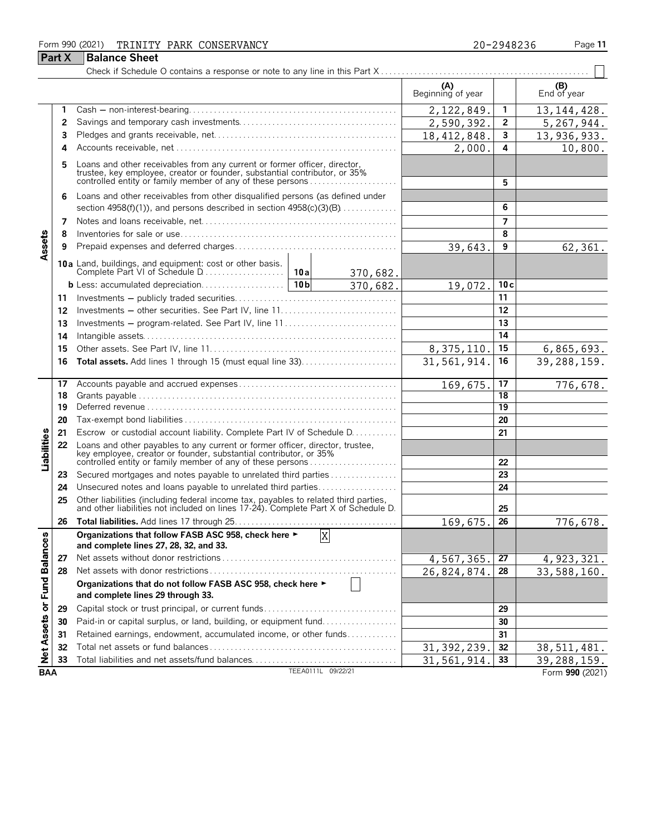#### Form 990 (2021) Page **11** TRINITY PARK CONSERVANCY 20-2948236

**Part X Balance Sheet** 

| 20-2948236 |  |  |  |
|------------|--|--|--|
|            |  |  |  |

#### Check if Schedule O contains a response or note to any line in this Part X . . . . . . . . . . . . . . . . . . . . . . . . . . . . . . . . . . . . . . . . . . . . . . . . . . **(A) (B)**<br>Beginning of year **End of year 1** Cash ' non-interest-bearing. . . . . . . . . . . . . . . . . . . . . . . . . . . . . . . . . . . . . . . . . . . . . . . . . . **1** 2,122,849. 13,144,428. **2** Savings and temporary cash investments. . . . . . . . . . . . . . . . . . . . . . . . . . . . . . . . . . . . . . **2**  $2,590,392.$  2 | 5,267,944. **3** Pledges and grants receivable, net. . . . . . . . . . . . . . . . . . . . . . . . . . . . . . . . . . . . . . . . . . . . **3** 13,936,933. **4** Accounts receivable, net. . . . . . . . . . . . . . . . . . . . . . . . . . . . . . . . . . . . . . . . . . . . . . . . . . . . . . **4** 2,000. 10,800. **5** Loans and other receivables from any current or former officer, director, trustee, key employee, creator or founder, substantial contributor, or 35% controlled entity or family member of any of these persons . . . . . . . . . . . . . . . . . . . . . **5 6** Loans and other receivables from other disqualified persons (as defined under section 4958(f)(1)), and persons described in section 4958(c)(3)(B). . . . . . . . . . . . . . **6 7** Notes and loans receivable, net. . . . . . . . . . . . . . . . . . . . . . . . . . . . . . . . . . . . . . . . . . . . . . . **7 8** Inventories for sale or use. . . . . . . . . . . . . . . . . . . . . . . . . . . . . . . . . . . . . . . . . . . . . . . . . . . . **8** Assets **9** Prepaid expenses and deferred charges. . . . . . . . . . . . . . . . . . . . . . . . . . . . . . . . . . . . . . . **9** 62,361. **10a** Land, buildings, and equipment: cost or other basis. Complete Part VI of Schedule D. . . . . . . . . . . . . . . . . . . . **10a** 370,682. **b** Less: accumulated depreciation. . . . . . . . . . . . . . . **10b**  $\begin{bmatrix} 370,682 \end{bmatrix}$  19, 072. **10c** 370,682. **11** Investments ' publicly traded securities. . . . . . . . . . . . . . . . . . . . . . . . . . . . . . . . . . . . . . . **11 12** Investments ' other securities. See Part IV, line 11. . . . . . . . . . . . . . . . . . . . . . . . . . . . **12 13** Investments ' program-related. See Part IV, line 11 . . . . . . . . . . . . . . . . . . . . . . . . . . . **13 14** Intangible assets. . . . . . . . . . . . . . . . . . . . . . . . . . . . . . . . . . . . . . . . . . . . . . . . . . . . . . . . . . . . . **14 15** Other assets. See Part IV, line 11. . . . . . . . . . . . . . . . . . . . . . . . . . . . . . . . . . . . . . . . . . . . . **15** 6,865,693. **16 Total assets.** Add lines 1 through 15 (must equal line 33). . . . . . . . . . . . . . . . . . . . . . . **16** 39,288,159. **17** Accounts payable and accrued expenses . . . . . . . . . . . . . . . . . . . . . . . . . . . . . . . . . . . . . . **17** 176,678. **18** Grants payable. . . . . . . . . . . . . . . . . . . . . . . . . . . . . . . . . . . . . . . . . . . . . . . . . . . . . . . . . . . . . . . **18 19** Deferred revenue. . . . . . . . . . . . . . . . . . . . . . . . . . . . . . . . . . . . . . . . . . . . . . . . . . . . . . . . . . . . . **19 20** Tax-exempt bond liabilities . . . . . . . . . . . . . . . . . . . . . . . . . . . . . . . . . . . . . . . . . . . . . . . . . . . **20 21** Escrow or custodial account liability. Complete Part IV of Schedule D. . . . . . . . . . . **21** Liabilities **22** Loans and other payables to any current or former officer, director, trustee, key employee, creator or founder, substantial contributor, or 35% controlled entity or family member of any of these persons . . . . . . . . . . . . . . . . . . . . . **22 23** Secured mortgages and notes payable to unrelated third parties . . . . . . . . . . . . . . . . **23 24** Unsecured notes and loans payable to unrelated third parties. . . . . . . . . . . . . . . . . . . **24 25** Other liabilities (including federal income tax, payables to related third parties, and other liabilities not included on lines 17-24). Complete Part X of Schedule D. **25 26 Total liabilities.** Add lines 17 through 25. . . . . . . . . . . . . . . . . . . . . . . . . . . . . . . . . . . . . . . **26** 776,678 **Organizations that follow FASB ASC 958, check here** G X or Fund Balances **and complete lines 27, 28, 32, and 33. 27** Net assets without donor restrictions . . . . . . . . . . . . . . . . . . . . . . . . . . . . . . . . . . . . . . . . . . **27**  $4,567,365.$  27 | 4,923,321 **28** Net assets with donor restrictions . . . . . . . . . . . . . . . . . . . . . . . . . . . . . . . . . . . . . . . . . . . . . **28** 26,824,874. 33,588,160. **Organizations that do not follow FASB ASC 958, check here** G **and complete lines 29 through 33. 29** Capital stock or trust principal, or current funds. . . . . . . . . . . . . . . . . . . . . . . . . . . . . . . . **29 Net Assets 30** Paid-in or capital surplus, or land, building, or equipment fund. . . . . . . . . . . . . . . . . . **30 31** Retained earnings, endowment, accumulated income, or other funds. . . . . . . . . . . . **31 32** Total net assets or fund balances . . . . . . . . . . . . . . . . . . . . . . . . . . . . . . . . . . . . . . . . . . . . . **32** 38,511,481. **33** Total liabilities and net assets/fund balances. . . . . . . . . . . . . . . . . . . . . . . . . . . . . . . . . . . **33** 39,288,159. **BAA** TEEA0111L 09/22/21 **Form 990** (2021)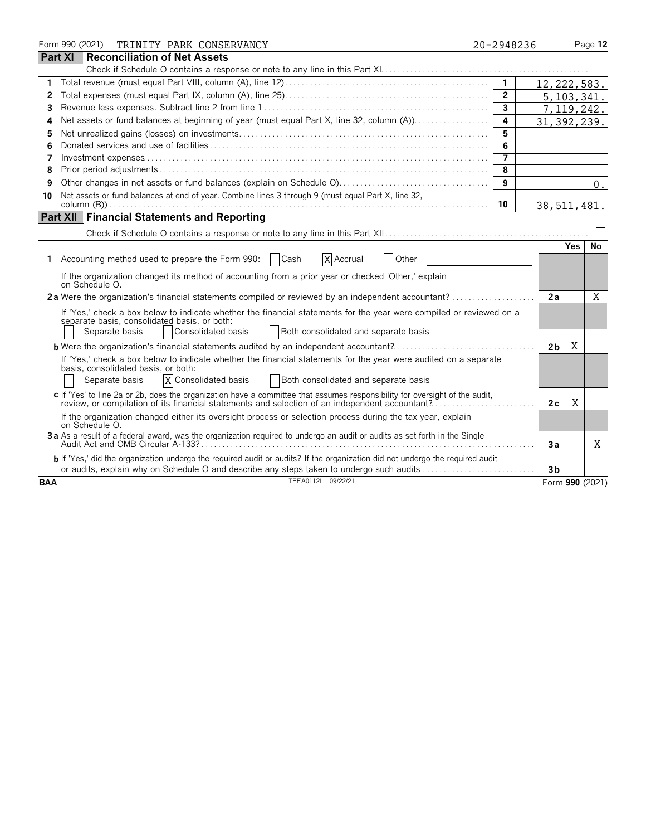|                | Form 990 (2021)<br>TRINITY PARK CONSERVANCY                                                                                                                                                                                                          | 20-2948236     |                |            | Page 12         |
|----------------|------------------------------------------------------------------------------------------------------------------------------------------------------------------------------------------------------------------------------------------------------|----------------|----------------|------------|-----------------|
| <b>Part XI</b> | Reconciliation of Net Assets                                                                                                                                                                                                                         |                |                |            |                 |
|                |                                                                                                                                                                                                                                                      |                |                |            |                 |
|                |                                                                                                                                                                                                                                                      | $\mathbf{1}$   | 12, 222, 583.  |            |                 |
| 2              |                                                                                                                                                                                                                                                      | $\overline{2}$ | 5,103,341.     |            |                 |
| 3              |                                                                                                                                                                                                                                                      | $\overline{3}$ |                |            | 7,119,242.      |
| 4              |                                                                                                                                                                                                                                                      | 4              | 31, 392, 239.  |            |                 |
| 5              |                                                                                                                                                                                                                                                      | 5              |                |            |                 |
| 6              |                                                                                                                                                                                                                                                      | 6              |                |            |                 |
| 7              |                                                                                                                                                                                                                                                      |                |                |            |                 |
| 8              |                                                                                                                                                                                                                                                      | $\overline{8}$ |                |            |                 |
| 9              |                                                                                                                                                                                                                                                      | 9              |                |            | 0.              |
| 10             | Net assets or fund balances at end of year. Combine lines 3 through 9 (must equal Part X, line 32,                                                                                                                                                   |                |                |            |                 |
|                |                                                                                                                                                                                                                                                      | 10             | 38, 511, 481.  |            |                 |
|                | <b>Part XII   Financial Statements and Reporting</b>                                                                                                                                                                                                 |                |                |            |                 |
|                |                                                                                                                                                                                                                                                      |                |                |            |                 |
|                |                                                                                                                                                                                                                                                      |                |                | <b>Yes</b> | No              |
| Τ.             | X Accrual<br>Accounting method used to prepare the Form 990:<br>  Cash<br>Other                                                                                                                                                                      |                |                |            |                 |
|                | If the organization changed its method of accounting from a prior year or checked 'Other,' explain<br>on Schedule O.                                                                                                                                 |                |                |            |                 |
|                | 2a Were the organization's financial statements compiled or reviewed by an independent accountant?                                                                                                                                                   |                | 2a             |            | X               |
|                | If 'Yes,' check a box below to indicate whether the financial statements for the year were compiled or reviewed on a<br>separate basis, consolidated basis, or both:<br>Consolidated basis<br>Both consolidated and separate basis<br>Separate basis |                |                |            |                 |
|                | <b>b</b> Were the organization's financial statements audited by an independent accountant?                                                                                                                                                          |                | 2 <sub>b</sub> | X          |                 |
|                | If 'Yes,' check a box below to indicate whether the financial statements for the year were audited on a separate<br>basis, consolidated basis, or both:<br>X Consolidated basis<br>Both consolidated and separate basis<br>Separate basis            |                |                |            |                 |
|                | c If 'Yes' to line 2a or 2b, does the organization have a committee that assumes responsibility for oversight of the audit,<br>review, or compilation of its financial statements and selection of an independent accountant?                        |                | 2c             | X          |                 |
|                | If the organization changed either its oversight process or selection process during the tax year, explain<br>on Schedule O.                                                                                                                         |                |                |            |                 |
|                | 3a As a result of a federal award, was the organization required to undergo an audit or audits as set forth in the Single                                                                                                                            |                | Зa             |            | Χ               |
|                | <b>b</b> If 'Yes,' did the organization undergo the required audit or audits? If the organization did not undergo the required audit<br>or audits, explain why on Schedule O and describe any steps taken to undergo such audits                     |                | 3 <sub>b</sub> |            |                 |
| <b>BAA</b>     | TEEA0112L 09/22/21                                                                                                                                                                                                                                   |                |                |            | Form 990 (2021) |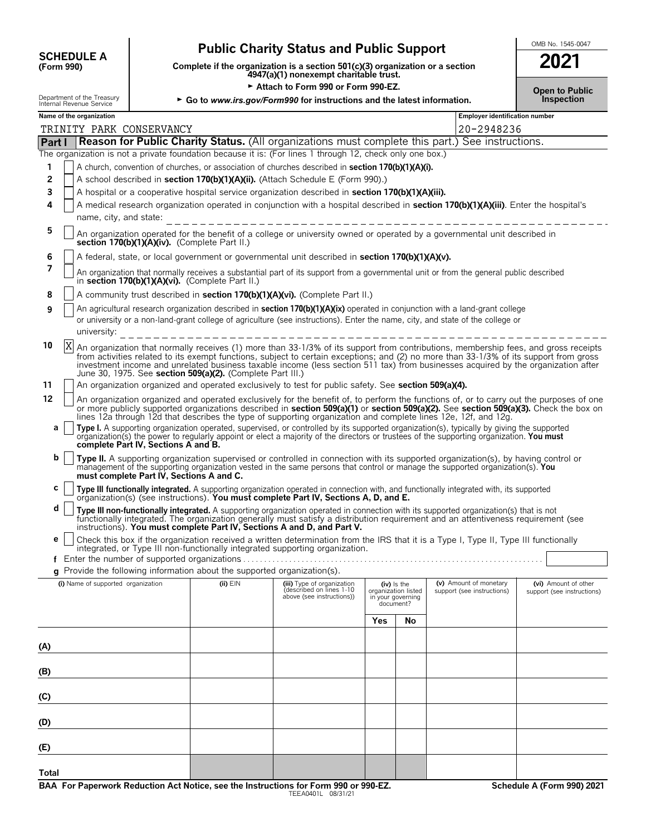| <b>SCHEDULE A</b> |  |
|-------------------|--|
| (Form 990)        |  |

**Public Charity Status and Public Support**<br>
From 990) Complete if the organization is a section 501(c)(3) organization or a section<br>
4947(a)(1) nonexempt charitable trust. **COMPOUT A**<br>
(Form 990) **Complete if the organization is a section 501(c)(3) organization or a section**<br>
4947(a)(1) nonexempt charitable trust.

Attach to Form 990 or Form 990-EZ.

| 2021                                |  |
|-------------------------------------|--|
| <b>Open to Public</b><br>Inspection |  |

|              | Department of the Treasury<br>Internal Revenue Service                                                                                                                                                                                                                                                                                                                                                                                                                                                                                                                                                                                                                                                                                                                                                                                                                                                                                             |                                          |                                               | ► Go to www.irs.gov/Form990 for instructions and the latest information.                                                                                                                                                                                                                                                                              |     |                                                                        |                                                      | Inspection                                         |  |  |  |
|--------------|----------------------------------------------------------------------------------------------------------------------------------------------------------------------------------------------------------------------------------------------------------------------------------------------------------------------------------------------------------------------------------------------------------------------------------------------------------------------------------------------------------------------------------------------------------------------------------------------------------------------------------------------------------------------------------------------------------------------------------------------------------------------------------------------------------------------------------------------------------------------------------------------------------------------------------------------------|------------------------------------------|-----------------------------------------------|-------------------------------------------------------------------------------------------------------------------------------------------------------------------------------------------------------------------------------------------------------------------------------------------------------------------------------------------------------|-----|------------------------------------------------------------------------|------------------------------------------------------|----------------------------------------------------|--|--|--|
|              | Name of the organization                                                                                                                                                                                                                                                                                                                                                                                                                                                                                                                                                                                                                                                                                                                                                                                                                                                                                                                           |                                          |                                               |                                                                                                                                                                                                                                                                                                                                                       |     |                                                                        | Employer identification number                       |                                                    |  |  |  |
|              | TRINITY PARK CONSERVANCY                                                                                                                                                                                                                                                                                                                                                                                                                                                                                                                                                                                                                                                                                                                                                                                                                                                                                                                           |                                          |                                               |                                                                                                                                                                                                                                                                                                                                                       |     |                                                                        | 20-2948236                                           |                                                    |  |  |  |
| Part I       |                                                                                                                                                                                                                                                                                                                                                                                                                                                                                                                                                                                                                                                                                                                                                                                                                                                                                                                                                    |                                          |                                               | Reason for Public Charity Status. (All organizations must complete this part.) See instructions.<br>The organization is not a private foundation because it is: (For lines 1 through 12, check only one box.)                                                                                                                                         |     |                                                                        |                                                      |                                                    |  |  |  |
| 1            |                                                                                                                                                                                                                                                                                                                                                                                                                                                                                                                                                                                                                                                                                                                                                                                                                                                                                                                                                    |                                          |                                               | A church, convention of churches, or association of churches described in <b>section 170(b)(1)(A)(i)</b> .                                                                                                                                                                                                                                            |     |                                                                        |                                                      |                                                    |  |  |  |
| 2            |                                                                                                                                                                                                                                                                                                                                                                                                                                                                                                                                                                                                                                                                                                                                                                                                                                                                                                                                                    |                                          |                                               | A school described in section 170(b)(1)(A)(ii). (Attach Schedule E (Form 990).)                                                                                                                                                                                                                                                                       |     |                                                                        |                                                      |                                                    |  |  |  |
| 3            |                                                                                                                                                                                                                                                                                                                                                                                                                                                                                                                                                                                                                                                                                                                                                                                                                                                                                                                                                    |                                          |                                               | A hospital or a cooperative hospital service organization described in section 170(b)(1)(A)(iii).                                                                                                                                                                                                                                                     |     |                                                                        |                                                      |                                                    |  |  |  |
| 4            | name, city, and state:                                                                                                                                                                                                                                                                                                                                                                                                                                                                                                                                                                                                                                                                                                                                                                                                                                                                                                                             |                                          |                                               | A medical research organization operated in conjunction with a hospital described in section 170(b)(1)(A)(iii). Enter the hospital's<br>__________________________________                                                                                                                                                                            |     |                                                                        |                                                      |                                                    |  |  |  |
| 5            |                                                                                                                                                                                                                                                                                                                                                                                                                                                                                                                                                                                                                                                                                                                                                                                                                                                                                                                                                    |                                          | section 170(b)(1)(A)(iv). (Complete Part II.) | An organization operated for the benefit of a college or university owned or operated by a governmental unit described in                                                                                                                                                                                                                             |     |                                                                        |                                                      |                                                    |  |  |  |
| 6            |                                                                                                                                                                                                                                                                                                                                                                                                                                                                                                                                                                                                                                                                                                                                                                                                                                                                                                                                                    |                                          |                                               | A federal, state, or local government or governmental unit described in section 170(b)(1)(A)(v).                                                                                                                                                                                                                                                      |     |                                                                        |                                                      |                                                    |  |  |  |
| 7            | An organization that normally receives a substantial part of its support from a governmental unit or from the general public described<br>in section 170(b)(1)(A)(vi). (Complete Part II.)                                                                                                                                                                                                                                                                                                                                                                                                                                                                                                                                                                                                                                                                                                                                                         |                                          |                                               |                                                                                                                                                                                                                                                                                                                                                       |     |                                                                        |                                                      |                                                    |  |  |  |
| 8            | A community trust described in section 170(b)(1)(A)(vi). (Complete Part II.)                                                                                                                                                                                                                                                                                                                                                                                                                                                                                                                                                                                                                                                                                                                                                                                                                                                                       |                                          |                                               |                                                                                                                                                                                                                                                                                                                                                       |     |                                                                        |                                                      |                                                    |  |  |  |
| 9            | An agricultural research organization described in section 170(b)(1)(A)(ix) operated in conjunction with a land-grant college<br>or university or a non-land-grant college of agriculture (see instructions). Enter the name, city, and state of the college or<br>university:                                                                                                                                                                                                                                                                                                                                                                                                                                                                                                                                                                                                                                                                     |                                          |                                               |                                                                                                                                                                                                                                                                                                                                                       |     |                                                                        |                                                      |                                                    |  |  |  |
| 10           | X<br>An organization that normally receives (1) more than 33-1/3% of its support from contributions, membership fees, and gross receipts<br>from activities related to its exempt functions, subject to certain exceptions; and (2) no more than 33-1/3% of its support from gross<br>investment income and unrelated business taxable income (less section 511 tax) from businesses acquired by the organization after<br>June 30, 1975. See section 509(a)(2). (Complete Part III.)                                                                                                                                                                                                                                                                                                                                                                                                                                                              |                                          |                                               |                                                                                                                                                                                                                                                                                                                                                       |     |                                                                        |                                                      |                                                    |  |  |  |
| 11<br>12     | An organization organized and operated exclusively to test for public safety. See section 509(a)(4).                                                                                                                                                                                                                                                                                                                                                                                                                                                                                                                                                                                                                                                                                                                                                                                                                                               |                                          |                                               |                                                                                                                                                                                                                                                                                                                                                       |     |                                                                        |                                                      |                                                    |  |  |  |
| a<br>b       | An organization organized and operated exclusively for the benefit of, to perform the functions of, or to carry out the purposes of one<br>or more publicly supported organizations described in section 509(a)(1) or section 509(a)(2). See section 509(a)(3). Check the box on<br>lines 12a through 12d that describes the type of supporting organization and complete lines 12e, 12f, and 12g.<br>Type I. A supporting organization operated, supervised, or controlled by its supported organization(s), typically by giving the supported organization(s) the power to regularly appoint or elect a majority of the directors<br>complete Part IV, Sections A and B.<br>Type II. A supporting organization supervised or controlled in connection with its supported organization(s), by having control or<br>management of the supporting organization vested in the same persons that control or manage the supported organization(s). You |                                          |                                               |                                                                                                                                                                                                                                                                                                                                                       |     |                                                                        |                                                      |                                                    |  |  |  |
| c            |                                                                                                                                                                                                                                                                                                                                                                                                                                                                                                                                                                                                                                                                                                                                                                                                                                                                                                                                                    | must complete Part IV, Sections A and C. |                                               | Type III functionally integrated. A supporting organization operated in connection with, and functionally integrated with, its supported organization(s) (see instructions). You must complete Part IV, Sections A, D, and E.                                                                                                                         |     |                                                                        |                                                      |                                                    |  |  |  |
| d            |                                                                                                                                                                                                                                                                                                                                                                                                                                                                                                                                                                                                                                                                                                                                                                                                                                                                                                                                                    |                                          |                                               | Type III non-functionally integrated. A supporting organization operated in connection with its supported organization(s) that is not<br>functionally integrated. The organization generally must satisfy a distribution requirement and an attentiveness requirement (see<br>instructions). You must complete Part IV, Sections A and D, and Part V. |     |                                                                        |                                                      |                                                    |  |  |  |
| е            |                                                                                                                                                                                                                                                                                                                                                                                                                                                                                                                                                                                                                                                                                                                                                                                                                                                                                                                                                    |                                          |                                               | Check this box if the organization received a written determination from the IRS that it is a Type I, Type II, Type III functionally<br>integrated, or Type III non-functionally integrated supporting organization.                                                                                                                                  |     |                                                                        |                                                      |                                                    |  |  |  |
|              |                                                                                                                                                                                                                                                                                                                                                                                                                                                                                                                                                                                                                                                                                                                                                                                                                                                                                                                                                    |                                          |                                               | g Provide the following information about the supported organization(s).                                                                                                                                                                                                                                                                              |     |                                                                        |                                                      |                                                    |  |  |  |
|              | (i) Name of supported organization                                                                                                                                                                                                                                                                                                                                                                                                                                                                                                                                                                                                                                                                                                                                                                                                                                                                                                                 |                                          | $(ii)$ $EIN$                                  | (iii) Type of organization<br>described on lines 1-10<br>above (see instructions))                                                                                                                                                                                                                                                                    |     | $(iv)$ is the<br>organization listed<br>in your governing<br>document? | (v) Amount of monetary<br>support (see instructions) | (vi) Amount of other<br>support (see instructions) |  |  |  |
|              |                                                                                                                                                                                                                                                                                                                                                                                                                                                                                                                                                                                                                                                                                                                                                                                                                                                                                                                                                    |                                          |                                               |                                                                                                                                                                                                                                                                                                                                                       | Yes | No                                                                     |                                                      |                                                    |  |  |  |
| (A)          |                                                                                                                                                                                                                                                                                                                                                                                                                                                                                                                                                                                                                                                                                                                                                                                                                                                                                                                                                    |                                          |                                               |                                                                                                                                                                                                                                                                                                                                                       |     |                                                                        |                                                      |                                                    |  |  |  |
| (B)          |                                                                                                                                                                                                                                                                                                                                                                                                                                                                                                                                                                                                                                                                                                                                                                                                                                                                                                                                                    |                                          |                                               |                                                                                                                                                                                                                                                                                                                                                       |     |                                                                        |                                                      |                                                    |  |  |  |
| (C)          |                                                                                                                                                                                                                                                                                                                                                                                                                                                                                                                                                                                                                                                                                                                                                                                                                                                                                                                                                    |                                          |                                               |                                                                                                                                                                                                                                                                                                                                                       |     |                                                                        |                                                      |                                                    |  |  |  |
| (D)          |                                                                                                                                                                                                                                                                                                                                                                                                                                                                                                                                                                                                                                                                                                                                                                                                                                                                                                                                                    |                                          |                                               |                                                                                                                                                                                                                                                                                                                                                       |     |                                                                        |                                                      |                                                    |  |  |  |
| (E)          |                                                                                                                                                                                                                                                                                                                                                                                                                                                                                                                                                                                                                                                                                                                                                                                                                                                                                                                                                    |                                          |                                               |                                                                                                                                                                                                                                                                                                                                                       |     |                                                                        |                                                      |                                                    |  |  |  |
| <b>Total</b> |                                                                                                                                                                                                                                                                                                                                                                                                                                                                                                                                                                                                                                                                                                                                                                                                                                                                                                                                                    |                                          |                                               |                                                                                                                                                                                                                                                                                                                                                       |     |                                                                        |                                                      |                                                    |  |  |  |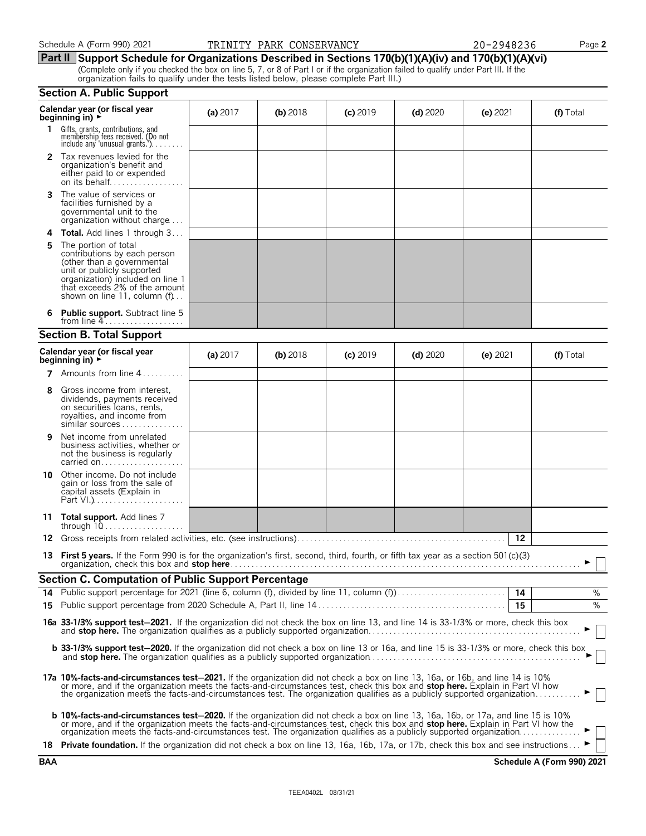#### Schedule A (Form 990) 2021 **PARINITY PARK CONSERVANCY** 20-2948236 Page 2

|  |  |  |  |  | <u>Part II Support Schedule for Organizations Described in Sections 170(b)(1)(A)(iv) and 170(b)(1)(A)(vi)</u> |  |  |  |  |  |
|--|--|--|--|--|---------------------------------------------------------------------------------------------------------------|--|--|--|--|--|
|  |  |  |  |  |                                                                                                               |  |  |  |  |  |

(Complete only if you checked the box on line 5, 7, or 8 of Part I or if the organization failed to qualify under Part III. If the organization fails to qualify under the tests listed below, please complete Part III.)

|    | <b>Section A. Public Support</b>                                                                                                                                                                                                                                                                                                                                                                      |            |            |            |            |            |           |
|----|-------------------------------------------------------------------------------------------------------------------------------------------------------------------------------------------------------------------------------------------------------------------------------------------------------------------------------------------------------------------------------------------------------|------------|------------|------------|------------|------------|-----------|
|    | Calendar year (or fiscal year<br>beginning in) $\blacktriangleright$                                                                                                                                                                                                                                                                                                                                  | (a) $2017$ | $(b)$ 2018 | $(c)$ 2019 | $(d)$ 2020 | $(e)$ 2021 | (f) Total |
|    | 1 Gifts, grants, contributions, and<br>membership fees received. (Do not<br>include any 'unusual grants.'). $\dots$                                                                                                                                                                                                                                                                                   |            |            |            |            |            |           |
|    | <b>2</b> Tax revenues levied for the<br>organization's benefit and<br>either paid to or expended<br>on its behalf                                                                                                                                                                                                                                                                                     |            |            |            |            |            |           |
| 3  | The value of services or<br>facilities furnished by a<br>governmental unit to the<br>organization without charge                                                                                                                                                                                                                                                                                      |            |            |            |            |            |           |
| 4  | <b>Total.</b> Add lines 1 through 3                                                                                                                                                                                                                                                                                                                                                                   |            |            |            |            |            |           |
| 5  | The portion of total<br>contributions by each person<br>(other than a governmental<br>unit or publicly supported<br>organization) included on line 1<br>that exceeds 2% of the amount<br>shown on line 11, column $(f)$                                                                                                                                                                               |            |            |            |            |            |           |
| 6  | <b>Public support.</b> Subtract line 5<br>from line $4$                                                                                                                                                                                                                                                                                                                                               |            |            |            |            |            |           |
|    | <b>Section B. Total Support</b>                                                                                                                                                                                                                                                                                                                                                                       |            |            |            |            |            |           |
|    | Calendar year (or fiscal year<br>beginning in) $\rightarrow$                                                                                                                                                                                                                                                                                                                                          | (a) $2017$ | (b) $2018$ | $(c)$ 2019 | $(d)$ 2020 | (e) $2021$ | (f) Total |
|    | 7 Amounts from line 4                                                                                                                                                                                                                                                                                                                                                                                 |            |            |            |            |            |           |
| 8  | Gross income from interest,<br>dividends, payments received<br>on securities loans, rents,<br>royalties, and income from<br>similar sources                                                                                                                                                                                                                                                           |            |            |            |            |            |           |
| 9  | Net income from unrelated<br>business activities, whether or<br>not the business is regularly<br>carried on                                                                                                                                                                                                                                                                                           |            |            |            |            |            |           |
| 10 | Other income. Do not include<br>gain or loss from the sale of<br>capital assets (Explain in                                                                                                                                                                                                                                                                                                           |            |            |            |            |            |           |
| 11 | Total support. Add lines 7<br>through $10, \ldots, \ldots, \ldots$                                                                                                                                                                                                                                                                                                                                    |            |            |            |            |            |           |
| 12 |                                                                                                                                                                                                                                                                                                                                                                                                       |            |            |            |            | 12         |           |
|    | 13 First 5 years. If the Form 990 is for the organization's first, second, third, fourth, or fifth tax year as a section 501(c)(3)                                                                                                                                                                                                                                                                    |            |            |            |            |            | ► □       |
|    | Section C. Computation of Public Support Percentage                                                                                                                                                                                                                                                                                                                                                   |            |            |            |            |            |           |
| 14 | Public support percentage for 2021 (line 6, column (f), divided by line 11, column (f)                                                                                                                                                                                                                                                                                                                |            |            |            |            | 14         | %         |
|    |                                                                                                                                                                                                                                                                                                                                                                                                       |            |            |            |            | 15         | %         |
|    | 16a 33-1/3% support test-2021. If the organization did not check the box on line 13, and line 14 is 33-1/3% or more, check this box                                                                                                                                                                                                                                                                   |            |            |            |            |            |           |
|    | <b>b 33-1/3% support test-2020.</b> If the organization did not check a box on line 13 or 16a, and line 15 is 33-1/3% or more, check this box                                                                                                                                                                                                                                                         |            |            |            |            |            |           |
|    | 17a 10%-facts-and-circumstances test-2021. If the organization did not check a box on line 13, 16a, or 16b, and line 14 is 10%<br>or more, and if the organization meets the facts-and-circumstances test, check this box and stop here. Explain in Part VI how<br>the organization meets the facts-and-circumstances test. The organization qualifies as a publicly supported organization           |            |            |            |            |            |           |
|    | <b>b 10%-facts-and-circumstances test-2020.</b> If the organization did not check a box on line 13, 16a, 16b, or 17a, and line 15 is 10%<br>or more, and if the organization meets the facts-and-circumstances test, check this box and stop here. Explain in Part VI how the<br>organization meets the facts-and-circumstances test. The organization qualifies as a publicly supported organization |            |            |            |            |            |           |
|    | 18 Private foundation. If the organization did not check a box on line 13, 16a, 16b, 17a, or 17b, check this box and see instructions                                                                                                                                                                                                                                                                 |            |            |            |            |            |           |

**BAA Schedule A (Form 990) 2021**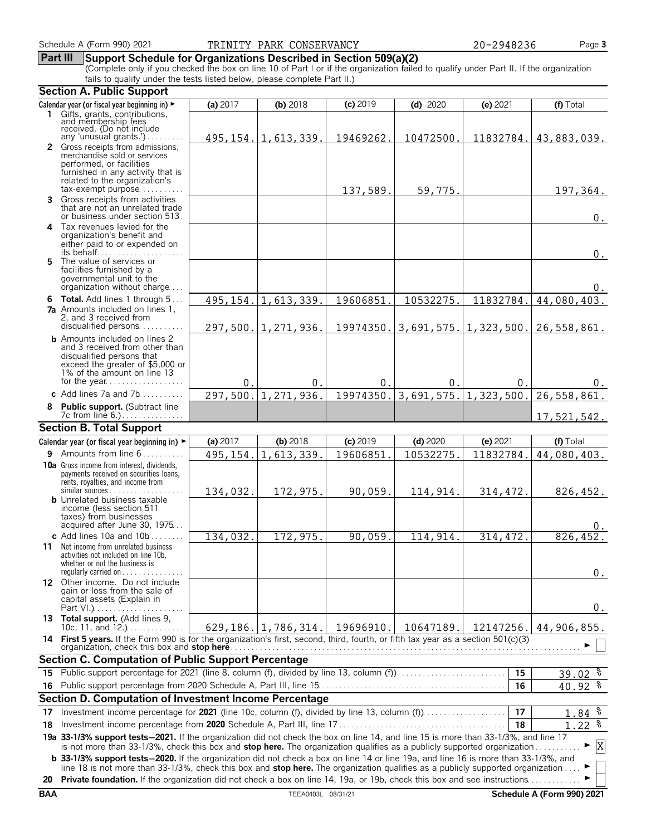#### **Part III Support Schedule for Organizations Described in Section 509(a)(2)**

(Complete only if you checked the box on line 10 of Part I or if the organization failed to qualify under Part II. If the organization fails to qualify under the tests listed below, please complete Part II.)

|    | <b>Section A. Public Support</b>                                                                                                                                                  |           |                                |            |                           |           |                                |  |  |  |  |
|----|-----------------------------------------------------------------------------------------------------------------------------------------------------------------------------------|-----------|--------------------------------|------------|---------------------------|-----------|--------------------------------|--|--|--|--|
|    | Calendar year (or fiscal year beginning in) ►                                                                                                                                     | (a) 2017  | (b) 2018                       | $(c)$ 2019 | $(d)$ 2020                | (e) 2021  | (f) Total                      |  |  |  |  |
|    | 1 Gifts, grants, contributions,                                                                                                                                                   |           |                                |            |                           |           |                                |  |  |  |  |
|    | and membership fees<br>received. (Do not include                                                                                                                                  |           |                                |            |                           |           |                                |  |  |  |  |
|    | any 'unusual grants.')<br>2 Gross receipts from admissions,                                                                                                                       |           | $495, 154. \vert 1, 613, 339.$ | 19469262.  | 10472500.                 | 11832784. | 43,883,039.                    |  |  |  |  |
|    | merchandise sold or services                                                                                                                                                      |           |                                |            |                           |           |                                |  |  |  |  |
|    | performed, or facilities                                                                                                                                                          |           |                                |            |                           |           |                                |  |  |  |  |
|    | furnished in any activity that is<br>related to the organization's                                                                                                                |           |                                |            |                           |           |                                |  |  |  |  |
|    | $tax\text{-}exempt$ purpose                                                                                                                                                       |           |                                | 137,589.   | 59,775.                   |           | 197,364.                       |  |  |  |  |
|    | <b>3</b> Gross receipts from activities                                                                                                                                           |           |                                |            |                           |           |                                |  |  |  |  |
|    | that are not an unrelated trade<br>or business under section 513.                                                                                                                 |           |                                |            |                           |           | $0$ .                          |  |  |  |  |
|    | 4 Tax revenues levied for the                                                                                                                                                     |           |                                |            |                           |           |                                |  |  |  |  |
|    | organization's benefit and                                                                                                                                                        |           |                                |            |                           |           |                                |  |  |  |  |
|    | either paid to or expended on                                                                                                                                                     |           |                                |            |                           |           |                                |  |  |  |  |
| 5  | The value of services or                                                                                                                                                          |           |                                |            |                           |           | $0$ .                          |  |  |  |  |
|    | facilities furnished by a                                                                                                                                                         |           |                                |            |                           |           |                                |  |  |  |  |
|    | governmental unit to the<br>organization without charge                                                                                                                           |           |                                |            |                           |           | $0$ .                          |  |  |  |  |
|    | 6 Total. Add lines 1 through 5                                                                                                                                                    | 495, 154. | 1,613,339.                     | 19606851.  | 10532275.                 | 11832784. | 44,080,403.                    |  |  |  |  |
|    | <b>7a</b> Amounts included on lines 1,                                                                                                                                            |           |                                |            |                           |           |                                |  |  |  |  |
|    | 2, and 3 received from                                                                                                                                                            |           |                                |            |                           |           |                                |  |  |  |  |
|    | disqualified persons                                                                                                                                                              |           | 297,500. 1,271,936.            | 19974350.  | $3,691,575.$ 1, 323, 500. |           | 26,558,861.                    |  |  |  |  |
|    | <b>b</b> Amounts included on lines 2<br>and 3 received from other than                                                                                                            |           |                                |            |                           |           |                                |  |  |  |  |
|    | disqualified persons that                                                                                                                                                         |           |                                |            |                           |           |                                |  |  |  |  |
|    | exceed the greater of \$5,000 or<br>1% of the amount on line 13                                                                                                                   |           |                                |            |                           |           |                                |  |  |  |  |
|    | for the year                                                                                                                                                                      | 0.        | 0.                             | 0.         | 0.                        | 0.        | $0$ .                          |  |  |  |  |
|    | c Add lines $7a$ and $7b$                                                                                                                                                         | 297,500.  | 1,271,936.                     | 19974350.  | 3,691,575.                | 1,323,500 | 26,558,861.                    |  |  |  |  |
|    | Public support. (Subtract line                                                                                                                                                    |           |                                |            |                           |           |                                |  |  |  |  |
|    |                                                                                                                                                                                   |           |                                |            |                           |           | 17,521,542.                    |  |  |  |  |
|    | <b>Section B. Total Support</b>                                                                                                                                                   |           |                                |            |                           |           |                                |  |  |  |  |
|    | Calendar year (or fiscal year beginning in) ►                                                                                                                                     | (a) 2017  | (b) 2018                       | $(c)$ 2019 | $(d)$ 2020                | (e) 2021  | (f) Total                      |  |  |  |  |
|    | <b>9</b> Amounts from line $6, \ldots, \ldots$                                                                                                                                    | 495,154.  | 1,613,339.                     | 19606851   | 10532275.                 | 11832784. | 44,080,403.                    |  |  |  |  |
|    | <b>10a</b> Gross income from interest, dividends,<br>payments received on securities loans,                                                                                       |           |                                |            |                           |           |                                |  |  |  |  |
|    | rents, royalties, and income from                                                                                                                                                 |           |                                |            |                           |           |                                |  |  |  |  |
|    | similar sources                                                                                                                                                                   | 134,032.  | 172,975.                       | 90,059.    | 114,914.                  | 314, 472. | 826,452.                       |  |  |  |  |
|    | <b>b</b> Unrelated business taxable<br>income (less section 511                                                                                                                   |           |                                |            |                           |           |                                |  |  |  |  |
|    | taxes) from businesses                                                                                                                                                            |           |                                |            |                           |           |                                |  |  |  |  |
|    | acquired after June 30, 1975<br>c Add lines $10a$ and $10b$                                                                                                                       |           |                                |            |                           |           |                                |  |  |  |  |
|    | <b>11</b> Net income from unrelated business                                                                                                                                      | 134,032.  | 172,975                        | 90,059.    | 114,914.                  | 314, 472. | 826, 452.                      |  |  |  |  |
|    | activities not included on line 10b,                                                                                                                                              |           |                                |            |                           |           |                                |  |  |  |  |
|    | whether or not the business is<br>regularly carried on $\dots\dots\dots\dots$                                                                                                     |           |                                |            |                           |           |                                |  |  |  |  |
|    | 12 Other income. Do not include                                                                                                                                                   |           |                                |            |                           |           | $0$ .                          |  |  |  |  |
|    | gain or loss from the sale of                                                                                                                                                     |           |                                |            |                           |           |                                |  |  |  |  |
|    | capital assets (Explain in                                                                                                                                                        |           |                                |            |                           |           | $0$ .                          |  |  |  |  |
|    | 13 Total support. (Add lines 9,                                                                                                                                                   |           |                                |            |                           |           |                                |  |  |  |  |
|    | 10c, 11, and $12.$ )                                                                                                                                                              |           | $629, 186. \vert 1, 786, 314.$ | 19696910.  | 10647189.                 | 12147256. | 44,906,855.                    |  |  |  |  |
|    | 14 First 5 years. If the Form 990 is for the organization's first, second, third, fourth, or fifth tax year as a section 501(c)(3)<br>organization, check this box and stop here. |           |                                |            |                           |           |                                |  |  |  |  |
|    | <b>Section C. Computation of Public Support Percentage</b>                                                                                                                        |           |                                |            |                           |           |                                |  |  |  |  |
| 15 | Public support percentage for 2021 (line 8, column (f), divided by line 13, column (f)                                                                                            |           |                                |            |                           | 15        | $39.02$ $%$                    |  |  |  |  |
|    |                                                                                                                                                                                   |           |                                |            |                           | 16        | 40.92 %                        |  |  |  |  |
|    | Section D. Computation of Investment Income Percentage                                                                                                                            |           |                                |            |                           |           |                                |  |  |  |  |
| 17 | Investment income percentage for 2021 (line 10c, column (f), divided by line 13, column (f)                                                                                       |           |                                |            |                           | 17        | 1.84 %                         |  |  |  |  |
| 18 |                                                                                                                                                                                   |           |                                |            |                           | 18        | $1.22$ $%$                     |  |  |  |  |
|    | 19a 33-1/3% support tests-2021. If the organization did not check the box on line 14, and line 15 is more than 33-1/3%, and line 17                                               |           |                                |            |                           |           |                                |  |  |  |  |
|    | is not more than 33-1/3%, check this box and stop here. The organization qualifies as a publicly supported organization                                                           |           |                                |            |                           |           | $\boldsymbol{\mathrm{X}}$<br>► |  |  |  |  |
|    | <b>b</b> 33-1/3% support tests-2020. If the organization did not check a box on line 14 or line 19a, and line 16 is more than 33-1/3%, and                                        |           |                                |            |                           |           |                                |  |  |  |  |
|    | line 18 is not more than 33-1/3%, check this box and stop here. The organization qualifies as a publicly supported organization                                                   |           |                                |            |                           |           |                                |  |  |  |  |
| 20 | <b>Private foundation.</b> If the organization did not check a box on line 14, 19a, or 19b, check this box and see instructions                                                   |           |                                |            |                           |           |                                |  |  |  |  |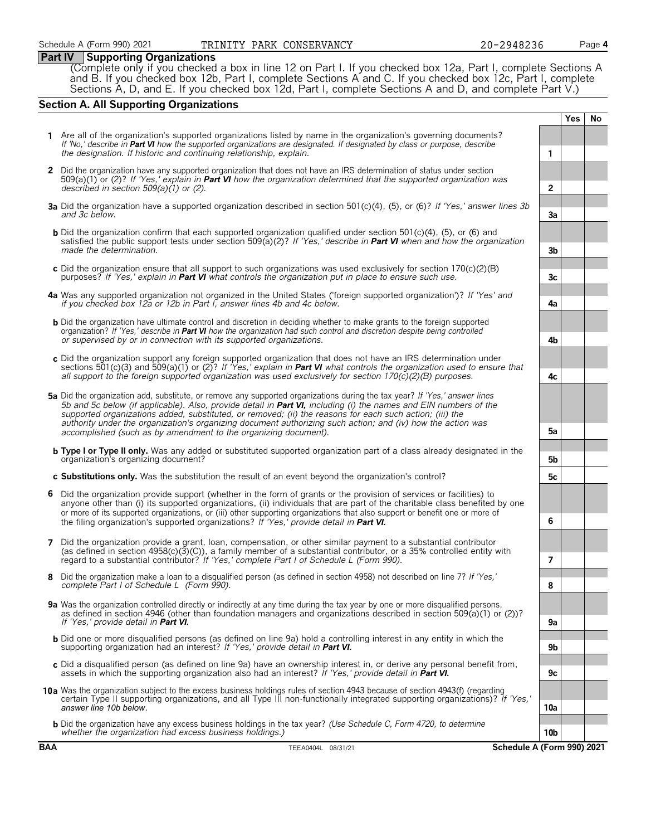### **Part IV Supporting Organizations**

(Complete only if you checked a box in line 12 on Part I. If you checked box 12a, Part I, complete Sections A and B. If you checked box 12b, Part I, complete Sections A and C. If you checked box 12c, Part I, complete Sections A, D, and E. If you checked box 12d, Part I, complete Sections A and D, and complete Part V.)

#### **Section A. All Supporting Organizations**

**Yes No 1** Are all of the organization's supported organizations listed by name in the organization's governing documents? *If 'No,' describe in Part VI how the supported organizations are designated. If designated by class or purpose, describe the designation. If historic and continuing relationship, explain.* **1 2** Did the organization have any supported organization that does not have an IRS determination of status under section 509(a)(1) or (2)? *If 'Yes,' explain in Part VI how the organization determined that the supported organization was described in section 509(a)(1) or (2)*. **2 3a** Did the organization have a supported organization described in section 501(c)(4), (5), or (6)? *If 'Yes,' answer lines 3b and 3c below.* **3a b** Did the organization confirm that each supported organization qualified under section 501(c)(4), (5), or (6) and satisfied the public support tests under section 509(a)(2)? *If 'Yes,' describe in Part VI when and how the organization made the determination*. **3b c** Did the organization ensure that all support to such organizations was used exclusively for section 170(c)(2)(B) purposes? *If 'Yes,' explain in Part VI what controls the organization put in place to ensure such use.*  $\begin{bmatrix} 1 & 3c \\ 2c & 3c \end{bmatrix}$  *3c* **4a** Was any supported organization not organized in the United States ('foreign supported organization')? *If 'Yes' and if you checked box 12a or 12b in Part I, answer lines 4b and 4c below.* **4a b** Did the organization have ultimate control and discretion in deciding whether to make grants to the foreign supported organization? *If 'Yes,' describe in Part VI how the organization had such control and discretion despite being controlled or supervised by or in connection with its supported organizations*. **4b c** Did the organization support any foreign supported organization that does not have an IRS determination under sections 501(c)(3) and 509(a)(1) or (2)? *If 'Yes,' explain in Part VI what controls the organization used to ensure that all support to the foreign supported organization was used exclusively for section 170(c)(2)(B) purposes.* **4c 5a** Did the organization add, substitute, or remove any supported organizations during the tax year? *If 'Yes,' answer lines 5b and 5c below (if applicable). Also, provide detail in Part VI, including (i) the names and EIN numbers of the supported organizations added, substituted, or removed; (ii) the reasons for each such action; (iii) the authority under the organization's organizing document authorizing such action; and (iv) how the action was accomplished (such as by amendment to the organizing document)*. **5a b Type I or Type II only.** Was any added or substituted supported organization part of a class already designated in the organization's organizing document? **5b c Substitutions only.** Was the substitution the result of an event beyond the organization's control? **5c 6** Did the organization provide support (whether in the form of grants or the provision of services or facilities) to anyone other than (i) its supported organizations, (ii) individuals that are part of the charitable class benefited by one or more of its supported organizations, or (iii) other supporting organizations that also support or benefit one or more of the filing organization's supported organizations? *If 'Yes,' provide detail in Part VI.* **6 7** Did the organization provide a grant, loan, compensation, or other similar payment to a substantial contributor (as defined in section 4958(c)(3)(C)), a family member of a substantial contributor, or a 35% controlled entity with regard to a substantial contributor? *If 'Yes,' complete Part I of Schedule L (Form 990)*. **7 8** Did the organization make a loan to a disqualified person (as defined in section 4958) not described on line 7? *If 'Yes,' complete Part I of Schedule L (Form 990).* **8 9a** Was the organization controlled directly or indirectly at any time during the tax year by one or more disqualified persons, as defined in section 4946 (other than foundation managers and organizations described in section 509(a)(1) or (2))? *If 'Yes,' provide detail in Part VI.* **9a** b Did one or more disqualified persons (as defined on line 9a) hold a controlling interest in any entity in which the<br>supporting organization had an interest? If 'Yes,' provide detail in **Part VI.** c Did a disqualified person (as defined on line 9a) have an ownership interest in, or derive any personal benefit from,<br>assets in which the supporting organization also had an interest? If 'Yes,' provide detail in Part VI **10a** Was the organization subject to the excess business holdings rules of section 4943 because of section 4943(f) (regarding certain Type II supporting organizations, and all Type III non-functionally integrated supporting organizations)? *If 'Yes,' answer line 10b below.* **10a b** Did the organization have any excess business holdings in the tax year? *(Use Schedule C, Form 4720, to determine whether the organization had excess business holdings.)* **10b**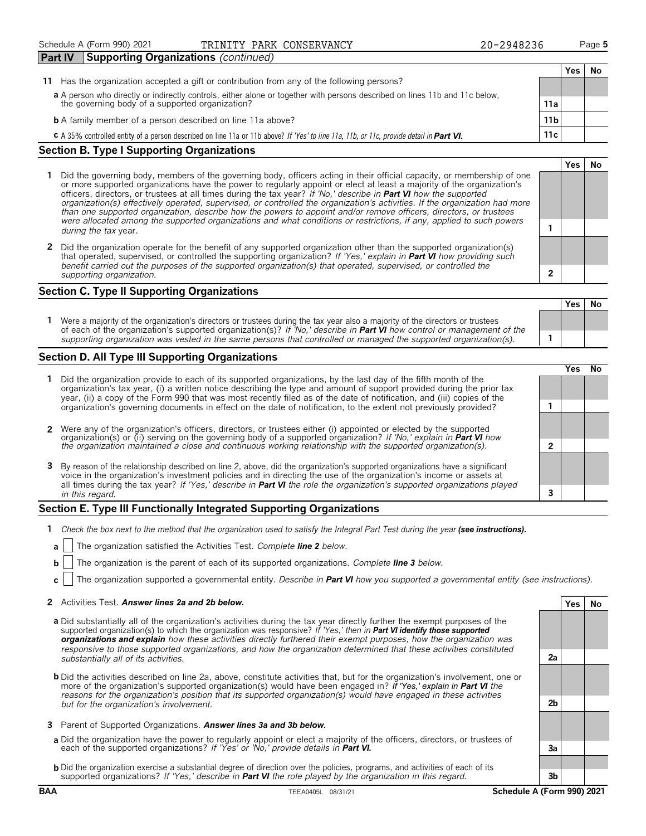### Schedule A (Form 990) 2021 **PIRINITY PARK CONSERVANCY** 20-2948236 Page 5

|  | 20-2948236 |  |
|--|------------|--|
|  |            |  |

|--|--|--|--|--|

**Yes No**

| .                                                                                                                                       |                 |     |    |
|-----------------------------------------------------------------------------------------------------------------------------------------|-----------------|-----|----|
|                                                                                                                                         |                 | Yes | No |
| 11 Has the organization accepted a gift or contribution from any of the following persons?                                              |                 |     |    |
| a A person who directly or indirectly controls, either alone or together with persons described on lines 11b and 11c below,             |                 |     |    |
| the governing body of a supported organization?                                                                                         | 11a             |     |    |
| <b>b</b> A family member of a person described on line 11a above?                                                                       | 11 <sub>b</sub> |     |    |
| C A 35% controlled entity of a person described on line 11a or 11b above? If 'Yes' to line 11a, 11b, or 11c, provide detail in Part VI. | 11c             |     |    |

#### **Section B. Type I Supporting Organizations**

- **1** Did the governing body, members of the governing body, officers acting in their official capacity, or membership of one or more supported organizations have the power to regularly appoint or elect at least a majority of the organization's officers, directors, or trustees at all times during the tax year? *If 'No,' describe in Part VI how the supported organization(s) effectively operated, supervised, or controlled the organization's activities. If the organization had more than one supported organization, describe how the powers to appoint and/or remove officers, directors, or trustees were allocated among the supported organizations and what conditions or restrictions, if any, applied to such powers* **1** *during the tax* year.
- **2** Did the organization operate for the benefit of any supported organization other than the supported organization(s) that operated, supervised, or controlled the supporting organization? *If 'Yes,' explain in Part VI how providing such benefit carried out the purposes of the supported organization(s) that operated, supervised, or controlled the supporting organization.* **2**

#### **Section C. Type II Supporting Organizations**

**Yes No 1** Were a majority of the organization's directors or trustees during the tax year also a majority of the directors or trustees of each of the organization's supported organization(s)? *If 'No,' describe in Part VI how control or management of the supporting organization was vested in the same persons that controlled or managed the supported organization(s).* **1**

#### **Section D. All Type III Supporting Organizations**

|                                                                                                                                                                                                                                                                                                                                                                                       | res) |  |
|---------------------------------------------------------------------------------------------------------------------------------------------------------------------------------------------------------------------------------------------------------------------------------------------------------------------------------------------------------------------------------------|------|--|
| Did the organization provide to each of its supported organizations, by the last day of the fifth month of the<br>organization's tax year, (i) a written notice describing the type and amount of support provided during the prior tax<br>year, (ii) a copy of the Form 990 that was most recently filed as of the date of notification, and (iii) copies of the                     |      |  |
| organization's governing documents in effect on the date of notification, to the extent not previously provided?                                                                                                                                                                                                                                                                      |      |  |
| 2 Were any of the organization's officers, directors, or trustees either (i) appointed or elected by the supported organization(s) or (ii) serving on the governing body of a supported organization? If 'No,' explain in Part                                                                                                                                                        |      |  |
| the organization maintained a close and continuous working relationship with the supported organization(s).                                                                                                                                                                                                                                                                           |      |  |
| 3 By reason of the relationship described on line 2, above, did the organization's supported organizations have a significant<br>voice in the organization's investment policies and in directing the use of the organization's income or assets at<br>all times during the tax year? If 'Yes,' describe in <b>Part VI</b> the role the organization's supported organizations played |      |  |
| in this regard.                                                                                                                                                                                                                                                                                                                                                                       |      |  |
|                                                                                                                                                                                                                                                                                                                                                                                       |      |  |

#### **Section E. Type III Functionally Integrated Supporting Organizations**

- **1** *Check the box next to the method that the organization used to satisfy the Integral Part Test during the year (see instructions).*
- **a** The organization satisfied the Activities Test. *Complete line 2 below.*
- **b** The organization is the parent of each of its supported organizations. *Complete line 3 below.*
- **c** The organization supported a governmental entity. *Describe in Part VI how you supported a governmental entity (see instructions).*

#### **2** Activities Test. *Answer lines 2a and 2b below.* **Yes No**

- **a** Did substantially all of the organization's activities during the tax year directly further the exempt purposes of the supported organization(s) to which the organization was responsive? *If 'Yes,' then in Part VI identify those supported organizations and explain how these activities directly furthered their exempt purposes, how the organization was responsive to those supported organizations, and how the organization determined that these activities constituted substantially all of its activities.* **2a**
- **b** Did the activities described on line 2a, above, constitute activities that, but for the organization's involvement, one or more of the organization's supported organization(s) would have been engaged in? *If 'Yes,' explain in Part VI the reasons for the organization's position that its supported organization(s) would have engaged in these activities but for the organization's involvement.* **2b**
- **3** Parent of Supported Organizations. *Answer lines 3a and 3b below.*
- **a** Did the organization have the power to regularly appoint or elect a majority of the officers, directors, or trustees of each of the supported organizations? *If 'Yes' or 'No,' provide details in Part VI.* **3a**
- **b** Did the organization exercise a substantial degree of direction over the policies, programs, and activities of each of its supported organizations? *If 'Yes,' describe in Part VI the role played by the organization in this regard.* **3b**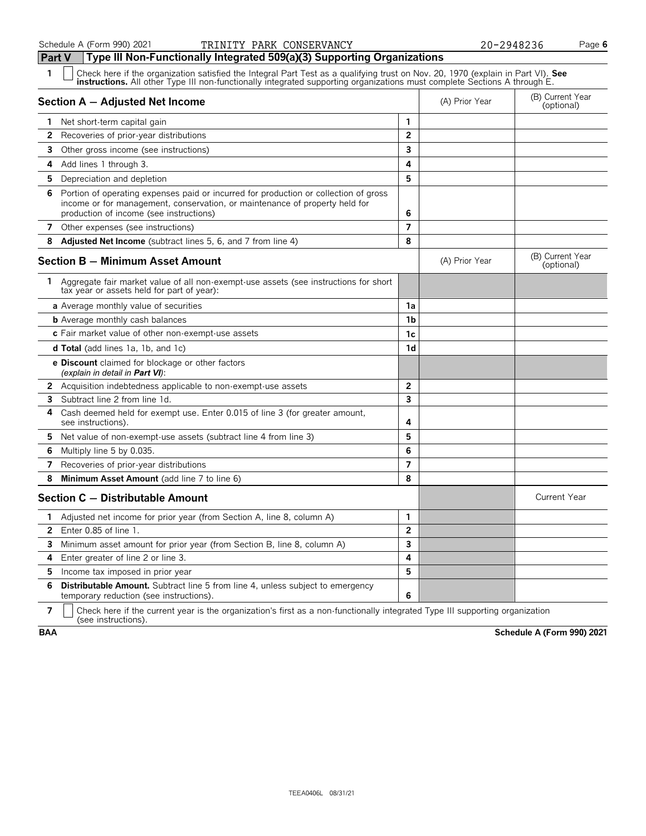| 1            | Check here if the organization satisfied the Integral Part Test as a qualifying trust on Nov. 20, 1970 (explain in Part VI). See<br><b>instructions.</b> All other Type III non-functionally integrated supporting organizations must complete Sections A through E. |                         |                |                                |
|--------------|----------------------------------------------------------------------------------------------------------------------------------------------------------------------------------------------------------------------------------------------------------------------|-------------------------|----------------|--------------------------------|
|              | Section A - Adjusted Net Income                                                                                                                                                                                                                                      |                         | (A) Prior Year | (B) Current Year<br>(optional) |
|              | 1 Net short-term capital gain                                                                                                                                                                                                                                        | 1                       |                |                                |
| 2            | Recoveries of prior-year distributions                                                                                                                                                                                                                               | $\overline{2}$          |                |                                |
| 3            | Other gross income (see instructions)                                                                                                                                                                                                                                | $\overline{\mathbf{3}}$ |                |                                |
| 4            | Add lines 1 through 3.                                                                                                                                                                                                                                               | 4                       |                |                                |
| 5            | Depreciation and depletion                                                                                                                                                                                                                                           | 5                       |                |                                |
| 6            | Portion of operating expenses paid or incurred for production or collection of gross<br>income or for management, conservation, or maintenance of property held for<br>production of income (see instructions)                                                       | 6                       |                |                                |
|              | 7 Other expenses (see instructions)                                                                                                                                                                                                                                  | $\overline{7}$          |                |                                |
| 8            | <b>Adjusted Net Income</b> (subtract lines 5, 6, and 7 from line 4)                                                                                                                                                                                                  | 8                       |                |                                |
|              | Section B - Minimum Asset Amount                                                                                                                                                                                                                                     |                         | (A) Prior Year | (B) Current Year<br>(optional) |
|              | 1 Aggregate fair market value of all non-exempt-use assets (see instructions for short<br>tax year or assets held for part of year):                                                                                                                                 |                         |                |                                |
|              | <b>a</b> Average monthly value of securities                                                                                                                                                                                                                         | 1a                      |                |                                |
|              | <b>b</b> Average monthly cash balances                                                                                                                                                                                                                               | 1 <sub>b</sub>          |                |                                |
|              | c Fair market value of other non-exempt-use assets                                                                                                                                                                                                                   | 1c                      |                |                                |
|              | <b>d Total</b> (add lines 1a, 1b, and 1c)                                                                                                                                                                                                                            | 1 <sub>d</sub>          |                |                                |
|              | <b>e Discount</b> claimed for blockage or other factors<br>(explain in detail in <b>Part VI</b> ):                                                                                                                                                                   |                         |                |                                |
|              | <b>2</b> Acquisition indebtedness applicable to non-exempt-use assets                                                                                                                                                                                                | $\overline{2}$          |                |                                |
| 3            | Subtract line 2 from line 1d.                                                                                                                                                                                                                                        | $\overline{\mathbf{3}}$ |                |                                |
| 4            | Cash deemed held for exempt use. Enter 0.015 of line 3 (for greater amount,<br>see instructions).                                                                                                                                                                    | 4                       |                |                                |
| 5.           | Net value of non-exempt-use assets (subtract line 4 from line 3)                                                                                                                                                                                                     | 5                       |                |                                |
| 6            | Multiply line 5 by 0.035.                                                                                                                                                                                                                                            | 6                       |                |                                |
| 7            | Recoveries of prior-year distributions                                                                                                                                                                                                                               | $\overline{7}$          |                |                                |
| 8            | Minimum Asset Amount (add line 7 to line 6)                                                                                                                                                                                                                          | 8                       |                |                                |
|              | Section C - Distributable Amount                                                                                                                                                                                                                                     |                         |                | <b>Current Year</b>            |
| 1            | Adjusted net income for prior year (from Section A, line 8, column A)                                                                                                                                                                                                | 1                       |                |                                |
| $\mathbf{2}$ | Enter $0.85$ of line $1$ .                                                                                                                                                                                                                                           | $\overline{2}$          |                |                                |
| 3            | Minimum asset amount for prior year (from Section B, line 8, column A)                                                                                                                                                                                               | $\overline{\mathbf{3}}$ |                |                                |
| 4            | Enter greater of line 2 or line 3.                                                                                                                                                                                                                                   | 4                       |                |                                |
| 5.           | Income tax imposed in prior year                                                                                                                                                                                                                                     | 5                       |                |                                |
| 6            | Distributable Amount. Subtract line 5 from line 4, unless subject to emergency<br>temporary reduction (see instructions).                                                                                                                                            | 6                       |                |                                |

**7**  $\mid$  Check here if the current year is the organization's first as a non-functionally integrated Type III supporting organization (see instructions).

**BAA Schedule A (Form 990) 2021**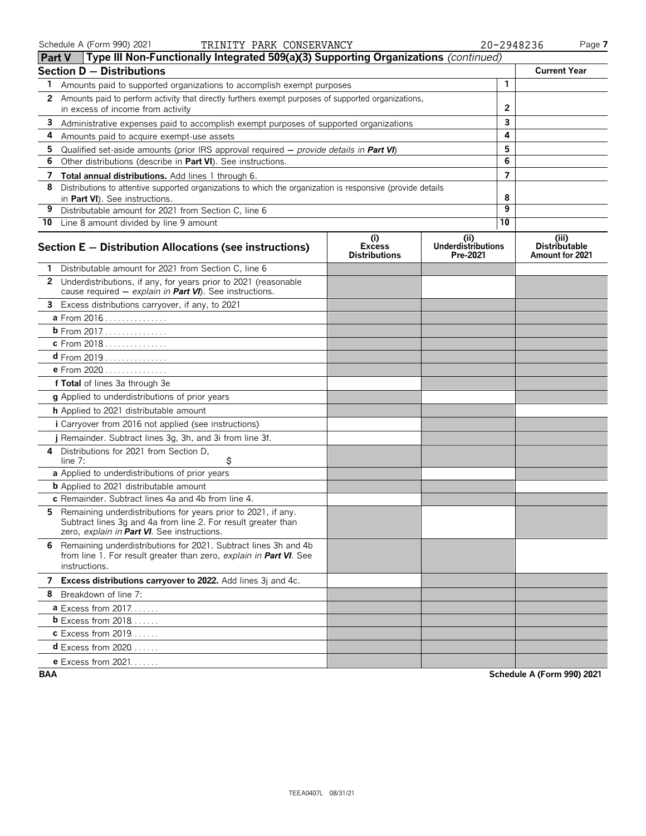|              | (Type III Non-Functionally Integrated 509(a)(3) Supporting Organizations (continued)<br><b>Part V</b>                                                                         |                                              |                                               |                |                                                  |
|--------------|-------------------------------------------------------------------------------------------------------------------------------------------------------------------------------|----------------------------------------------|-----------------------------------------------|----------------|--------------------------------------------------|
|              | <b>Section D - Distributions</b>                                                                                                                                              |                                              |                                               |                | <b>Current Year</b>                              |
| 1            | Amounts paid to supported organizations to accomplish exempt purposes                                                                                                         |                                              |                                               | 1              |                                                  |
| $\mathbf{2}$ | Amounts paid to perform activity that directly furthers exempt purposes of supported organizations,                                                                           |                                              |                                               |                |                                                  |
|              | in excess of income from activity                                                                                                                                             |                                              | 2                                             |                |                                                  |
| 3            | Administrative expenses paid to accomplish exempt purposes of supported organizations                                                                                         |                                              | 3                                             |                |                                                  |
| 4            | Amounts paid to acquire exempt-use assets                                                                                                                                     |                                              |                                               | 4              |                                                  |
| 5            | Qualified set-aside amounts (prior IRS approval required $-$ provide details in Part VI)                                                                                      |                                              |                                               | 5              |                                                  |
| 6            | Other distributions (describe in Part VI). See instructions.                                                                                                                  |                                              |                                               | 6              |                                                  |
| 7            | Total annual distributions. Add lines 1 through 6.                                                                                                                            |                                              |                                               | $\overline{7}$ |                                                  |
| 8            | Distributions to attentive supported organizations to which the organization is responsive (provide details<br>in Part VI). See instructions.                                 |                                              |                                               | 8              |                                                  |
| 9            | Distributable amount for 2021 from Section C, line 6                                                                                                                          |                                              |                                               | 9              |                                                  |
|              | 10 Line 8 amount divided by line 9 amount                                                                                                                                     |                                              |                                               | 10             |                                                  |
|              | Section E - Distribution Allocations (see instructions)                                                                                                                       | (i)<br><b>Excess</b><br><b>Distributions</b> | (ii)<br><b>Underdistributions</b><br>Pre-2021 |                | (iii)<br><b>Distributable</b><br>Amount for 2021 |
|              | Distributable amount for 2021 from Section C, line 6                                                                                                                          |                                              |                                               |                |                                                  |
|              | 2 Underdistributions, if any, for years prior to 2021 (reasonable<br>cause required $-$ explain in Part VI). See instructions.                                                |                                              |                                               |                |                                                  |
| 3            | Excess distributions carryover, if any, to 2021                                                                                                                               |                                              |                                               |                |                                                  |
|              | a From 2016                                                                                                                                                                   |                                              |                                               |                |                                                  |
|              | <b>b</b> From 2017.                                                                                                                                                           |                                              |                                               |                |                                                  |
|              | c From 2018                                                                                                                                                                   |                                              |                                               |                |                                                  |
|              | $d$ From 2019                                                                                                                                                                 |                                              |                                               |                |                                                  |
|              | <b>e</b> From 2020                                                                                                                                                            |                                              |                                               |                |                                                  |
|              | f Total of lines 3a through 3e                                                                                                                                                |                                              |                                               |                |                                                  |
|              | g Applied to underdistributions of prior years                                                                                                                                |                                              |                                               |                |                                                  |
|              | h Applied to 2021 distributable amount                                                                                                                                        |                                              |                                               |                |                                                  |
|              | i Carryover from 2016 not applied (see instructions)                                                                                                                          |                                              |                                               |                |                                                  |
|              | j Remainder. Subtract lines 3g, 3h, and 3i from line 3f.                                                                                                                      |                                              |                                               |                |                                                  |
| 4            | Distributions for 2021 from Section D.<br>\$<br>line $7:$                                                                                                                     |                                              |                                               |                |                                                  |
|              | a Applied to underdistributions of prior years                                                                                                                                |                                              |                                               |                |                                                  |
|              | <b>b</b> Applied to 2021 distributable amount                                                                                                                                 |                                              |                                               |                |                                                  |
|              | c Remainder. Subtract lines 4a and 4b from line 4.                                                                                                                            |                                              |                                               |                |                                                  |
| 5.           | Remaining underdistributions for years prior to 2021, if any.<br>Subtract lines 3g and 4a from line 2. For result greater than<br>zero, explain in Part VI. See instructions. |                                              |                                               |                |                                                  |
|              | 6 Remaining underdistributions for 2021. Subtract lines 3h and 4b<br>from line 1. For result greater than zero, explain in Part VI. See<br>instructions.                      |                                              |                                               |                |                                                  |
|              | 7 Excess distributions carryover to 2022. Add lines 3j and 4c.                                                                                                                |                                              |                                               |                |                                                  |
|              | 8 Breakdown of line 7:                                                                                                                                                        |                                              |                                               |                |                                                  |
|              | <b>a</b> Excess from 2017.                                                                                                                                                    |                                              |                                               |                |                                                  |
|              | <b>b</b> Excess from $2018$                                                                                                                                                   |                                              |                                               |                |                                                  |
|              | <b>c</b> Excess from 2019.                                                                                                                                                    |                                              |                                               |                |                                                  |
|              | <b>d</b> Excess from 2020                                                                                                                                                     |                                              |                                               |                |                                                  |
|              | e Excess from 2021.                                                                                                                                                           |                                              |                                               |                |                                                  |

**BAA Schedule A (Form 990) 2021**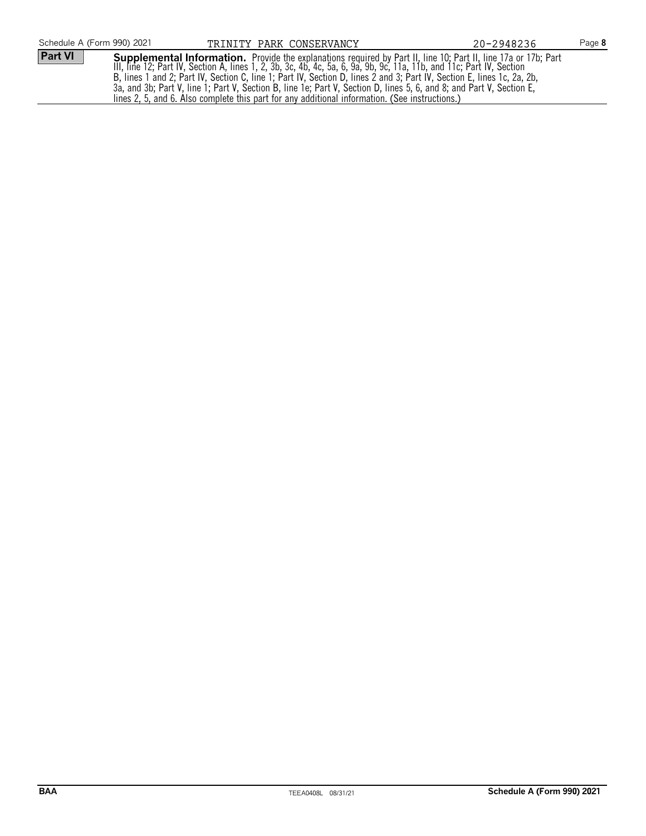| Schedule A (Form 990) 2021 | TRINITY PARK CONSERVANCY |                                                                                                | 20-2948236                                                                                                                                                                                                                                                                                                                                                                                                                                                                               | Page 8 |
|----------------------------|--------------------------|------------------------------------------------------------------------------------------------|------------------------------------------------------------------------------------------------------------------------------------------------------------------------------------------------------------------------------------------------------------------------------------------------------------------------------------------------------------------------------------------------------------------------------------------------------------------------------------------|--------|
| Part VI                    |                          | lines 2, 5, and 6. Also complete this part for any additional information. (See instructions.) | <b>Supplemental Information.</b> Provide the explanations required by Part II, line 10; Part II, line 17a or 17b; Part<br>III, line 12; Part IV, Section A, lines 1, 2, 3b, 3c, 4b, 4c, 5a, 6, 9a, 9b, 9c, 11a, 11b, and 11c; Part IV,<br>B, lines 1 and 2; Part IV, Section C, line 1; Part IV, Section D, lines 2 and 3; Part IV, Section E, lines 1c, 2a, 2b,<br>3a, and 3b; Part V, line 1; Part V, Section B, line 1e; Part V, Section D, lines 5, 6, and 8; and Part V, Section E, |        |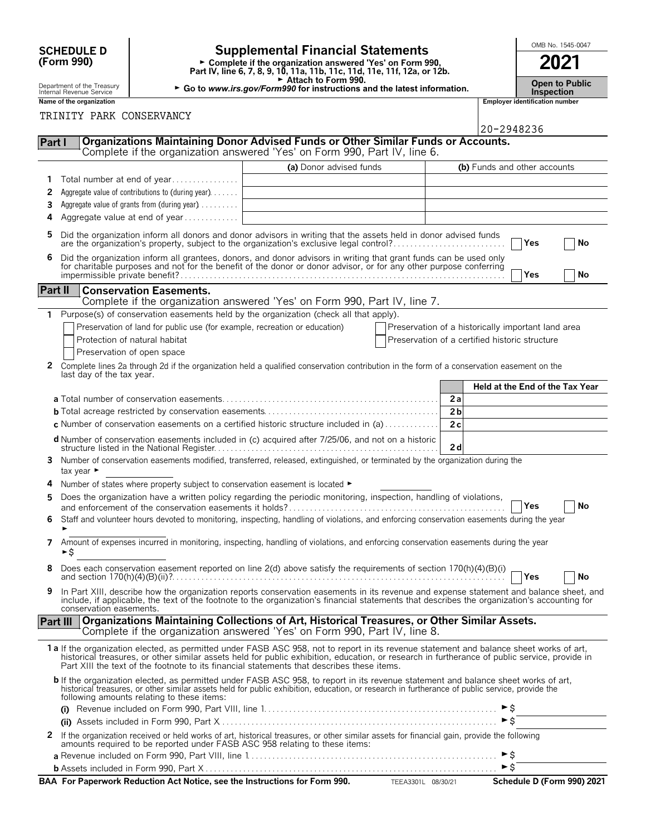| <b>SCHEDULE D</b> |  |
|-------------------|--|
| (Form 990)        |  |

### **SCHEDULE D Supplemental Financial Statements Fig. 1545-0047**

**Part IV, line 6, 7, 8, 9, 10, 11a, 11b, 11c, 11d, 11e, 11f, 12a, or 12b.**<br>
Part IV, line 6, 7, 8, 9, 10, 11a, 11b, 11c, 11d, 11e, 11f, 12a, or 12b.

Attach to Form 990.

Department of the Treasury **Department of the Treasury ▶ Go to** *www.irs.gov/Form990* **for instructions and the latest information. <b>Inspection Inspection Inspection** 

|                   | <b>Open to Publ</b> |
|-------------------|---------------------|
| <b>Inspection</b> |                     |

|                 | Name of the organization                                                                                                                                                                                                                                                                                                                                                               |                         |                                                    |                              | <b>Employer identification number</b> |                            |
|-----------------|----------------------------------------------------------------------------------------------------------------------------------------------------------------------------------------------------------------------------------------------------------------------------------------------------------------------------------------------------------------------------------------|-------------------------|----------------------------------------------------|------------------------------|---------------------------------------|----------------------------|
|                 | TRINITY PARK CONSERVANCY                                                                                                                                                                                                                                                                                                                                                               |                         |                                                    |                              |                                       |                            |
|                 |                                                                                                                                                                                                                                                                                                                                                                                        |                         |                                                    | 20-2948236                   |                                       |                            |
| Part I          | Organizations Maintaining Donor Advised Funds or Other Similar Funds or Accounts.<br>Complete if the organization answered 'Yes' on Form 990, Part IV, line 6.                                                                                                                                                                                                                         |                         |                                                    |                              |                                       |                            |
|                 |                                                                                                                                                                                                                                                                                                                                                                                        | (a) Donor advised funds |                                                    | (b) Funds and other accounts |                                       |                            |
| 1               | Total number at end of year                                                                                                                                                                                                                                                                                                                                                            |                         |                                                    |                              |                                       |                            |
| 2               | Aggregate value of contributions to (during year)                                                                                                                                                                                                                                                                                                                                      |                         |                                                    |                              |                                       |                            |
| 3               | Aggregate value of grants from (during year)                                                                                                                                                                                                                                                                                                                                           |                         |                                                    |                              |                                       |                            |
| 4               | Aggregate value at end of year                                                                                                                                                                                                                                                                                                                                                         |                         |                                                    |                              |                                       |                            |
|                 |                                                                                                                                                                                                                                                                                                                                                                                        |                         |                                                    |                              |                                       |                            |
| 5               | Did the organization inform all donors and donor advisors in writing that the assets held in donor advised funds<br>are the organization's property, subject to the organization's exclusive legal control?                                                                                                                                                                            |                         |                                                    |                              | Yes                                   | No                         |
| 6               | Did the organization inform all grantees, donors, and donor advisors in writing that grant funds can be used only for charitable purposes and not for the benefit of the donor or donor advisor, or for any other purpose conf                                                                                                                                                         |                         |                                                    |                              | <b>Yes</b>                            | No                         |
| Part II         | <b>Conservation Easements.</b>                                                                                                                                                                                                                                                                                                                                                         |                         |                                                    |                              |                                       |                            |
|                 | Complete if the organization answered 'Yes' on Form 990, Part IV, line 7.                                                                                                                                                                                                                                                                                                              |                         |                                                    |                              |                                       |                            |
|                 | 1 Purpose(s) of conservation easements held by the organization (check all that apply).                                                                                                                                                                                                                                                                                                |                         |                                                    |                              |                                       |                            |
|                 | Preservation of land for public use (for example, recreation or education)                                                                                                                                                                                                                                                                                                             |                         | Preservation of a historically important land area |                              |                                       |                            |
|                 | Protection of natural habitat                                                                                                                                                                                                                                                                                                                                                          |                         | Preservation of a certified historic structure     |                              |                                       |                            |
|                 | Preservation of open space                                                                                                                                                                                                                                                                                                                                                             |                         |                                                    |                              |                                       |                            |
| 2               | Complete lines 2a through 2d if the organization held a qualified conservation contribution in the form of a conservation easement on the                                                                                                                                                                                                                                              |                         |                                                    |                              |                                       |                            |
|                 | last day of the tax year.                                                                                                                                                                                                                                                                                                                                                              |                         |                                                    |                              |                                       |                            |
|                 |                                                                                                                                                                                                                                                                                                                                                                                        |                         |                                                    |                              | Held at the End of the Tax Year       |                            |
|                 |                                                                                                                                                                                                                                                                                                                                                                                        |                         | 2a                                                 |                              |                                       |                            |
|                 |                                                                                                                                                                                                                                                                                                                                                                                        |                         | 2 <sub>b</sub>                                     |                              |                                       |                            |
|                 | c Number of conservation easements on a certified historic structure included in (a)                                                                                                                                                                                                                                                                                                   |                         | 2c                                                 |                              |                                       |                            |
|                 | d Number of conservation easements included in (c) acquired after 7/25/06, and not on a historic                                                                                                                                                                                                                                                                                       |                         |                                                    |                              |                                       |                            |
|                 |                                                                                                                                                                                                                                                                                                                                                                                        |                         | 2d                                                 |                              |                                       |                            |
| 3.              | Number of conservation easements modified, transferred, released, extinguished, or terminated by the organization during the                                                                                                                                                                                                                                                           |                         |                                                    |                              |                                       |                            |
|                 | tax year $\blacktriangleright$                                                                                                                                                                                                                                                                                                                                                         |                         |                                                    |                              |                                       |                            |
| 4               | Number of states where property subject to conservation easement is located ►                                                                                                                                                                                                                                                                                                          |                         |                                                    |                              |                                       |                            |
| 5               | Does the organization have a written policy regarding the periodic monitoring, inspection, handling of violations,                                                                                                                                                                                                                                                                     |                         |                                                    |                              | Yes                                   | No                         |
| 6               | Staff and volunteer hours devoted to monitoring, inspecting, handling of violations, and enforcing conservation easements during the year                                                                                                                                                                                                                                              |                         |                                                    |                              |                                       |                            |
|                 |                                                                                                                                                                                                                                                                                                                                                                                        |                         |                                                    |                              |                                       |                            |
| 7               | Amount of expenses incurred in monitoring, inspecting, handling of violations, and enforcing conservation easements during the year<br>►\$                                                                                                                                                                                                                                             |                         |                                                    |                              |                                       |                            |
|                 | Does each conservation easement reported on line 2(d) above satisfy the requirements of section $170(h)(4)(B)(i)$                                                                                                                                                                                                                                                                      |                         |                                                    |                              |                                       |                            |
|                 |                                                                                                                                                                                                                                                                                                                                                                                        |                         |                                                    |                              | Yes                                   | No                         |
| 9               | In Part XIII, describe how the organization reports conservation easements in its revenue and expense statement and balance sheet, and<br>include, if applicable, the text of the footnote to the organization's financial statements that describes the organization's accounting for<br>conservation easements.                                                                      |                         |                                                    |                              |                                       |                            |
| <b>Part III</b> | Organizations Maintaining Collections of Art, Historical Treasures, or Other Similar Assets.<br>Complete if the organization answered 'Yes' on Form 990, Part IV, line 8.                                                                                                                                                                                                              |                         |                                                    |                              |                                       |                            |
|                 |                                                                                                                                                                                                                                                                                                                                                                                        |                         |                                                    |                              |                                       |                            |
|                 | 1a If the organization elected, as permitted under FASB ASC 958, not to report in its revenue statement and balance sheet works of art,<br>historical treasures, or other similar assets held for public exhibition, education, or research in furtherance of public service, provide in<br>Part XIII the text of the footnote to its financial statements that describes these items. |                         |                                                    |                              |                                       |                            |
|                 | b If the organization elected, as permitted under FASB ASC 958, to report in its revenue statement and balance sheet works of art,<br>historical treasures, or other similar assets held for public exhibition, education, or research in furtherance of public service, provide the<br>following amounts relating to these items:                                                     |                         |                                                    |                              |                                       |                            |
|                 |                                                                                                                                                                                                                                                                                                                                                                                        |                         |                                                    |                              |                                       |                            |
|                 |                                                                                                                                                                                                                                                                                                                                                                                        |                         |                                                    | $\triangleright$ \$          |                                       |                            |
| 2               | If the organization received or held works of art, historical treasures, or other similar assets for financial gain, provide the following amounts required to be reported under FASB ASC 958 relating to these items:                                                                                                                                                                 |                         |                                                    |                              |                                       |                            |
|                 |                                                                                                                                                                                                                                                                                                                                                                                        |                         |                                                    | ►\$                          |                                       |                            |
|                 |                                                                                                                                                                                                                                                                                                                                                                                        |                         |                                                    | $\blacktriangleright$ \$     |                                       |                            |
|                 | BAA For Paperwork Reduction Act Notice, see the Instructions for Form 990. TEEA3301L 08/30/21                                                                                                                                                                                                                                                                                          |                         |                                                    |                              |                                       | Schedule D (Form 990) 2021 |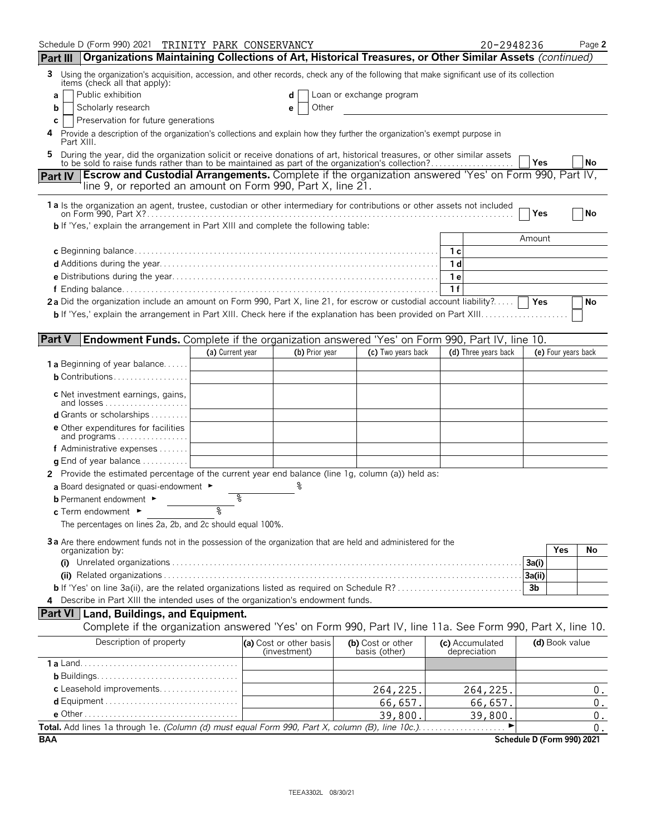| Schedule D (Form 990) 2021 TRINITY PARK CONSERVANCY                                                                                                                                                                            |                  |                                         |                                    | 20-2948236                      | Page 2                     |
|--------------------------------------------------------------------------------------------------------------------------------------------------------------------------------------------------------------------------------|------------------|-----------------------------------------|------------------------------------|---------------------------------|----------------------------|
| Part III   Organizations Maintaining Collections of Art, Historical Treasures, or Other Similar Assets (continued)                                                                                                             |                  |                                         |                                    |                                 |                            |
| 3 Using the organization's acquisition, accession, and other records, check any of the following that make significant use of its collection<br>items (check all that apply):                                                  |                  |                                         |                                    |                                 |                            |
| Public exhibition<br>a                                                                                                                                                                                                         |                  | d                                       | Loan or exchange program           |                                 |                            |
| Scholarly research<br>b                                                                                                                                                                                                        |                  | Other<br>е                              |                                    |                                 |                            |
| Preservation for future generations<br>С                                                                                                                                                                                       |                  |                                         |                                    |                                 |                            |
| Provide a description of the organization's collections and explain how they further the organization's exempt purpose in<br>Part XIII.                                                                                        |                  |                                         |                                    |                                 |                            |
| During the year, did the organization solicit or receive donations of art, historical treasures, or other similar assets to be sold to raise funds rather than to be maintained as part of the organization's collection?<br>5 |                  |                                         |                                    |                                 | Yes<br>No                  |
| <b>Escrow and Custodial Arrangements.</b> Complete if the organization answered 'Yes' on Form 990, Part IV,<br><b>Part IV</b><br>line 9, or reported an amount on Form 990, Part X, line 21.                                   |                  |                                         |                                    |                                 |                            |
| 1a Is the organization an agent, trustee, custodian or other intermediary for contributions or other assets not included                                                                                                       |                  |                                         |                                    |                                 | Yes<br>No                  |
| <b>b</b> If 'Yes,' explain the arrangement in Part XIII and complete the following table:                                                                                                                                      |                  |                                         |                                    |                                 |                            |
|                                                                                                                                                                                                                                |                  |                                         |                                    |                                 | Amount                     |
|                                                                                                                                                                                                                                |                  |                                         |                                    | <b>1 c</b>                      |                            |
|                                                                                                                                                                                                                                |                  |                                         |                                    | 1 <sub>d</sub>                  |                            |
|                                                                                                                                                                                                                                |                  |                                         |                                    | 1 e                             |                            |
|                                                                                                                                                                                                                                |                  |                                         |                                    | 1f                              |                            |
| 2a Did the organization include an amount on Form 990, Part X, line 21, for escrow or custodial account liability?                                                                                                             |                  |                                         |                                    |                                 | Yes<br>No                  |
|                                                                                                                                                                                                                                |                  |                                         |                                    |                                 |                            |
|                                                                                                                                                                                                                                |                  |                                         |                                    |                                 |                            |
| <b>Part V</b><br>Endowment Funds. Complete if the organization answered 'Yes' on Form 990, Part IV, line 10.                                                                                                                   |                  |                                         |                                    |                                 |                            |
|                                                                                                                                                                                                                                | (a) Current year | (b) Prior year                          | (c) Two years back                 | (d) Three years back            | (e) Four years back        |
| <b>1 a</b> Beginning of year balance                                                                                                                                                                                           |                  |                                         |                                    |                                 |                            |
| <b>b</b> Contributions                                                                                                                                                                                                         |                  |                                         |                                    |                                 |                            |
|                                                                                                                                                                                                                                |                  |                                         |                                    |                                 |                            |
| c Net investment earnings, gains,<br>and losses                                                                                                                                                                                |                  |                                         |                                    |                                 |                            |
| d Grants or scholarships                                                                                                                                                                                                       |                  |                                         |                                    |                                 |                            |
| <b>e</b> Other expenditures for facilities                                                                                                                                                                                     |                  |                                         |                                    |                                 |                            |
| and programs                                                                                                                                                                                                                   |                  |                                         |                                    |                                 |                            |
| <b>f</b> Administrative expenses $\dots$                                                                                                                                                                                       |                  |                                         |                                    |                                 |                            |
| <b>g</b> End of year balance $\ldots \ldots \ldots$                                                                                                                                                                            |                  |                                         |                                    |                                 |                            |
| 2 Provide the estimated percentage of the current year end balance (line 1g, column (a)) held as:                                                                                                                              |                  |                                         |                                    |                                 |                            |
| a Board designated or quasi-endowment $\blacktriangleright$                                                                                                                                                                    |                  |                                         |                                    |                                 |                            |
| <b>b</b> Permanent endowment ►                                                                                                                                                                                                 |                  |                                         |                                    |                                 |                            |
| c Term endowment ►                                                                                                                                                                                                             | ०                |                                         |                                    |                                 |                            |
| The percentages on lines 2a, 2b, and 2c should equal 100%.                                                                                                                                                                     |                  |                                         |                                    |                                 |                            |
|                                                                                                                                                                                                                                |                  |                                         |                                    |                                 |                            |
| 3a Are there endowment funds not in the possession of the organization that are held and administered for the<br>organization by:                                                                                              |                  |                                         |                                    |                                 | <b>Yes</b><br>No           |
|                                                                                                                                                                                                                                |                  |                                         |                                    |                                 | 3a(i)                      |
|                                                                                                                                                                                                                                |                  |                                         |                                    |                                 | 3a(ii)                     |
| b If 'Yes' on line 3a(ii), are the related organizations listed as required on Schedule R?                                                                                                                                     |                  |                                         |                                    |                                 | 3 <sub>b</sub>             |
| 4 Describe in Part XIII the intended uses of the organization's endowment funds.                                                                                                                                               |                  |                                         |                                    |                                 |                            |
| Part VI   Land, Buildings, and Equipment.                                                                                                                                                                                      |                  |                                         |                                    |                                 |                            |
| Complete if the organization answered 'Yes' on Form 990, Part IV, line 11a. See Form 990, Part X, line 10.                                                                                                                     |                  |                                         |                                    |                                 |                            |
|                                                                                                                                                                                                                                |                  |                                         |                                    |                                 |                            |
| Description of property                                                                                                                                                                                                        |                  | (a) Cost or other basis<br>(investment) | (b) Cost or other<br>basis (other) | (c) Accumulated<br>depreciation | (d) Book value             |
|                                                                                                                                                                                                                                |                  |                                         |                                    |                                 |                            |
|                                                                                                                                                                                                                                |                  |                                         |                                    |                                 |                            |
| c Leasehold improvements                                                                                                                                                                                                       |                  |                                         | 264, 225.                          | 264,225.                        | 0.                         |
|                                                                                                                                                                                                                                |                  |                                         | 66,657.                            | 66,657.                         | $\boldsymbol{0}$ .         |
|                                                                                                                                                                                                                                |                  |                                         | 39,800.                            | 39,800.                         | $\boldsymbol{0}$ .         |
|                                                                                                                                                                                                                                |                  |                                         |                                    |                                 | 0.                         |
| <b>BAA</b>                                                                                                                                                                                                                     |                  |                                         |                                    |                                 | Schedule D (Form 990) 2021 |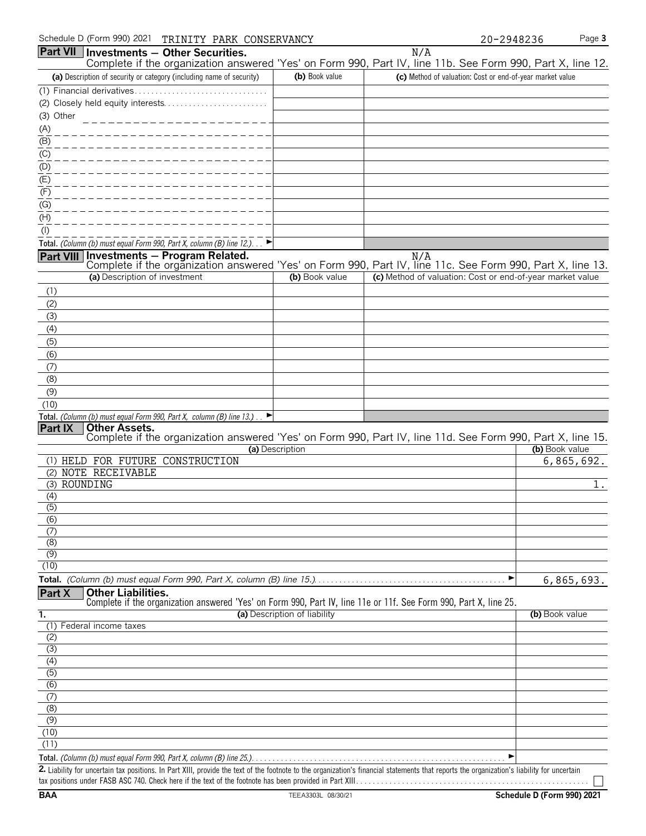|                  | Schedule D (Form 990) 2021<br>TRINITY PARK CONSERVANCY                                                                                                      |                              |                                                           | Page 3<br>20-2948236 |
|------------------|-------------------------------------------------------------------------------------------------------------------------------------------------------------|------------------------------|-----------------------------------------------------------|----------------------|
| <b>Part VII</b>  | Investments - Other Securities.<br>Complete if the organization answered 'Yes' on Form 990, Part IV, line 11b. See Form 990, Part X, line 12.               |                              | N/A                                                       |                      |
|                  | (a) Description of security or category (including name of security)                                                                                        | (b) Book value               | (c) Method of valuation: Cost or end-of-year market value |                      |
|                  |                                                                                                                                                             |                              |                                                           |                      |
|                  |                                                                                                                                                             |                              |                                                           |                      |
| (3) Other        |                                                                                                                                                             |                              |                                                           |                      |
| (A)              |                                                                                                                                                             |                              |                                                           |                      |
| (B)              |                                                                                                                                                             |                              |                                                           |                      |
| (C)              |                                                                                                                                                             |                              |                                                           |                      |
| (D)              |                                                                                                                                                             |                              |                                                           |                      |
| (E)              |                                                                                                                                                             |                              |                                                           |                      |
| (F)<br>(G)       |                                                                                                                                                             |                              |                                                           |                      |
| (H)              |                                                                                                                                                             |                              |                                                           |                      |
| $($ l $)$        |                                                                                                                                                             |                              |                                                           |                      |
|                  | Total. (Column (b) must equal Form 990, Part X, column (B) line 12.)                                                                                        |                              |                                                           |                      |
|                  | Part VIII Investments - Program Related.                                                                                                                    |                              | N/A                                                       |                      |
|                  | Complete if the organization answered 'Yes' on Form 990, Part IV, line 11c. See Form 990, Part X, line 13.                                                  |                              |                                                           |                      |
|                  | (a) Description of investment                                                                                                                               | (b) Book value               | (c) Method of valuation: Cost or end-of-year market value |                      |
| (1)              |                                                                                                                                                             |                              |                                                           |                      |
| (2)              |                                                                                                                                                             |                              |                                                           |                      |
| (3)              |                                                                                                                                                             |                              |                                                           |                      |
| (4)              |                                                                                                                                                             |                              |                                                           |                      |
| (5)              |                                                                                                                                                             |                              |                                                           |                      |
| (6)<br>(7)       |                                                                                                                                                             |                              |                                                           |                      |
| (8)              |                                                                                                                                                             |                              |                                                           |                      |
| (9)              |                                                                                                                                                             |                              |                                                           |                      |
| (10)             |                                                                                                                                                             |                              |                                                           |                      |
|                  | Total. (Column (b) must equal Form 990, Part X, column (B) line 13.).                                                                                       |                              |                                                           |                      |
| Part IX          | <b>Other Assets.</b>                                                                                                                                        |                              |                                                           |                      |
|                  | Complete if the organization answered 'Yes' on Form 990, Part IV, line 11d. See Form 990, Part X, line 15.                                                  | (a) Description              |                                                           | (b) Book value       |
|                  | (1) HELD FOR FUTURE CONSTRUCTION                                                                                                                            |                              |                                                           | 6,865,692.           |
|                  | (2) NOTE RECEIVABLE                                                                                                                                         |                              |                                                           |                      |
|                  | (3) ROUNDING                                                                                                                                                |                              |                                                           | l.                   |
| (4)              |                                                                                                                                                             |                              |                                                           |                      |
| $\overline{(5)}$ |                                                                                                                                                             |                              |                                                           |                      |
| (6)              |                                                                                                                                                             |                              |                                                           |                      |
| (7)<br>(8)       |                                                                                                                                                             |                              |                                                           |                      |
| (9)              |                                                                                                                                                             |                              |                                                           |                      |
| (10)             |                                                                                                                                                             |                              |                                                           |                      |
|                  |                                                                                                                                                             |                              |                                                           | ▶<br>6,865,693.      |
| Part X           | <b>Other Liabilities.</b>                                                                                                                                   |                              |                                                           |                      |
|                  | Complete if the organization answered 'Yes' on Form 990, Part IV, line 11e or 11f. See Form 990, Part X, line 25.                                           |                              |                                                           |                      |
| ī.               | (1) Federal income taxes                                                                                                                                    | (a) Description of liability |                                                           | (b) Book value       |
| (2)              |                                                                                                                                                             |                              |                                                           |                      |
| (3)              |                                                                                                                                                             |                              |                                                           |                      |
| (4)              |                                                                                                                                                             |                              |                                                           |                      |
| $\overline{(5)}$ |                                                                                                                                                             |                              |                                                           |                      |
| $\overline{(6)}$ |                                                                                                                                                             |                              |                                                           |                      |
| (7)              |                                                                                                                                                             |                              |                                                           |                      |
| (8)              |                                                                                                                                                             |                              |                                                           |                      |
| (9)<br>(10)      |                                                                                                                                                             |                              |                                                           |                      |
| (11)             |                                                                                                                                                             |                              |                                                           |                      |
|                  | Total. (Column (b) must equal Form 990, Part X, column (B) line 25.). $\ldots \ldots \ldots \ldots \ldots \ldots \ldots \ldots \ldots \ldots \ldots \ldots$ |                              |                                                           | ▶                    |

**2.** Liability for uncertain tax positions. In Part XIII, provide the text of the footnote to the organization's financial statements that reports the organization's liability for uncertain tax positions under FASB ASC 740. Check here if the text of the footnote has been provided in Part XIII. . . . . . . . . . . . . . . . . . . . . . . . . . . . . . . . . . . . . . . . . . . . . . . . . . . . . . . .

 $\Box$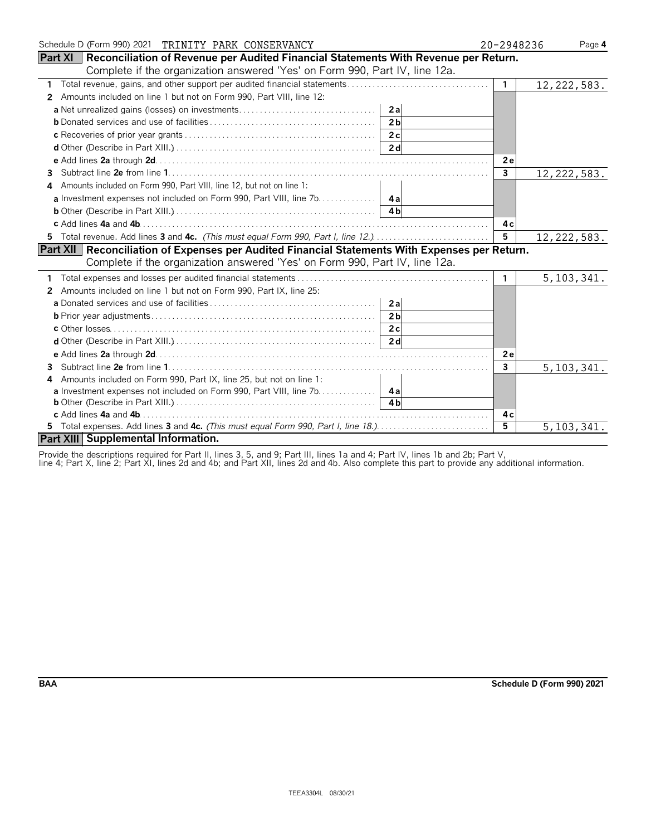| Schedule D (Form 990) 2021 TRINITY PARK CONSERVANCY                                                     |                | 20-2948236<br>Page 4 |
|---------------------------------------------------------------------------------------------------------|----------------|----------------------|
| <b>Part XI</b> Reconciliation of Revenue per Audited Financial Statements With Revenue per Return.      |                |                      |
| Complete if the organization answered 'Yes' on Form 990, Part IV, line 12a.                             |                |                      |
| 1 Total revenue, gains, and other support per audited financial statements                              | $\mathbf{1}$   | 12, 222, 583.        |
| Amounts included on line 1 but not on Form 990, Part VIII, line 12:<br>$\mathbf{2}$                     |                |                      |
|                                                                                                         |                |                      |
| 2 <sub>b</sub>                                                                                          |                |                      |
|                                                                                                         |                |                      |
|                                                                                                         |                |                      |
|                                                                                                         | 2e             |                      |
| 3.                                                                                                      | $\mathbf{3}$   | 12, 222, 583.        |
| Amounts included on Form 990, Part VIII, line 12, but not on line 1:                                    |                |                      |
| a Investment expenses not included on Form 990, Part VIII, line 7b. 4a                                  |                |                      |
|                                                                                                         |                |                      |
|                                                                                                         | 4с             |                      |
| 5 Total revenue. Add lines 3 and 4c. (This must equal Form 990, Part I, line 12.)                       | $\overline{5}$ | 12, 222, 583.        |
| <b>Part XII   Reconciliation of Expenses per Audited Financial Statements With Expenses per Return.</b> |                |                      |
| Complete if the organization answered 'Yes' on Form 990, Part IV, line 12a.                             |                |                      |
|                                                                                                         | $\mathbf{1}$   | 5, 103, 341.         |
| Amounts included on line 1 but not on Form 990, Part IX, line 25:<br>2                                  |                |                      |
| 2al                                                                                                     |                |                      |
|                                                                                                         |                |                      |
|                                                                                                         |                |                      |
|                                                                                                         |                |                      |
|                                                                                                         | <b>2e</b>      |                      |
| 3                                                                                                       | $\mathbf{3}$   | 5, 103, 341.         |
| Amounts included on Form 990, Part IX, line 25, but not on line 1:<br>4                                 |                |                      |
| a Investment expenses not included on Form 990, Part VIII, line 7b. 4a                                  |                |                      |
|                                                                                                         |                |                      |
|                                                                                                         | 4 c            |                      |
|                                                                                                         | $\overline{5}$ | 5, 103, 341.         |
| Part XIII Supplemental Information.                                                                     |                |                      |

Provide the descriptions required for Part II, lines 3, 5, and 9; Part III, lines 1a and 4; Part IV, lines 1b and 2b; Part V,

line 4; Part X, line 2; Part XI, lines 2d and 4b; and Part XII, lines 2d and 4b. Also complete this part to provide any additional information.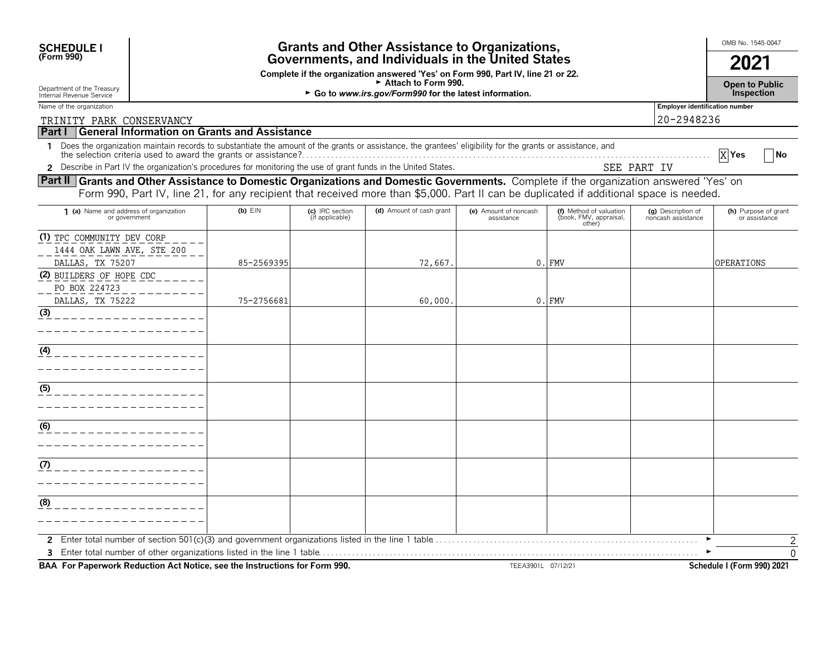| <b>SCHEDULE I</b><br>(Form 990)                                                                                                                                                                                                                                                   | <b>Grants and Other Assistance to Organizations,</b><br>Governments, and Individuals in the United States<br>Complete if the organization answered 'Yes' on Form 990, Part IV, line 21 or 22. |                                    |                          |                                     |                                                             |                                          | OMB No. 1545-0047<br>2021<br><b>Open to Public</b> |  |
|-----------------------------------------------------------------------------------------------------------------------------------------------------------------------------------------------------------------------------------------------------------------------------------|-----------------------------------------------------------------------------------------------------------------------------------------------------------------------------------------------|------------------------------------|--------------------------|-------------------------------------|-------------------------------------------------------------|------------------------------------------|----------------------------------------------------|--|
| Department of the Treasury<br>Internal Revenue Service                                                                                                                                                                                                                            | Attach to Form 990.<br>Go to www.irs.gov/Form990 for the latest information.                                                                                                                  |                                    |                          |                                     |                                                             |                                          |                                                    |  |
| Name of the organization                                                                                                                                                                                                                                                          |                                                                                                                                                                                               |                                    |                          |                                     |                                                             | <b>Employer identification number</b>    |                                                    |  |
| 20-2948236<br>TRINITY PARK CONSERVANCY<br><b>Part I General Information on Grants and Assistance</b>                                                                                                                                                                              |                                                                                                                                                                                               |                                    |                          |                                     |                                                             |                                          |                                                    |  |
| 1 Does the organization maintain records to substantiate the amount of the grants or assistance, the grantees' eligibility for the grants or assistance, and                                                                                                                      |                                                                                                                                                                                               |                                    |                          |                                     |                                                             |                                          | $X$ Yes<br> No                                     |  |
| 2 Describe in Part IV the organization's procedures for monitoring the use of grant funds in the United States.                                                                                                                                                                   |                                                                                                                                                                                               |                                    |                          |                                     |                                                             | SEE PART IV                              |                                                    |  |
| Part II Grants and Other Assistance to Domestic Organizations and Domestic Governments. Complete if the organization answered 'Yes' on<br>Form 990, Part IV, line 21, for any recipient that received more than \$5,000. Part II can be duplicated if additional space is needed. |                                                                                                                                                                                               |                                    |                          |                                     |                                                             |                                          |                                                    |  |
| 1 (a) Name and address of organization<br>or government                                                                                                                                                                                                                           | $(b)$ $E$ IN                                                                                                                                                                                  | (c) IRC section<br>(if applicable) | (d) Amount of cash grant | (e) Amount of noncash<br>assistance | (f) Method of valuation<br>(book, FMV, appraisal,<br>other) | (g) Description of<br>noncash assistance | (h) Purpose of grant<br>or assistance              |  |
| (1) TPC COMMUNITY DEV CORP<br>1444 OAK LAWN AVE, STE 200<br>DALLAS, TX 75207                                                                                                                                                                                                      | 85-2569395                                                                                                                                                                                    |                                    | 72,667.                  | 0.                                  | <b>FMV</b>                                                  |                                          | OPERATIONS                                         |  |
| (2) BUILDERS OF HOPE CDC<br>PO BOX 224723                                                                                                                                                                                                                                         |                                                                                                                                                                                               |                                    |                          |                                     |                                                             |                                          |                                                    |  |
| DALLAS, TX 75222<br>(3)                                                                                                                                                                                                                                                           | 75-2756681                                                                                                                                                                                    |                                    | 60,000                   | 0.                                  | <b>FMV</b>                                                  |                                          |                                                    |  |
| (4)                                                                                                                                                                                                                                                                               |                                                                                                                                                                                               |                                    |                          |                                     |                                                             |                                          |                                                    |  |
| (5)                                                                                                                                                                                                                                                                               |                                                                                                                                                                                               |                                    |                          |                                     |                                                             |                                          |                                                    |  |
| (6)                                                                                                                                                                                                                                                                               |                                                                                                                                                                                               |                                    |                          |                                     |                                                             |                                          |                                                    |  |
| (7)                                                                                                                                                                                                                                                                               |                                                                                                                                                                                               |                                    |                          |                                     |                                                             |                                          |                                                    |  |
| (8)                                                                                                                                                                                                                                                                               |                                                                                                                                                                                               |                                    |                          |                                     |                                                             |                                          |                                                    |  |
|                                                                                                                                                                                                                                                                                   |                                                                                                                                                                                               |                                    |                          |                                     |                                                             |                                          | 2<br>$\Omega$                                      |  |

**BAA For Paperwork Reduction Act Notice, see the Instructions for Form 990.** TEEA3901L 07/12/21 Schedule I (Form 990) 2021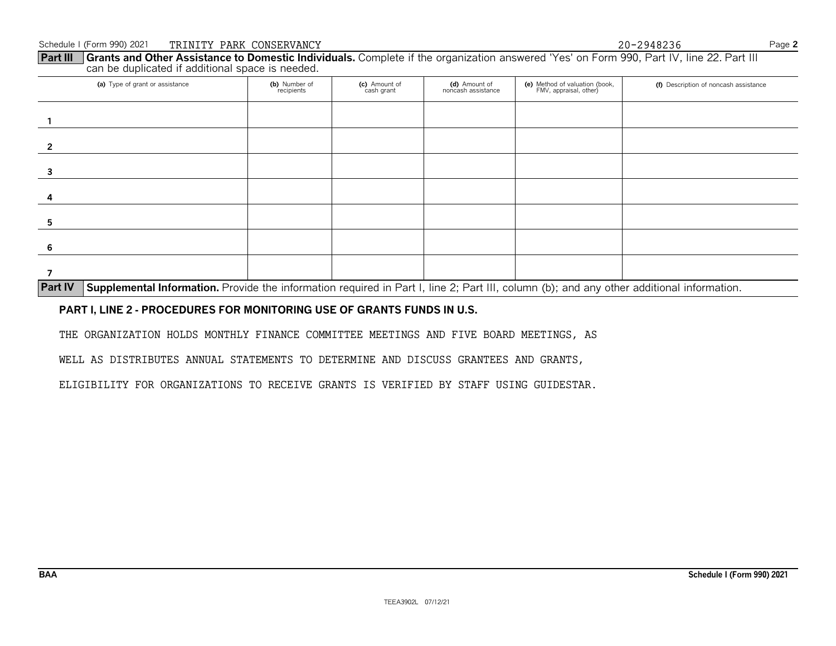**Part III** Grants and Other Assistance to Domestic Individuals. Complete if the organization answered 'Yes' on Form 990, Part IV, line 22. Part III can be duplicated if additional space is needed.

| (a) Type of grant or assistance | (b) Number of<br>recipients | (c) Amount of<br>cash grant | (d) Amount of<br>noncash assistance | (e) Method of valuation (book,<br>FMV, appraisal, other) | (f) Description of noncash assistance |
|---------------------------------|-----------------------------|-----------------------------|-------------------------------------|----------------------------------------------------------|---------------------------------------|
|                                 |                             |                             |                                     |                                                          |                                       |
|                                 |                             |                             |                                     |                                                          |                                       |
|                                 |                             |                             |                                     |                                                          |                                       |
|                                 |                             |                             |                                     |                                                          |                                       |
| э                               |                             |                             |                                     |                                                          |                                       |
| 6                               |                             |                             |                                     |                                                          |                                       |
|                                 |                             |                             |                                     |                                                          |                                       |

**Part IV** Supplemental Information. Provide the information required in Part I, line 2; Part III, column (b); and any other additional information.

#### **PART I, LINE 2 - PROCEDURES FOR MONITORING USE OF GRANTS FUNDS IN U.S.**

THE ORGANIZATION HOLDS MONTHLY FINANCE COMMITTEE MEETINGS AND FIVE BOARD MEETINGS, AS

WELL AS DISTRIBUTES ANNUAL STATEMENTS TO DETERMINE AND DISCUSS GRANTEES AND GRANTS,

ELIGIBILITY FOR ORGANIZATIONS TO RECEIVE GRANTS IS VERIFIED BY STAFF USING GUIDESTAR.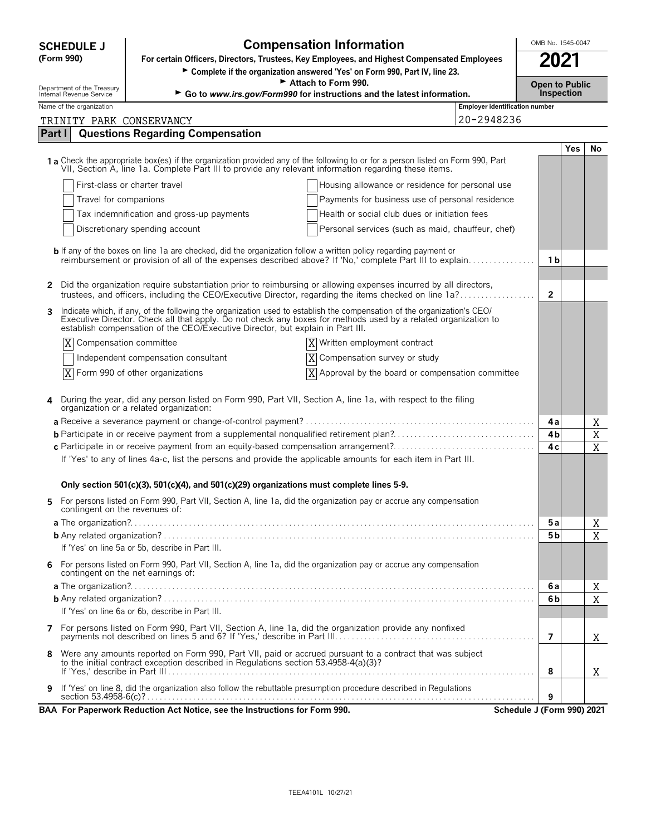| <b>SCHEDULE J</b> |
|-------------------|
|                   |

**Compensation Information**<br>
Cors, Trustees, Key Employees, and Highest Compensated Employees<br>
2021

**(Form 990) For certain Officers, Directors, Trustees, Key Employees, and Highest Compensated Employees**<br>► Complete if the organization answered 'Yes' on Form 990, Part IV, line 23.

| Attach to Form 990.<br>Department of the Treasury<br>Internal Revenue Service |                          |                                                                                                                                                                                                                                    |    |                                                                        |                                                     | <b>Open to Public</b> |                   |             |
|-------------------------------------------------------------------------------|--------------------------|------------------------------------------------------------------------------------------------------------------------------------------------------------------------------------------------------------------------------------|----|------------------------------------------------------------------------|-----------------------------------------------------|-----------------------|-------------------|-------------|
|                                                                               |                          |                                                                                                                                                                                                                                    |    | Go to www.irs.gov/Form990 for instructions and the latest information. |                                                     |                       | <b>Inspection</b> |             |
|                                                                               | Name of the organization |                                                                                                                                                                                                                                    |    |                                                                        | <b>Employer identification number</b><br>20-2948236 |                       |                   |             |
| Part I                                                                        |                          | TRINITY PARK CONSERVANCY<br><b>Questions Regarding Compensation</b>                                                                                                                                                                |    |                                                                        |                                                     |                       |                   |             |
|                                                                               |                          |                                                                                                                                                                                                                                    |    |                                                                        |                                                     |                       |                   |             |
|                                                                               |                          |                                                                                                                                                                                                                                    |    |                                                                        |                                                     |                       | <b>Yes</b>        | No          |
|                                                                               |                          | 1 a Check the appropriate box(es) if the organization provided any of the following to or for a person listed on Form 990, Part VII, Section A, line 1a. Complete Part III to provide any relevant information regarding these     |    |                                                                        |                                                     |                       |                   |             |
|                                                                               |                          | First-class or charter travel                                                                                                                                                                                                      |    | Housing allowance or residence for personal use                        |                                                     |                       |                   |             |
|                                                                               | Travel for companions    |                                                                                                                                                                                                                                    |    | Payments for business use of personal residence                        |                                                     |                       |                   |             |
|                                                                               |                          | Tax indemnification and gross-up payments                                                                                                                                                                                          |    | Health or social club dues or initiation fees                          |                                                     |                       |                   |             |
|                                                                               |                          | Discretionary spending account                                                                                                                                                                                                     |    | Personal services (such as maid, chauffeur, chef)                      |                                                     |                       |                   |             |
|                                                                               |                          |                                                                                                                                                                                                                                    |    |                                                                        |                                                     |                       |                   |             |
|                                                                               |                          | <b>b</b> If any of the boxes on line 1a are checked, did the organization follow a written policy regarding payment or<br>reimbursement or provision of all of the expenses described above? If 'No,' complete Part III to explain |    |                                                                        |                                                     | 1b                    |                   |             |
|                                                                               |                          |                                                                                                                                                                                                                                    |    |                                                                        |                                                     |                       |                   |             |
| 2                                                                             |                          | Did the organization require substantiation prior to reimbursing or allowing expenses incurred by all directors,                                                                                                                   |    |                                                                        |                                                     |                       |                   |             |
|                                                                               |                          | trustees, and officers, including the CEO/Executive Director, regarding the items checked on line 1a?                                                                                                                              |    |                                                                        |                                                     | $\overline{2}$        |                   |             |
| 3                                                                             |                          | Indicate which, if any, of the following the organization used to establish the compensation of the organization's CEO/                                                                                                            |    |                                                                        |                                                     |                       |                   |             |
|                                                                               |                          | Executive Director. Check all that apply. Do not check any boxes for methods used by a related organization to<br>establish compensation of the CEO/Executive Director, but explain in Part III.                                   |    |                                                                        |                                                     |                       |                   |             |
| X                                                                             |                          | Compensation committee                                                                                                                                                                                                             |    | X Written employment contract                                          |                                                     |                       |                   |             |
|                                                                               |                          | Independent compensation consultant                                                                                                                                                                                                | ΙX | Compensation survey or study                                           |                                                     |                       |                   |             |
|                                                                               |                          | $X$ Form 990 of other organizations                                                                                                                                                                                                | X  | Approval by the board or compensation committee                        |                                                     |                       |                   |             |
|                                                                               |                          |                                                                                                                                                                                                                                    |    |                                                                        |                                                     |                       |                   |             |
|                                                                               |                          | During the year, did any person listed on Form 990, Part VII, Section A, line 1a, with respect to the filing organization or a related organization:                                                                               |    |                                                                        |                                                     |                       |                   |             |
|                                                                               |                          |                                                                                                                                                                                                                                    |    |                                                                        |                                                     | 4а                    |                   | Χ           |
|                                                                               |                          | <b>b</b> Participate in or receive payment from a supplemental nonqualified retirement plan?                                                                                                                                       |    |                                                                        |                                                     | 4 <sub>b</sub>        |                   | $\mathbf X$ |
|                                                                               |                          |                                                                                                                                                                                                                                    |    |                                                                        |                                                     | 4 c                   |                   | $\mathbf X$ |
|                                                                               |                          | If 'Yes' to any of lines 4a-c, list the persons and provide the applicable amounts for each item in Part III.                                                                                                                      |    |                                                                        |                                                     |                       |                   |             |
|                                                                               |                          | Only section 501(c)(3), 501(c)(4), and 501(c)(29) organizations must complete lines 5-9.                                                                                                                                           |    |                                                                        |                                                     |                       |                   |             |
|                                                                               |                          |                                                                                                                                                                                                                                    |    |                                                                        |                                                     |                       |                   |             |
| 5.                                                                            |                          | For persons listed on Form 990, Part VII, Section A, line 1a, did the organization pay or accrue any compensation<br>contingent on the revenues of:                                                                                |    |                                                                        |                                                     |                       |                   |             |
|                                                                               |                          |                                                                                                                                                                                                                                    |    |                                                                        |                                                     | 5а                    |                   | Χ           |
|                                                                               |                          |                                                                                                                                                                                                                                    |    |                                                                        |                                                     | 5 b                   |                   | X           |
|                                                                               |                          | If 'Yes' on line 5a or 5b, describe in Part III.                                                                                                                                                                                   |    |                                                                        |                                                     |                       |                   |             |
|                                                                               |                          | 6 For persons listed on Form 990, Part VII, Section A, line 1a, did the organization pay or accrue any compensation                                                                                                                |    |                                                                        |                                                     |                       |                   |             |
|                                                                               |                          | contingent on the net earnings of:                                                                                                                                                                                                 |    |                                                                        |                                                     | 6 a                   |                   |             |
|                                                                               |                          |                                                                                                                                                                                                                                    |    |                                                                        |                                                     | 6 <sub>b</sub>        |                   | Χ<br>X      |
|                                                                               |                          | If 'Yes' on line 6a or 6b, describe in Part III.                                                                                                                                                                                   |    |                                                                        |                                                     |                       |                   |             |
|                                                                               |                          | 7 For persons listed on Form 990, Part VII, Section A, line 1a, did the organization provide any nonfixed                                                                                                                          |    |                                                                        |                                                     |                       |                   |             |
|                                                                               |                          |                                                                                                                                                                                                                                    |    |                                                                        |                                                     | $\overline{7}$        |                   | Χ           |
|                                                                               |                          | 8 Were any amounts reported on Form 990, Part VII, paid or accrued pursuant to a contract that was subject                                                                                                                         |    |                                                                        |                                                     |                       |                   |             |
|                                                                               |                          | to the initial contract exception described in Regulations section 53.4958-4(a)(3)?                                                                                                                                                |    |                                                                        |                                                     | 8                     |                   |             |
|                                                                               |                          |                                                                                                                                                                                                                                    |    |                                                                        |                                                     |                       |                   | Χ           |
|                                                                               |                          | 9 If 'Yes' on line 8, did the organization also follow the rebuttable presumption procedure described in Regulations                                                                                                               |    |                                                                        |                                                     | 9                     |                   |             |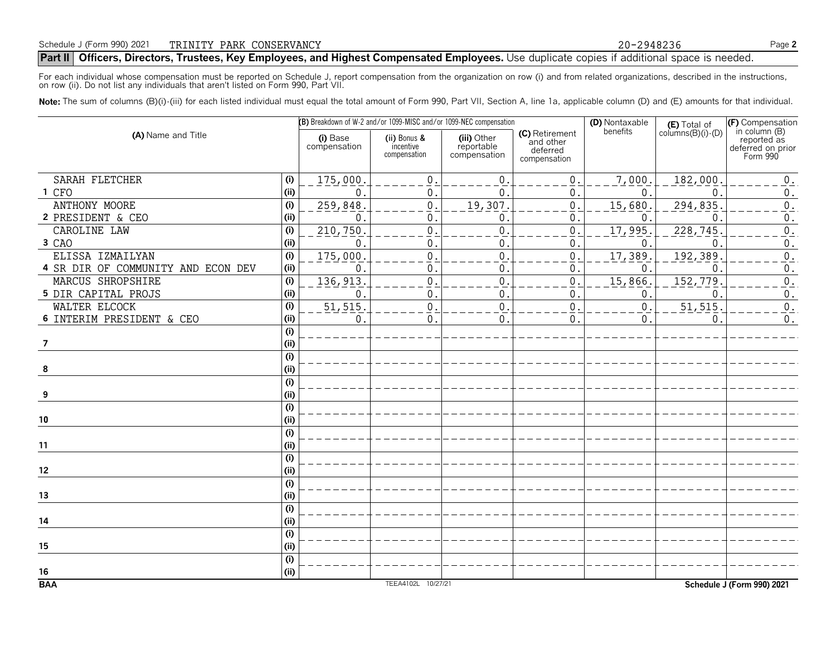For each individual whose compensation must be reported on Schedule J, report compensation from the organization on row (i) and from related organizations, described in the instructions, on row (ii). Do not list any individuals that aren't listed on Form 990, Part VII.

Note: The sum of columns (B)(i)-(iii) for each listed individual must equal the total amount of Form 990, Part VII, Section A, line 1a, applicable column (D) and (E) amounts for that individual.

|                                           |                          |                                           | (B) Breakdown of W-2 and/or 1099-MISC and/or 1099-NEC compensation |                                                         | (D) Nontaxable | $(E)$ Total of<br>columns $(B)(i)$ - $(D)$ | (F) Compensation                                              |
|-------------------------------------------|--------------------------|-------------------------------------------|--------------------------------------------------------------------|---------------------------------------------------------|----------------|--------------------------------------------|---------------------------------------------------------------|
| (A) Name and Title                        | (i) Base<br>compensation | (ii) Bonus &<br>incentive<br>compensation | (iii) Other<br>reportable<br>compensation                          | (C) Retirement<br>and other<br>deferred<br>compensation | benefits       |                                            | in column (B)<br>reported as<br>deferred on prior<br>Form 990 |
| SARAH FLETCHER<br>(i)                     | 175,000                  | $\mathsf{O}\xspace$                       | 0                                                                  | 0                                                       | 7,000.         | 182,000                                    | $\boldsymbol{0}$ .                                            |
| (i)<br>1 CFO                              | $\mathbf 0$              | $\mathbf 0$ .                             | $\mathbf{0}$                                                       | 0                                                       | $\mathbf 0$ .  | $\overline{0}$                             | $0$ .                                                         |
| ANTHONY MOORE<br>(i)                      | 259,848                  | $\mathbf{0}$                              | 19,307                                                             | 0                                                       | 15, 680.       | 294,835                                    | $\overline{0}$ .                                              |
| (i)<br>2 PRESIDENT & CEO                  | $\mathbf 0$              | $\mathbf{0}$                              | 0                                                                  | 0                                                       | $\mathbf 0$ .  | $\overline{0}$                             | $\boldsymbol{0}$ .                                            |
| (i)<br>CAROLINE LAW                       | 210,750                  | $\mathsf{O}\xspace$                       | $\overline{0}$                                                     | $\mathsf{O}\xspace$                                     | 17,995.        | 228,745                                    | $\overline{0}$ .                                              |
| (i)<br>3 CAO                              | $\mathbf 0$              | $\mathbf 0$                               | 0                                                                  | 0                                                       | $\mathbf{0}$   | $\mathbf 0$                                | $\boldsymbol{0}$ .                                            |
| ELISSA IZMAILYAN<br>(i)                   | 175,000                  | $\mathsf 0$                               | 0                                                                  | $\boldsymbol{0}$                                        | 17, 389.       | 192, 389                                   | $\overline{0}$ .                                              |
| (i)<br>4 SR DIR OF COMMUNITY AND ECON DEV | $\mathbf 0$              | $\pmb{0}$                                 | 0                                                                  | 0                                                       | $\mathbf{0}$   | $\mathbf 0$                                | $\boldsymbol{0}$ .                                            |
| (i)<br>MARCUS SHROPSHIRE                  | 136,913                  | $\mathbf 0$                               | $\mathbf 0$                                                        | $\boldsymbol{0}$                                        | 15,866.        | 152, 779                                   | $\overline{0}$ .                                              |
| (i)<br>5 DIR CAPITAL PROJS                | 0                        | $\mathbf 0$                               | 0                                                                  | 0                                                       | $\mathbf{0}$   | $\mathbf 0$                                | $\boldsymbol{0}$ .                                            |
| (i)<br>WALTER ELCOCK                      | 51, 515.                 | $\mathsf{O}\xspace$                       | $\overline{0}$                                                     | $\boldsymbol{0}$                                        | $\mathbf{0}$ . | 51, 515                                    | $\overline{0}$ .                                              |
| (i)<br>6 INTERIM PRESIDENT & CEO          | 0                        | $\mathsf 0$                               | $\mathbf 0$                                                        | 0                                                       | 0.             | $\mathbf 0$                                | $\boldsymbol{0}$ .                                            |
| (i)                                       |                          |                                           |                                                                    |                                                         |                |                                            |                                                               |
| (i)<br>7                                  |                          |                                           |                                                                    |                                                         |                |                                            |                                                               |
| (i)                                       |                          |                                           |                                                                    |                                                         |                |                                            |                                                               |
| (i)<br>8                                  |                          |                                           |                                                                    |                                                         |                |                                            |                                                               |
| (i)                                       |                          |                                           |                                                                    |                                                         |                |                                            |                                                               |
| (i)<br>9                                  |                          |                                           |                                                                    |                                                         |                |                                            |                                                               |
| (i)                                       |                          |                                           |                                                                    |                                                         |                |                                            |                                                               |
| (i)<br>10                                 |                          |                                           |                                                                    |                                                         |                |                                            |                                                               |
| (i)                                       |                          |                                           |                                                                    |                                                         |                |                                            |                                                               |
| (i)<br>11                                 |                          |                                           |                                                                    |                                                         |                |                                            |                                                               |
| (i)                                       |                          |                                           |                                                                    |                                                         |                |                                            |                                                               |
| (i)<br>12                                 |                          |                                           |                                                                    |                                                         |                |                                            |                                                               |
| (i)<br>(i)                                |                          |                                           |                                                                    |                                                         |                |                                            |                                                               |
| 13                                        |                          |                                           |                                                                    |                                                         |                |                                            |                                                               |
| (i)                                       |                          |                                           |                                                                    |                                                         |                |                                            |                                                               |
| (i)<br>14<br>(i)                          |                          |                                           |                                                                    |                                                         |                |                                            |                                                               |
| (i)<br>15                                 |                          |                                           |                                                                    |                                                         |                |                                            |                                                               |
| (i)                                       |                          |                                           |                                                                    |                                                         |                |                                            |                                                               |
| (i)<br>16                                 |                          |                                           |                                                                    |                                                         |                |                                            |                                                               |
| <b>BAA</b>                                |                          | TEEA4102L 10/27/21                        |                                                                    |                                                         |                |                                            | Schedule J (Form 990) 2021                                    |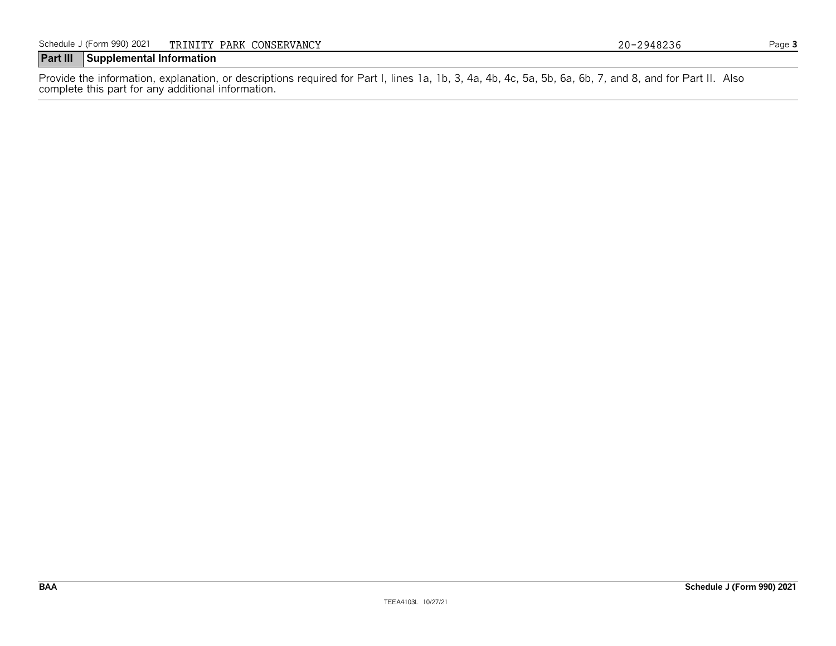#### **Part III Supplemental Information**

Provide the information, explanation, or descriptions required for Part I, lines 1a, 1b, 3, 4a, 4b, 4c, 5a, 5b, 6a, 6b, 7, and 8, and for Part II. Also complete this part for any additional information.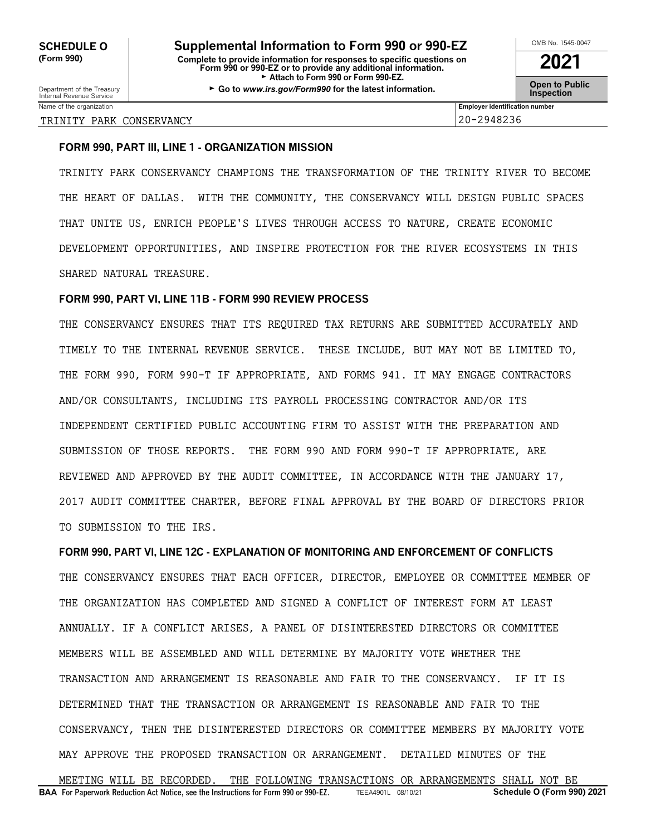Department of the Treasury **Constant Comment of the Collam Constant Constant Constant Comment of the Inspection<br>Internal Revenue Service <b>Inspection** 

| пена<br>Revenue<br><b>SEINICE</b> |                                       |       |
|-----------------------------------|---------------------------------------|-------|
| Name<br>anızatıon                 | <br>Employer<br><b>identification</b> | numbe |

#### TRINITY PARK CONSERVANCY 20-2948236

#### **FORM 990, PART III, LINE 1 - ORGANIZATION MISSION**

TRINITY PARK CONSERVANCY CHAMPIONS THE TRANSFORMATION OF THE TRINITY RIVER TO BECOME THE HEART OF DALLAS. WITH THE COMMUNITY, THE CONSERVANCY WILL DESIGN PUBLIC SPACES THAT UNITE US, ENRICH PEOPLE'S LIVES THROUGH ACCESS TO NATURE, CREATE ECONOMIC DEVELOPMENT OPPORTUNITIES, AND INSPIRE PROTECTION FOR THE RIVER ECOSYSTEMS IN THIS SHARED NATURAL TREASURE.

#### **FORM 990, PART VI, LINE 11B - FORM 990 REVIEW PROCESS**

THE CONSERVANCY ENSURES THAT ITS REQUIRED TAX RETURNS ARE SUBMITTED ACCURATELY AND TIMELY TO THE INTERNAL REVENUE SERVICE. THESE INCLUDE, BUT MAY NOT BE LIMITED TO, THE FORM 990, FORM 990-T IF APPROPRIATE, AND FORMS 941. IT MAY ENGAGE CONTRACTORS AND/OR CONSULTANTS, INCLUDING ITS PAYROLL PROCESSING CONTRACTOR AND/OR ITS INDEPENDENT CERTIFIED PUBLIC ACCOUNTING FIRM TO ASSIST WITH THE PREPARATION AND SUBMISSION OF THOSE REPORTS. THE FORM 990 AND FORM 990-T IF APPROPRIATE, ARE REVIEWED AND APPROVED BY THE AUDIT COMMITTEE, IN ACCORDANCE WITH THE JANUARY 17, 2017 AUDIT COMMITTEE CHARTER, BEFORE FINAL APPROVAL BY THE BOARD OF DIRECTORS PRIOR TO SUBMISSION TO THE IRS.

**FORM 990, PART VI, LINE 12C - EXPLANATION OF MONITORING AND ENFORCEMENT OF CONFLICTS** THE CONSERVANCY ENSURES THAT EACH OFFICER, DIRECTOR, EMPLOYEE OR COMMITTEE MEMBER OF

THE ORGANIZATION HAS COMPLETED AND SIGNED A CONFLICT OF INTEREST FORM AT LEAST ANNUALLY. IF A CONFLICT ARISES, A PANEL OF DISINTERESTED DIRECTORS OR COMMITTEE MEMBERS WILL BE ASSEMBLED AND WILL DETERMINE BY MAJORITY VOTE WHETHER THE TRANSACTION AND ARRANGEMENT IS REASONABLE AND FAIR TO THE CONSERVANCY. IF IT IS DETERMINED THAT THE TRANSACTION OR ARRANGEMENT IS REASONABLE AND FAIR TO THE CONSERVANCY, THEN THE DISINTERESTED DIRECTORS OR COMMITTEE MEMBERS BY MAJORITY VOTE MAY APPROVE THE PROPOSED TRANSACTION OR ARRANGEMENT. DETAILED MINUTES OF THE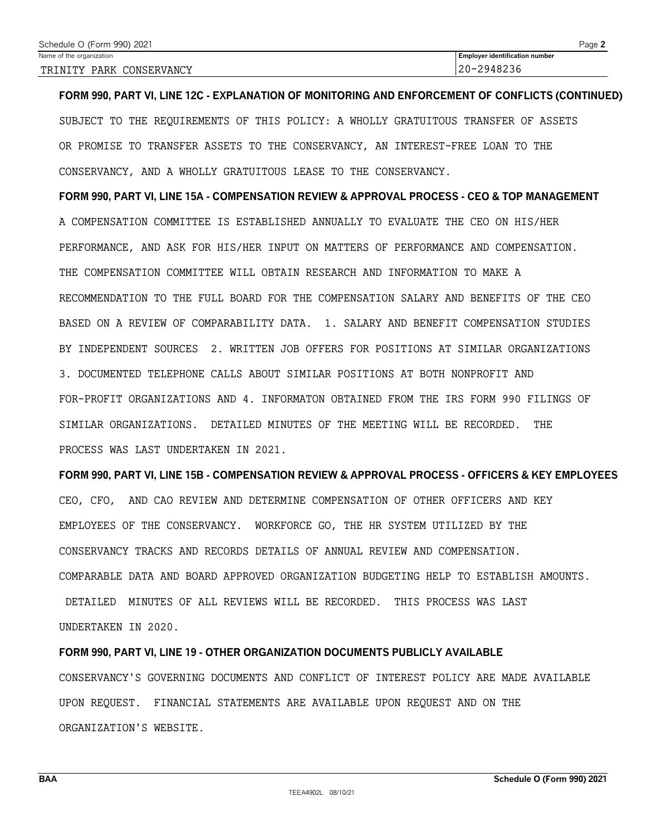| Schedule O (Form 990) 2021 | $P$ age $\geq$                        |
|----------------------------|---------------------------------------|
| Name of the organization   | <b>Employer identification number</b> |
| TRINITY PARK CONSERVANCY   | 20-2948236                            |

**FORM 990, PART VI, LINE 12C - EXPLANATION OF MONITORING AND ENFORCEMENT OF CONFLICTS (CONTINUED)** SUBJECT TO THE REQUIREMENTS OF THIS POLICY: A WHOLLY GRATUITOUS TRANSFER OF ASSETS OR PROMISE TO TRANSFER ASSETS TO THE CONSERVANCY, AN INTEREST-FREE LOAN TO THE CONSERVANCY, AND A WHOLLY GRATUITOUS LEASE TO THE CONSERVANCY.

**FORM 990, PART VI, LINE 15A - COMPENSATION REVIEW & APPROVAL PROCESS - CEO & TOP MANAGEMENT** A COMPENSATION COMMITTEE IS ESTABLISHED ANNUALLY TO EVALUATE THE CEO ON HIS/HER PERFORMANCE, AND ASK FOR HIS/HER INPUT ON MATTERS OF PERFORMANCE AND COMPENSATION. THE COMPENSATION COMMITTEE WILL OBTAIN RESEARCH AND INFORMATION TO MAKE A RECOMMENDATION TO THE FULL BOARD FOR THE COMPENSATION SALARY AND BENEFITS OF THE CEO BASED ON A REVIEW OF COMPARABILITY DATA. 1. SALARY AND BENEFIT COMPENSATION STUDIES BY INDEPENDENT SOURCES 2. WRITTEN JOB OFFERS FOR POSITIONS AT SIMILAR ORGANIZATIONS 3. DOCUMENTED TELEPHONE CALLS ABOUT SIMILAR POSITIONS AT BOTH NONPROFIT AND FOR-PROFIT ORGANIZATIONS AND 4. INFORMATON OBTAINED FROM THE IRS FORM 990 FILINGS OF SIMILAR ORGANIZATIONS. DETAILED MINUTES OF THE MEETING WILL BE RECORDED. THE PROCESS WAS LAST UNDERTAKEN IN 2021.

**FORM 990, PART VI, LINE 15B - COMPENSATION REVIEW & APPROVAL PROCESS - OFFICERS & KEY EMPLOYEES** CEO, CFO, AND CAO REVIEW AND DETERMINE COMPENSATION OF OTHER OFFICERS AND KEY EMPLOYEES OF THE CONSERVANCY. WORKFORCE GO, THE HR SYSTEM UTILIZED BY THE CONSERVANCY TRACKS AND RECORDS DETAILS OF ANNUAL REVIEW AND COMPENSATION. COMPARABLE DATA AND BOARD APPROVED ORGANIZATION BUDGETING HELP TO ESTABLISH AMOUNTS.

DETAILED MINUTES OF ALL REVIEWS WILL BE RECORDED. THIS PROCESS WAS LAST UNDERTAKEN IN 2020.

**FORM 990, PART VI, LINE 19 - OTHER ORGANIZATION DOCUMENTS PUBLICLY AVAILABLE** CONSERVANCY'S GOVERNING DOCUMENTS AND CONFLICT OF INTEREST POLICY ARE MADE AVAILABLE UPON REQUEST. FINANCIAL STATEMENTS ARE AVAILABLE UPON REQUEST AND ON THE ORGANIZATION'S WEBSITE.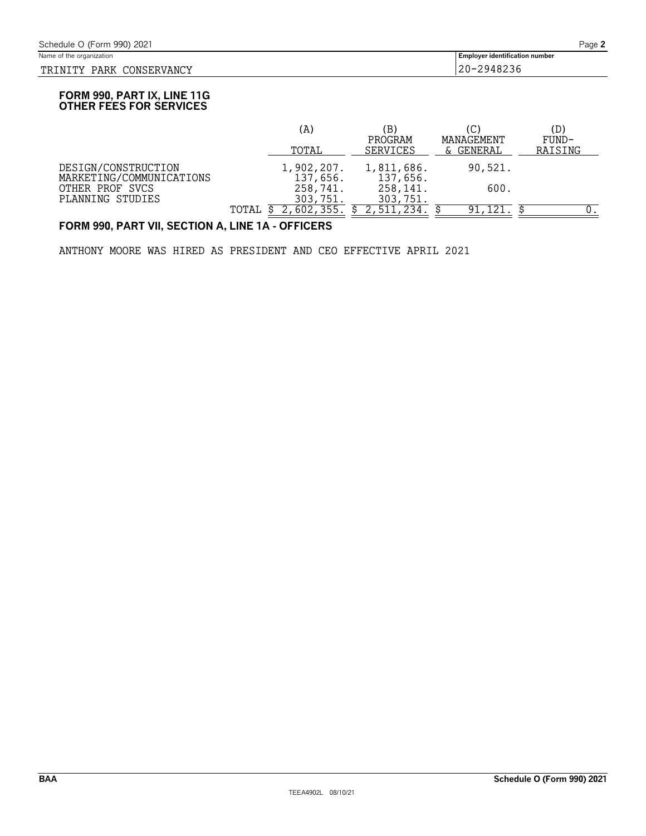#### TRINITY PARK CONSERVANCY 20-2948236

**Employer identification number** 

#### **FORM 990, PART IX, LINE 11G OTHER FEES FOR SERVICES**

|                                                 |       | (A)                    | (B)                        | (C)                     | (D)              |
|-------------------------------------------------|-------|------------------------|----------------------------|-------------------------|------------------|
|                                                 |       | TOTAL                  | PROGRAM<br><b>SERVICES</b> | MANAGEMENT<br>& GENERAL | FUND-<br>RAISING |
| DESIGN/CONSTRUCTION<br>MARKETING/COMMUNICATIONS |       | 1,902,207.<br>137,656. | 1,811,686.<br>137,656.     | 90,521.                 |                  |
| OTHER PROF SVCS<br>PLANNING STUDIES             |       | 258,741.<br>303,751.   | 258,141.<br>303,751.       | 600.                    |                  |
|                                                 | TOTAL |                        |                            | 91,121                  |                  |

#### **FORM 990, PART VII, SECTION A, LINE 1A - OFFICERS**

ANTHONY MOORE WAS HIRED AS PRESIDENT AND CEO EFFECTIVE APRIL 2021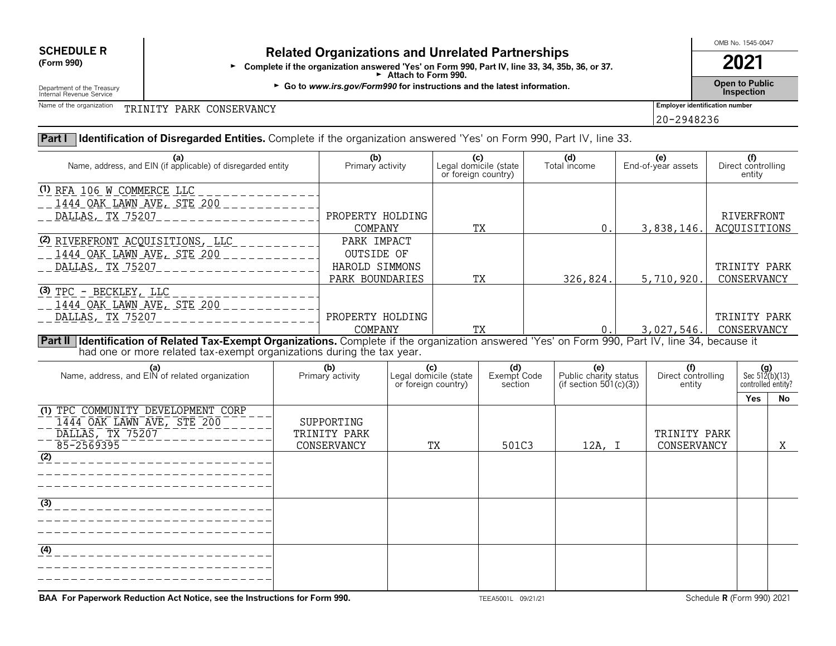# **SCHEDULE R Related Organizations and Unrelated Partnerships**<br>(Form 990) **Related Organization arguered "Yes' on Form 990, Bart IV, line 32, 24, 25h**

Form 990)<br>Form 990, Part IV, line 33, 34, 35b, 36, or 37.<br>Attach to Form 990.

► Go to *www.irs.gov/Form990* for instructions and the latest information. <br>Inspection

OMB No. 1545-0047

20-2948236

Department of the Treasury<br>Internal Revenue Service

Name of the organization **FRINITY PARK CONSERVANCY Employer identification number** 

#### **Part I Identification of Disregarded Entities.** Complete if the organization answered 'Yes' on Form 990, Part IV, line 33.

| (a)<br>Name, address, and EIN (if applicable) of disregarded entity                                                                                 | (b)<br>Primary activity | (c)<br>Legal domicile (state<br>or foreign country) | (d)<br>Total income | (e)<br>End-of-year assets | Direct controlling<br>entity |
|-----------------------------------------------------------------------------------------------------------------------------------------------------|-------------------------|-----------------------------------------------------|---------------------|---------------------------|------------------------------|
| (1) RFA 106 W COMMERCE LLC                                                                                                                          |                         |                                                     |                     |                           |                              |
| 1444 OAK LAWN AVE, STE 200                                                                                                                          |                         |                                                     |                     |                           |                              |
| DALLAS, TX 75207                                                                                                                                    | PROPERTY HOLDING        |                                                     |                     |                           | RIVERFRONT                   |
|                                                                                                                                                     | COMPANY                 | TХ                                                  |                     | 3,838,146.                | ACQUISITIONS                 |
| <u>(2) RIVERFRONT ACQUISITIONS, LLC</u>                                                                                                             | PARK IMPACT             |                                                     |                     |                           |                              |
| <u>. 1444 OAK LAWN AVE, STE 200</u>                                                                                                                 | OUTSIDE OF              |                                                     |                     |                           |                              |
| DALLAS, TX 75207                                                                                                                                    | HAROLD SIMMONS          |                                                     |                     |                           | TRINITY PARK                 |
|                                                                                                                                                     | PARK BOUNDARIES         | TХ                                                  | 326,824.            | 5,710,920.                | CONSERVANCY                  |
| <u>(3) TPC - BECKLEY, LLC</u>                                                                                                                       |                         |                                                     |                     |                           |                              |
| <u>__ 1444 OAK LAWN AVE, STE 200</u>                                                                                                                |                         |                                                     |                     |                           |                              |
| DALLAS, TX 75207                                                                                                                                    | PROPERTY HOLDING        |                                                     |                     |                           | TRINITY PARK                 |
|                                                                                                                                                     | COMPANY                 | TУ                                                  |                     | 3,027,546.                | CONSERVANCY                  |
| Part II   Identification of Related Tax-Exempt Organizations. Complete if the organization answered 'Yes' on Form 990, Part IV, line 34, because it |                         |                                                     |                     |                           |                              |

had one or more related tax-exempt organizations during the tax year.

| (a)<br>Name, address, and EIN of related organization                                              | (b)<br>Primary activity                   | Legal domicile (state<br>or foreign country) | (d)<br>Exempt Code<br>section | (e)<br>Public charity status<br>(if section $501(c)(3)$ ) | (f)<br>Direct controlling<br>entity | $(g)$<br>Sec 512(b)(13)<br>controlled entity? |    |
|----------------------------------------------------------------------------------------------------|-------------------------------------------|----------------------------------------------|-------------------------------|-----------------------------------------------------------|-------------------------------------|-----------------------------------------------|----|
|                                                                                                    |                                           |                                              |                               |                                                           |                                     | <b>Yes</b>                                    | No |
| (1) TPC COMMUNITY DEVELOPMENT CORP<br>1444 OAK LAWN AVE, STE 200<br>DALLAS, TX 75207<br>85-2569395 | SUPPORTING<br>TRINITY PARK<br>CONSERVANCY | TX                                           | 501C3                         | 12A, I                                                    | TRINITY PARK<br>CONSERVANCY         |                                               | Χ  |
| $\overline{(2)}$                                                                                   |                                           |                                              |                               |                                                           |                                     |                                               |    |
| $\overline{(3)}$                                                                                   |                                           |                                              |                               |                                                           |                                     |                                               |    |
| (4)                                                                                                |                                           |                                              |                               |                                                           |                                     |                                               |    |

**BAA For Paperwork Reduction Act Notice, see the Instructions for Form 990.** TEEA5001L 09/21/21 Schedule **R** (Form 990) 2021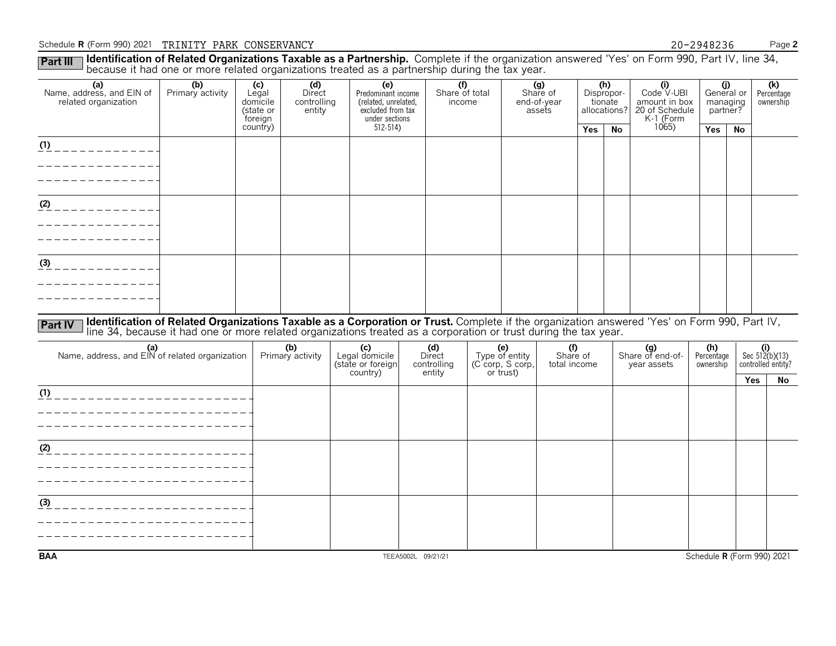#### Schedule **R** (Form 990) 2021 PINITY PARK CONSERVANCY 2018 20 20 2948236 Page 2

Part III I **Identification of Related Organizations Taxable as a Partnership.** Complete if the organization answered 'Yes' on Form 990, Part IV, line 34,<br>because it had one or more related organizations treated as a partne

| (a)<br>Name, address, and EIN of<br>related organization | (b)<br>Primary activity                                                                                                                                                                                                                                          | (c)<br>Legal<br>domicile<br>(state or<br>foreign | (d)<br>Direct<br>controlling<br>entity | (e)<br>Predominant income<br>(related, unrelated,<br>excluded from tax<br>under sections | $\overline{(\text{f})}$<br>Share of total<br>income |                       | (g)<br>Share of<br>end-of-year<br>assets |            | (h)<br>Dispropor-<br>tionate<br>allocations? | (i)<br>Code V-UBI<br>amount in box<br>20 of Schedule<br>K-1 (Form | managing<br>partner?    | (j)<br>General or | (k)<br>Percentage<br>ownership |
|----------------------------------------------------------|------------------------------------------------------------------------------------------------------------------------------------------------------------------------------------------------------------------------------------------------------------------|--------------------------------------------------|----------------------------------------|------------------------------------------------------------------------------------------|-----------------------------------------------------|-----------------------|------------------------------------------|------------|----------------------------------------------|-------------------------------------------------------------------|-------------------------|-------------------|--------------------------------|
|                                                          |                                                                                                                                                                                                                                                                  | country)                                         |                                        | $512 - 514$                                                                              |                                                     |                       |                                          | <b>Yes</b> | <b>No</b>                                    | 1065                                                              | Yes                     | No                |                                |
| $(1)$ _ _ _ _ _ _ _ _ _ _ _ _ _                          |                                                                                                                                                                                                                                                                  |                                                  |                                        |                                                                                          |                                                     |                       |                                          |            |                                              |                                                                   |                         |                   |                                |
|                                                          |                                                                                                                                                                                                                                                                  |                                                  |                                        |                                                                                          |                                                     |                       |                                          |            |                                              |                                                                   |                         |                   |                                |
|                                                          |                                                                                                                                                                                                                                                                  |                                                  |                                        |                                                                                          |                                                     |                       |                                          |            |                                              |                                                                   |                         |                   |                                |
|                                                          |                                                                                                                                                                                                                                                                  |                                                  |                                        |                                                                                          |                                                     |                       |                                          |            |                                              |                                                                   |                         |                   |                                |
| $(2)$ _ _ _ _ _ _ _ _ _ _ _ _                            |                                                                                                                                                                                                                                                                  |                                                  |                                        |                                                                                          |                                                     |                       |                                          |            |                                              |                                                                   |                         |                   |                                |
|                                                          |                                                                                                                                                                                                                                                                  |                                                  |                                        |                                                                                          |                                                     |                       |                                          |            |                                              |                                                                   |                         |                   |                                |
|                                                          |                                                                                                                                                                                                                                                                  |                                                  |                                        |                                                                                          |                                                     |                       |                                          |            |                                              |                                                                   |                         |                   |                                |
| $\frac{(3)}{2}$ - - - - - - - - - - - -                  |                                                                                                                                                                                                                                                                  |                                                  |                                        |                                                                                          |                                                     |                       |                                          |            |                                              |                                                                   |                         |                   |                                |
|                                                          |                                                                                                                                                                                                                                                                  |                                                  |                                        |                                                                                          |                                                     |                       |                                          |            |                                              |                                                                   |                         |                   |                                |
|                                                          |                                                                                                                                                                                                                                                                  |                                                  |                                        |                                                                                          |                                                     |                       |                                          |            |                                              |                                                                   |                         |                   |                                |
|                                                          |                                                                                                                                                                                                                                                                  |                                                  |                                        |                                                                                          |                                                     |                       |                                          |            |                                              |                                                                   |                         |                   |                                |
| <b>Part IV</b>                                           | Identification of Related Organizations Taxable as a Corporation or Trust. Complete if the organization answered 'Yes' on Form 990, Part IV,<br>line 34, because it had one or more related organizations treated as a corporation or trust during the tax year. |                                                  |                                        |                                                                                          |                                                     |                       |                                          |            |                                              |                                                                   |                         |                   |                                |
| (a)<br>Name, address, and EIN of related organization    |                                                                                                                                                                                                                                                                  |                                                  | (b)                                    | (c)<br>Legal domicile                                                                    | (d)<br>Direct                                       | (e)<br>Type of entity | (f)                                      |            |                                              | (g)<br>Share of end-of-                                           | (h)                     |                   | (i)<br>Sec $512(b)(13)$        |
|                                                          |                                                                                                                                                                                                                                                                  |                                                  | Primary activity                       | (state or foreign                                                                        | controlling                                         | (C corp, S corp,      | Share of<br>total income                 |            |                                              | year assets                                                       | Percentage<br>ownership |                   | controlled entity?             |
|                                                          |                                                                                                                                                                                                                                                                  |                                                  |                                        | country)                                                                                 | entity                                              | or trust)             |                                          |            |                                              |                                                                   |                         | Yes               | No                             |
|                                                          |                                                                                                                                                                                                                                                                  |                                                  |                                        |                                                                                          |                                                     |                       |                                          |            |                                              |                                                                   |                         |                   |                                |
| ______________________                                   |                                                                                                                                                                                                                                                                  |                                                  |                                        |                                                                                          |                                                     |                       |                                          |            |                                              |                                                                   |                         |                   |                                |
| _ _ _ _ _ _ _ _ _ _ _ _ _ _ _ _ _ _                      |                                                                                                                                                                                                                                                                  |                                                  |                                        |                                                                                          |                                                     |                       |                                          |            |                                              |                                                                   |                         |                   |                                |
| (2)                                                      |                                                                                                                                                                                                                                                                  |                                                  |                                        |                                                                                          |                                                     |                       |                                          |            |                                              |                                                                   |                         |                   |                                |
|                                                          |                                                                                                                                                                                                                                                                  |                                                  |                                        |                                                                                          |                                                     |                       |                                          |            |                                              |                                                                   |                         |                   |                                |
|                                                          |                                                                                                                                                                                                                                                                  |                                                  |                                        |                                                                                          |                                                     |                       |                                          |            |                                              |                                                                   |                         |                   |                                |
|                                                          |                                                                                                                                                                                                                                                                  |                                                  |                                        |                                                                                          |                                                     |                       |                                          |            |                                              |                                                                   |                         |                   |                                |
| (3)                                                      |                                                                                                                                                                                                                                                                  |                                                  |                                        |                                                                                          |                                                     |                       |                                          |            |                                              |                                                                   |                         |                   |                                |
|                                                          |                                                                                                                                                                                                                                                                  |                                                  |                                        |                                                                                          |                                                     |                       |                                          |            |                                              |                                                                   |                         |                   |                                |
|                                                          |                                                                                                                                                                                                                                                                  |                                                  |                                        |                                                                                          |                                                     |                       |                                          |            |                                              |                                                                   |                         |                   |                                |
| <b>BAA</b>                                               |                                                                                                                                                                                                                                                                  |                                                  |                                        |                                                                                          | TEEA5002L 09/21/21                                  |                       |                                          |            |                                              |                                                                   |                         |                   | Schedule R (Form 990) 2021     |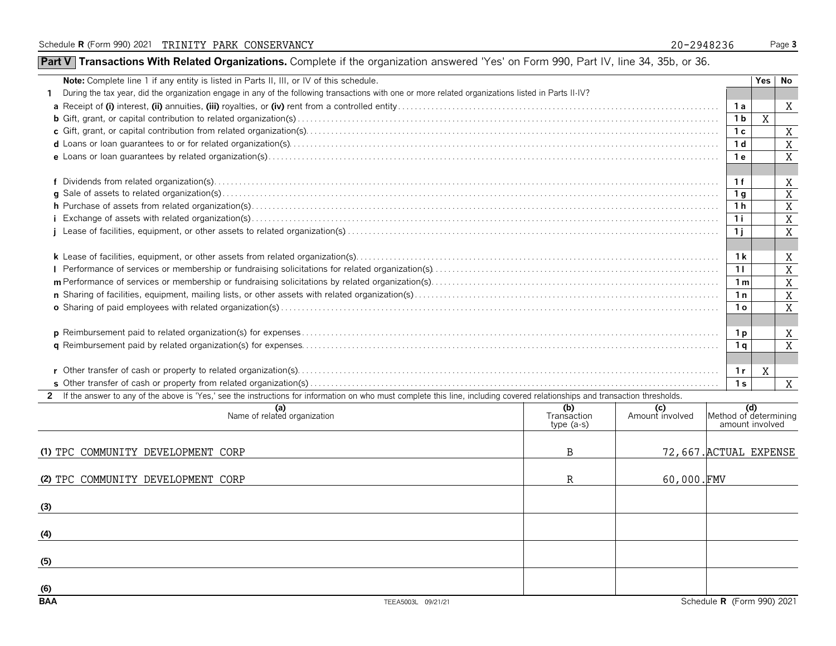### **Part V** Transactions With Related Organizations. Complete if the organization answered 'Yes' on Form 990, Part IV, line 34, 35b, or 36.

| During the tax year, did the organization engage in any of the following transactions with one or more related organizations listed in Parts II-IV?<br>X<br>1 a<br>X<br>1 <sub>b</sub><br>X<br>1 <sup>c</sup><br>X<br>1 <sub>d</sub><br>X<br>1 e<br>X<br>1f<br>$\overline{X}$<br>1 <sub>q</sub><br>X<br>1 h<br>$\,$ X<br>1i<br>X<br>1j<br>1k<br>X<br>X<br>11<br>X<br>1 <sub>m</sub><br>X<br>1n<br>X<br>1 <sub>o</sub><br>X<br>1 p<br>X<br>1 a<br>X<br>1r<br>1 <sub>s</sub><br>X<br>2 If the answer to any of the above is 'Yes,' see the instructions for information on who must complete this line, including covered relationships and transaction thresholds.<br>(b)<br>(a)<br>Name of related organization<br>(d)<br>Method of determining<br>(c)<br>Amount involved<br>Transaction<br>amount involved<br>$type(a-s)$<br>72,667. ACTUAL EXPENSE<br>(1) TPC COMMUNITY DEVELOPMENT CORP<br>B | <b>Note:</b> Complete line 1 if any entity is listed in Parts II, III, or IV of this schedule. |  |  |  |  | Yes I | No |
|-------------------------------------------------------------------------------------------------------------------------------------------------------------------------------------------------------------------------------------------------------------------------------------------------------------------------------------------------------------------------------------------------------------------------------------------------------------------------------------------------------------------------------------------------------------------------------------------------------------------------------------------------------------------------------------------------------------------------------------------------------------------------------------------------------------------------------------------------------------------------------------------------|------------------------------------------------------------------------------------------------|--|--|--|--|-------|----|
|                                                                                                                                                                                                                                                                                                                                                                                                                                                                                                                                                                                                                                                                                                                                                                                                                                                                                                 |                                                                                                |  |  |  |  |       |    |
|                                                                                                                                                                                                                                                                                                                                                                                                                                                                                                                                                                                                                                                                                                                                                                                                                                                                                                 |                                                                                                |  |  |  |  |       |    |
|                                                                                                                                                                                                                                                                                                                                                                                                                                                                                                                                                                                                                                                                                                                                                                                                                                                                                                 |                                                                                                |  |  |  |  |       |    |
|                                                                                                                                                                                                                                                                                                                                                                                                                                                                                                                                                                                                                                                                                                                                                                                                                                                                                                 |                                                                                                |  |  |  |  |       |    |
|                                                                                                                                                                                                                                                                                                                                                                                                                                                                                                                                                                                                                                                                                                                                                                                                                                                                                                 |                                                                                                |  |  |  |  |       |    |
|                                                                                                                                                                                                                                                                                                                                                                                                                                                                                                                                                                                                                                                                                                                                                                                                                                                                                                 |                                                                                                |  |  |  |  |       |    |
|                                                                                                                                                                                                                                                                                                                                                                                                                                                                                                                                                                                                                                                                                                                                                                                                                                                                                                 |                                                                                                |  |  |  |  |       |    |
|                                                                                                                                                                                                                                                                                                                                                                                                                                                                                                                                                                                                                                                                                                                                                                                                                                                                                                 |                                                                                                |  |  |  |  |       |    |
|                                                                                                                                                                                                                                                                                                                                                                                                                                                                                                                                                                                                                                                                                                                                                                                                                                                                                                 |                                                                                                |  |  |  |  |       |    |
|                                                                                                                                                                                                                                                                                                                                                                                                                                                                                                                                                                                                                                                                                                                                                                                                                                                                                                 |                                                                                                |  |  |  |  |       |    |
|                                                                                                                                                                                                                                                                                                                                                                                                                                                                                                                                                                                                                                                                                                                                                                                                                                                                                                 |                                                                                                |  |  |  |  |       |    |
|                                                                                                                                                                                                                                                                                                                                                                                                                                                                                                                                                                                                                                                                                                                                                                                                                                                                                                 |                                                                                                |  |  |  |  |       |    |
|                                                                                                                                                                                                                                                                                                                                                                                                                                                                                                                                                                                                                                                                                                                                                                                                                                                                                                 |                                                                                                |  |  |  |  |       |    |
|                                                                                                                                                                                                                                                                                                                                                                                                                                                                                                                                                                                                                                                                                                                                                                                                                                                                                                 |                                                                                                |  |  |  |  |       |    |
|                                                                                                                                                                                                                                                                                                                                                                                                                                                                                                                                                                                                                                                                                                                                                                                                                                                                                                 |                                                                                                |  |  |  |  |       |    |
|                                                                                                                                                                                                                                                                                                                                                                                                                                                                                                                                                                                                                                                                                                                                                                                                                                                                                                 |                                                                                                |  |  |  |  |       |    |
|                                                                                                                                                                                                                                                                                                                                                                                                                                                                                                                                                                                                                                                                                                                                                                                                                                                                                                 |                                                                                                |  |  |  |  |       |    |
|                                                                                                                                                                                                                                                                                                                                                                                                                                                                                                                                                                                                                                                                                                                                                                                                                                                                                                 |                                                                                                |  |  |  |  |       |    |
|                                                                                                                                                                                                                                                                                                                                                                                                                                                                                                                                                                                                                                                                                                                                                                                                                                                                                                 |                                                                                                |  |  |  |  |       |    |
|                                                                                                                                                                                                                                                                                                                                                                                                                                                                                                                                                                                                                                                                                                                                                                                                                                                                                                 |                                                                                                |  |  |  |  |       |    |
|                                                                                                                                                                                                                                                                                                                                                                                                                                                                                                                                                                                                                                                                                                                                                                                                                                                                                                 |                                                                                                |  |  |  |  |       |    |
|                                                                                                                                                                                                                                                                                                                                                                                                                                                                                                                                                                                                                                                                                                                                                                                                                                                                                                 |                                                                                                |  |  |  |  |       |    |
|                                                                                                                                                                                                                                                                                                                                                                                                                                                                                                                                                                                                                                                                                                                                                                                                                                                                                                 |                                                                                                |  |  |  |  |       |    |
|                                                                                                                                                                                                                                                                                                                                                                                                                                                                                                                                                                                                                                                                                                                                                                                                                                                                                                 |                                                                                                |  |  |  |  |       |    |
|                                                                                                                                                                                                                                                                                                                                                                                                                                                                                                                                                                                                                                                                                                                                                                                                                                                                                                 |                                                                                                |  |  |  |  |       |    |
|                                                                                                                                                                                                                                                                                                                                                                                                                                                                                                                                                                                                                                                                                                                                                                                                                                                                                                 |                                                                                                |  |  |  |  |       |    |
|                                                                                                                                                                                                                                                                                                                                                                                                                                                                                                                                                                                                                                                                                                                                                                                                                                                                                                 |                                                                                                |  |  |  |  |       |    |
|                                                                                                                                                                                                                                                                                                                                                                                                                                                                                                                                                                                                                                                                                                                                                                                                                                                                                                 |                                                                                                |  |  |  |  |       |    |
|                                                                                                                                                                                                                                                                                                                                                                                                                                                                                                                                                                                                                                                                                                                                                                                                                                                                                                 |                                                                                                |  |  |  |  |       |    |
| $50.000$ $FMT$<br>D                                                                                                                                                                                                                                                                                                                                                                                                                                                                                                                                                                                                                                                                                                                                                                                                                                                                             |                                                                                                |  |  |  |  |       |    |

| (2) TPC COMMUNITY DEVELOPMENT CORP | 60,000.FMV |                            |
|------------------------------------|------------|----------------------------|
| (3)                                |            |                            |
| (4)                                |            |                            |
| (5)                                |            |                            |
| (6)                                |            |                            |
| <b>BAA</b><br>TEEA5003L 09/21/21   |            | Schedule R (Form 990) 2021 |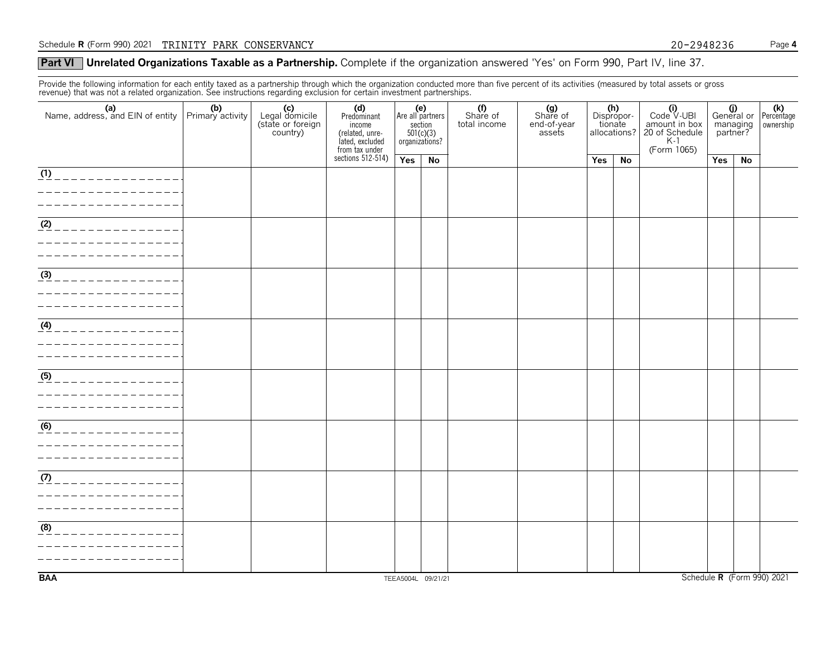#### **Part VI** Unrelated Organizations Taxable as a Partnership. Complete if the organization answered 'Yes' on Form 990, Part IV, line 37.

Provide the following information for each entity taxed as a partnership through which the organization conducted more than five percent of its activities (measured by total assets or gross revenue) that was not a related organization. See instructions regarding exclusion for certain investment partnerships.

|                                                                                                          |  | (c)<br>Legal domicile<br>(state or foreign<br>country) | (d)<br>Predominant<br>income<br>(related, unre-<br>lated, excluded<br>from tax under<br>sections 512-514) | (e)<br>Are all partners<br>section<br>$501(c)(3)$<br>organizations? |    | (f)<br>Share of<br>total income | (g)<br>Share of<br>end-of-year<br>assets | (h)<br>Dispropor-<br>tionate<br>allocations? |    | $(i)$<br>Code $\vee$ UBI<br>amount in box<br>20 of Schedule<br>K-1<br>(Form 1065) | $\frac{1}{2}$ General or<br>managing<br>partner? |    | $\overline{\mathsf{Reicentage}}$<br>ownership |
|----------------------------------------------------------------------------------------------------------|--|--------------------------------------------------------|-----------------------------------------------------------------------------------------------------------|---------------------------------------------------------------------|----|---------------------------------|------------------------------------------|----------------------------------------------|----|-----------------------------------------------------------------------------------|--------------------------------------------------|----|-----------------------------------------------|
|                                                                                                          |  |                                                        |                                                                                                           | Yes                                                                 | No |                                 |                                          | Yes                                          | No |                                                                                   | Yes                                              | No |                                               |
| $\overline{(\frac{1}{12})}$ _ _ _ _ _ _ _ _ _ _ _ _ _ _ _ _ _<br>_______________                         |  |                                                        |                                                                                                           |                                                                     |    |                                 |                                          |                                              |    |                                                                                   |                                                  |    |                                               |
| <u>(2) _ _ _ _ _ _ _ _ _ _ _ _ _ _ _ _</u><br>----------------                                           |  |                                                        |                                                                                                           |                                                                     |    |                                 |                                          |                                              |    |                                                                                   |                                                  |    |                                               |
| $\frac{3}{(3)}$ _ _ _ _ _ _ _ _ _ _ _ _ _ _ _ _                                                          |  |                                                        |                                                                                                           |                                                                     |    |                                 |                                          |                                              |    |                                                                                   |                                                  |    |                                               |
| $\frac{1}{\left(4\right)}$ _ _ _ _ _ _ _ _ _ _ _ _ _ _ _ _ _<br>_________________<br>_________________   |  |                                                        |                                                                                                           |                                                                     |    |                                 |                                          |                                              |    |                                                                                   |                                                  |    |                                               |
| $\frac{(5)}{2}$ _ _ _ _ _ _ _ _ _ _ _ _ _ _ _ _<br>________________<br>_ _ _ _ _ _ _ _ _ _ _ _ _ _ _ _ _ |  |                                                        |                                                                                                           |                                                                     |    |                                 |                                          |                                              |    |                                                                                   |                                                  |    |                                               |
| <u>(6)</u> _ _ _ _ _ _ _ _ _ _ _ _ _ _ _                                                                 |  |                                                        |                                                                                                           |                                                                     |    |                                 |                                          |                                              |    |                                                                                   |                                                  |    |                                               |
| $\frac{1}{\sqrt{2}}$ _ _ _ _ _ _ _ _ _ _ _ _ _ _ _ _ _                                                   |  |                                                        |                                                                                                           |                                                                     |    |                                 |                                          |                                              |    |                                                                                   |                                                  |    |                                               |
| (8)<br>_____________                                                                                     |  |                                                        |                                                                                                           |                                                                     |    |                                 |                                          |                                              |    |                                                                                   |                                                  |    |                                               |
| <b>BAA</b>                                                                                               |  |                                                        |                                                                                                           | TEEA5004L 09/21/21                                                  |    |                                 |                                          |                                              |    |                                                                                   |                                                  |    | Schedule R (Form 990) 2021                    |